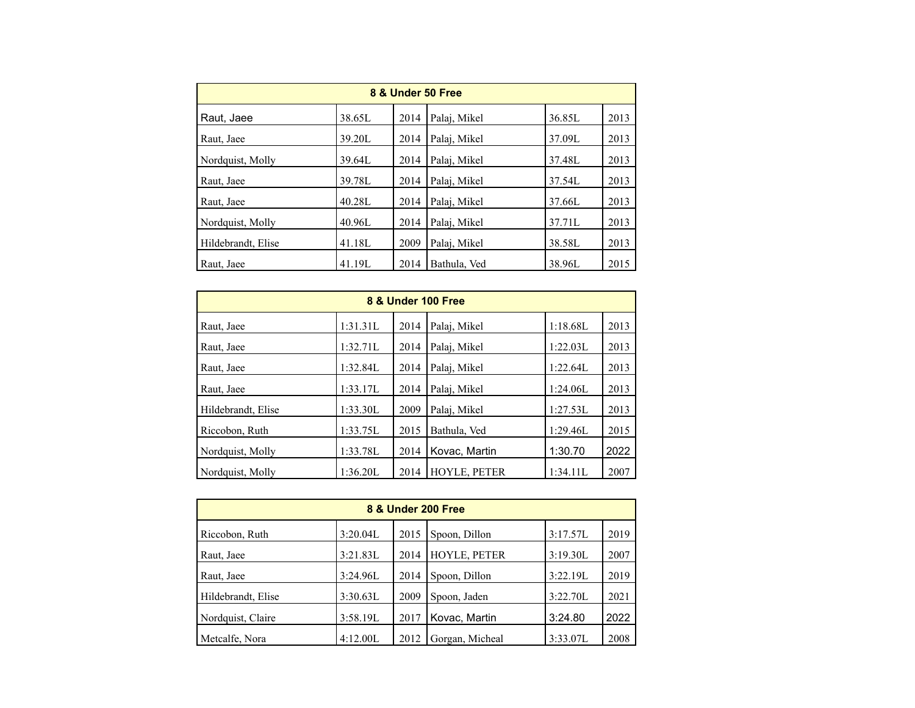| 8 & Under 50 Free  |        |      |              |        |      |  |  |  |
|--------------------|--------|------|--------------|--------|------|--|--|--|
| Raut, Jaee         | 38.65L | 2014 | Palaj, Mikel | 36.85L | 2013 |  |  |  |
| Raut, Jaee         | 39.20L | 2014 | Palai, Mikel | 37.09L | 2013 |  |  |  |
| Nordquist, Molly   | 39.64L | 2014 | Palai, Mikel | 37.48L | 2013 |  |  |  |
| Raut, Jaee         | 39.78L | 2014 | Palai, Mikel | 37.54L | 2013 |  |  |  |
| Raut, Jaee         | 40.28L | 2014 | Palai, Mikel | 37.66L | 2013 |  |  |  |
| Nordquist, Molly   | 40.96L | 2014 | Palai, Mikel | 37.71L | 2013 |  |  |  |
| Hildebrandt, Elise | 41.18L | 2009 | Palai, Mikel | 38.58L | 2013 |  |  |  |
| Raut, Jaee         | 41.19L | 2014 | Bathula, Ved | 38.96L | 2015 |  |  |  |

| 8 & Under 100 Free |          |      |                     |          |      |  |  |  |
|--------------------|----------|------|---------------------|----------|------|--|--|--|
| Raut, Jaee         | 1:31.31L | 2014 | Palaj, Mikel        | 1:18.68L | 2013 |  |  |  |
| Raut, Jaee         | 1:32.71L | 2014 | Palaj, Mikel        | 1:22.03L | 2013 |  |  |  |
| Raut, Jaee         | 1:32.84L | 2014 | Palai, Mikel        | 1:22.64L | 2013 |  |  |  |
| Raut, Jaee         | 1:33.17L | 2014 | Palaj, Mikel        | 1:24.06L | 2013 |  |  |  |
| Hildebrandt, Elise | 1:33.30L | 2009 | Palaj, Mikel        | 1:27.53L | 2013 |  |  |  |
| Riccobon, Ruth     | 1:33.75L | 2015 | Bathula, Ved        | 1:29.46L | 2015 |  |  |  |
| Nordquist, Molly   | 1:33.78L | 2014 | Kovac, Martin       | 1:30.70  | 2022 |  |  |  |
| Nordquist, Molly   | 1:36.20L | 2014 | <b>HOYLE, PETER</b> | 1:34.11L | 2007 |  |  |  |

| 8 & Under 200 Free |          |      |                 |          |      |  |  |
|--------------------|----------|------|-----------------|----------|------|--|--|
| Riccobon, Ruth     | 3:20.04L | 2015 | Spoon, Dillon   | 3:17.57L | 2019 |  |  |
| Raut, Jaee         | 3:21.83L | 2014 | HOYLE, PETER    | 3:19.30L | 2007 |  |  |
| Raut, Jaee         | 3:24.96L | 2014 | Spoon, Dillon   | 3:22.19L | 2019 |  |  |
| Hildebrandt, Elise | 3:30.63L | 2009 | Spoon, Jaden    | 3:22.70L | 2021 |  |  |
| Nordquist, Claire  | 3:58.19L | 2017 | Kovac, Martin   | 3:24.80  | 2022 |  |  |
| Metcalfe, Nora     | 4:12.00L | 2012 | Gorgan, Micheal | 3:33.07L | 2008 |  |  |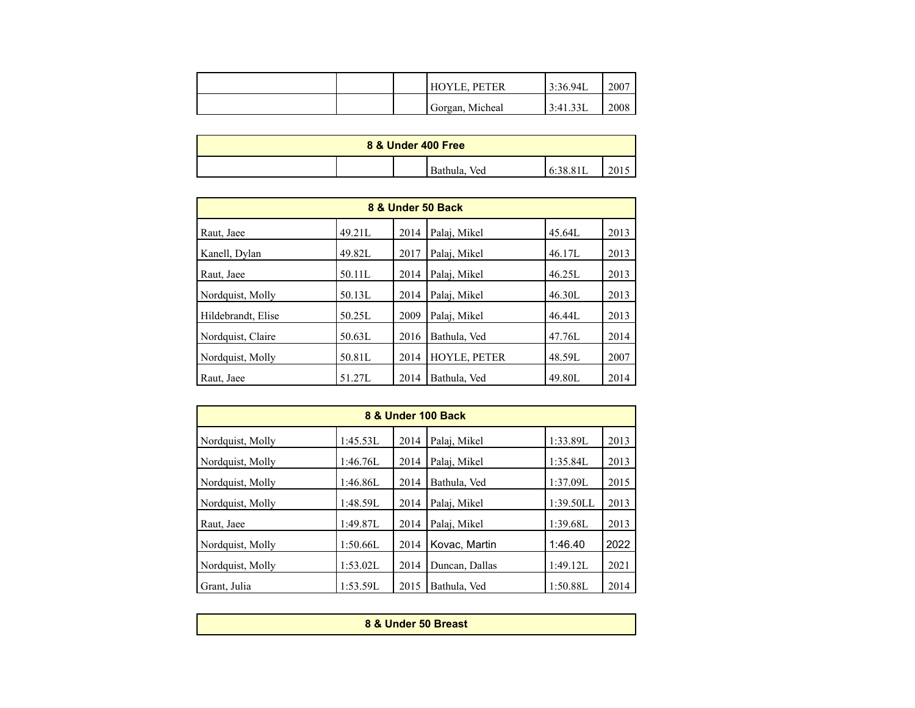|  | <b>HOYLE, PETER</b> | 3:36.94L | 2007 |
|--|---------------------|----------|------|
|  | Gorgan, Micheal     | 3:41.33L | 2008 |

| 8 & Under 400 Free |  |  |                 |  |      |  |
|--------------------|--|--|-----------------|--|------|--|
|                    |  |  | Ved<br>Bathula, |  | 2015 |  |

| 8 & Under 50 Back  |        |      |              |        |      |  |  |  |
|--------------------|--------|------|--------------|--------|------|--|--|--|
| Raut, Jaee         | 49.21L | 2014 | Palaj, Mikel | 45.64L | 2013 |  |  |  |
| Kanell, Dylan      | 49.82L | 2017 | Palaj, Mikel | 46.17L | 2013 |  |  |  |
| Raut, Jaee         | 50.11L | 2014 | Palai, Mikel | 46.25L | 2013 |  |  |  |
| Nordquist, Molly   | 50.13L | 2014 | Palai, Mikel | 46.30L | 2013 |  |  |  |
| Hildebrandt, Elise | 50.25L | 2009 | Palai, Mikel | 46.44L | 2013 |  |  |  |
| Nordquist, Claire  | 50.63L | 2016 | Bathula, Ved | 47.76L | 2014 |  |  |  |
| Nordquist, Molly   | 50.81L | 2014 | HOYLE, PETER | 48.59L | 2007 |  |  |  |
| Raut, Jaee         | 51.27L | 2014 | Bathula, Ved | 49.80L | 2014 |  |  |  |

| 8 & Under 100 Back |          |      |                |           |      |  |  |  |
|--------------------|----------|------|----------------|-----------|------|--|--|--|
| Nordquist, Molly   | 1:45.53L | 2014 | Palaj, Mikel   | 1:33.89L  | 2013 |  |  |  |
| Nordquist, Molly   | 1:46.76L | 2014 | Palai, Mikel   | 1:35.84L  | 2013 |  |  |  |
| Nordquist, Molly   | 1:46.86L | 2014 | Bathula, Ved   | 1:37.09L  | 2015 |  |  |  |
| Nordquist, Molly   | 1:48.59L | 2014 | Palai, Mikel   | 1:39.50LL | 2013 |  |  |  |
| Raut, Jaee         | 1:49.87L | 2014 | Palai, Mikel   | 1:39.68L  | 2013 |  |  |  |
| Nordquist, Molly   | 1:50.66L | 2014 | Kovac, Martin  | 1:46.40   | 2022 |  |  |  |
| Nordquist, Molly   | 1:53.02L | 2014 | Duncan, Dallas | 1:49.12L  | 2021 |  |  |  |
| Grant, Julia       | 1:53.59L | 2015 | Bathula, Ved   | 1:50.88L  | 2014 |  |  |  |

| 8 & Under 50 Breast |  |
|---------------------|--|
|                     |  |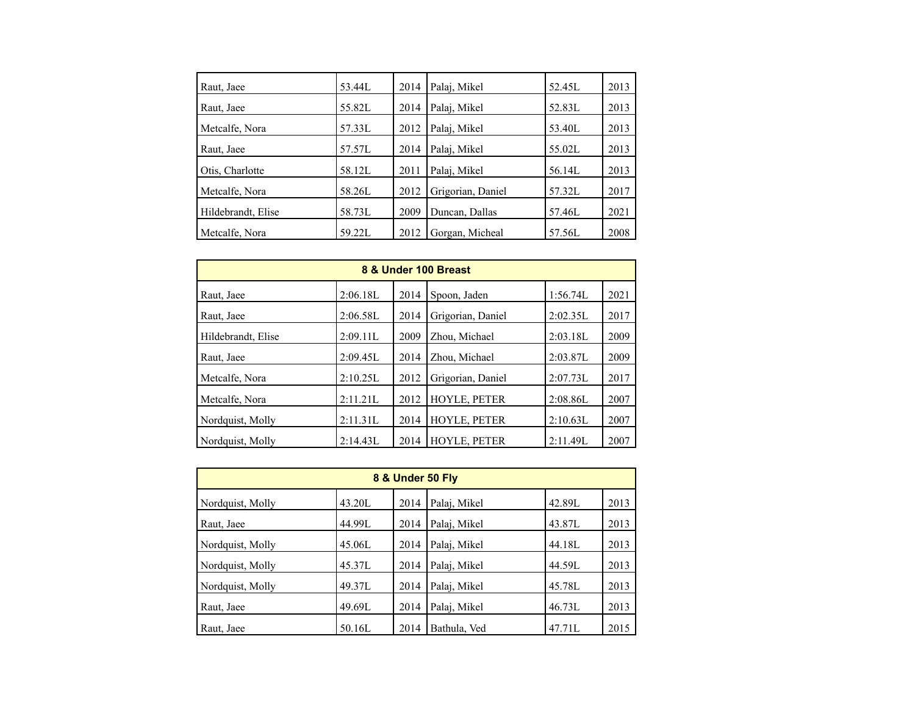| Raut, Jaee                                             | 53.44L                     | 2014                 | Palaj, Mikel                                           | 52.45L                     | 2013 |
|--------------------------------------------------------|----------------------------|----------------------|--------------------------------------------------------|----------------------------|------|
| Raut, Jaee                                             | 55.82L                     | 2014                 | Palaj, Mikel                                           | 52.83L                     | 2013 |
| Metcalfe, Nora                                         | 57.33L                     | 2012                 | Palaj, Mikel                                           | 53.40L                     | 2013 |
| Raut, Jaee                                             | 57.57L                     | 2014                 | Palaj, Mikel                                           | 55.02L                     | 2013 |
| Otis, Charlotte                                        | 58.12L                     | 2011                 | Palaj, Mikel                                           | 56.14L                     | 2013 |
|                                                        |                            |                      |                                                        |                            | 2017 |
|                                                        |                            |                      |                                                        |                            | 2021 |
|                                                        |                            |                      |                                                        |                            | 2008 |
| Metcalfe, Nora<br>Hildebrandt, Elise<br>Metcalfe, Nora | 58.26L<br>58.73L<br>59.22L | 2012<br>2009<br>2012 | Grigorian, Daniel<br>Duncan, Dallas<br>Gorgan, Micheal | 57.32L<br>57.46L<br>57.56L |      |

| 8 & Under 100 Breast |          |      |                     |          |      |  |  |  |
|----------------------|----------|------|---------------------|----------|------|--|--|--|
| Raut, Jaee           | 2:06.18L | 2014 | Spoon, Jaden        | 1:56.74L | 2021 |  |  |  |
| Raut, Jaee           | 2:06.58L | 2014 | Grigorian, Daniel   | 2:02.35L | 2017 |  |  |  |
| Hildebrandt, Elise   | 2:09.11L | 2009 | Zhou, Michael       | 2:03.18L | 2009 |  |  |  |
| Raut, Jaee           | 2:09.45L | 2014 | Zhou, Michael       | 2:03.87L | 2009 |  |  |  |
| Metcalfe, Nora       | 2:10.25L | 2012 | Grigorian, Daniel   | 2:07.73L | 2017 |  |  |  |
| Metcalfe, Nora       | 2:11.21L | 2012 | HOYLE, PETER        | 2:08.86L | 2007 |  |  |  |
| Nordquist, Molly     | 2:11.31L | 2014 | <b>HOYLE, PETER</b> | 2:10.63L | 2007 |  |  |  |
| Nordquist, Molly     | 2:14.43L | 2014 | <b>HOYLE, PETER</b> | 2:11.49L | 2007 |  |  |  |

| 8 & Under 50 Fly |        |      |              |        |      |  |  |  |
|------------------|--------|------|--------------|--------|------|--|--|--|
| Nordquist, Molly | 43.20L | 2014 | Palaj, Mikel | 42.89L | 2013 |  |  |  |
| Raut, Jaee       | 44.99L | 2014 | Palaj, Mikel | 43.87L | 2013 |  |  |  |
| Nordquist, Molly | 45.06L | 2014 | Palaj, Mikel | 44.18L | 2013 |  |  |  |
| Nordquist, Molly | 45.37L | 2014 | Palaj, Mikel | 44.59L | 2013 |  |  |  |
| Nordquist, Molly | 49.37L | 2014 | Palaj, Mikel | 45.78L | 2013 |  |  |  |
| Raut, Jaee       | 49.69L | 2014 | Palaj, Mikel | 46.73L | 2013 |  |  |  |
| Raut, Jaee       | 50.16L | 2014 | Bathula, Ved | 47.71L | 2015 |  |  |  |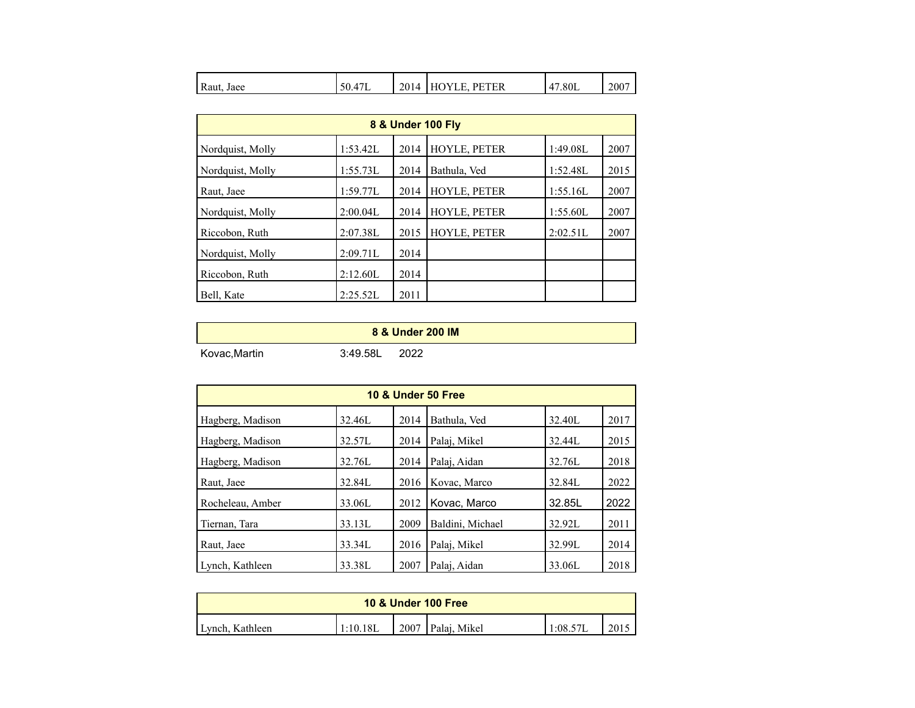| D<br>Raut.<br>Jaee | 47L<br>$\sim$<br>NC. | 2014 | <b>PETER</b><br>ιv<br>┗<br>Н١ | 47<br>2.80L | 2007 |
|--------------------|----------------------|------|-------------------------------|-------------|------|
|--------------------|----------------------|------|-------------------------------|-------------|------|

| 8 & Under 100 Fly |          |      |              |          |      |  |  |
|-------------------|----------|------|--------------|----------|------|--|--|
| Nordquist, Molly  | 1:53.42L | 2014 | HOYLE, PETER | 1:49.08L | 2007 |  |  |
| Nordquist, Molly  | 1:55.73L | 2014 | Bathula, Ved | 1:52.48L | 2015 |  |  |
| Raut, Jaee        | 1:59.77L | 2014 | HOYLE, PETER | 1:55.16L | 2007 |  |  |
| Nordquist, Molly  | 2:00.04L | 2014 | HOYLE, PETER | 1:55.60L | 2007 |  |  |
| Riccobon, Ruth    | 2:07.38L | 2015 | HOYLE, PETER | 2:02.51L | 2007 |  |  |
| Nordquist, Molly  | 2:09.71L | 2014 |              |          |      |  |  |
| Riccobon, Ruth    | 2:12.60L | 2014 |              |          |      |  |  |
| Bell, Kate        | 2:25.52L | 2011 |              |          |      |  |  |

|              |          | 8 & Under 200 IM |
|--------------|----------|------------------|
| Kovac,Martin | 3:49.58L | 2022             |

| 10 & Under 50 Free |        |      |                  |        |      |  |  |  |
|--------------------|--------|------|------------------|--------|------|--|--|--|
| Hagberg, Madison   | 32.46L | 2014 | Bathula, Ved     | 32.40L | 2017 |  |  |  |
| Hagberg, Madison   | 32.57L | 2014 | Palaj, Mikel     | 32.44L | 2015 |  |  |  |
| Hagberg, Madison   | 32.76L | 2014 | Palaj, Aidan     | 32.76L | 2018 |  |  |  |
| Raut, Jaee         | 32.84L | 2016 | Kovac, Marco     | 32.84L | 2022 |  |  |  |
| Rocheleau, Amber   | 33.06L | 2012 | Kovac, Marco     | 32.85L | 2022 |  |  |  |
| Tiernan, Tara      | 33.13L | 2009 | Baldini, Michael | 32.92L | 2011 |  |  |  |
| Raut, Jaee         | 33.34L | 2016 | Palai, Mikel     | 32.99L | 2014 |  |  |  |
| Lynch, Kathleen    | 33.38L | 2007 | Palaj, Aidan     | 33.06L | 2018 |  |  |  |

| <b>10 &amp; Under 100 Free</b> |          |      |              |        |  |  |
|--------------------------------|----------|------|--------------|--------|--|--|
| Lynch, Kathleen                | 1:10.18L | 2007 | Palai, Mikel | 1:08.5 |  |  |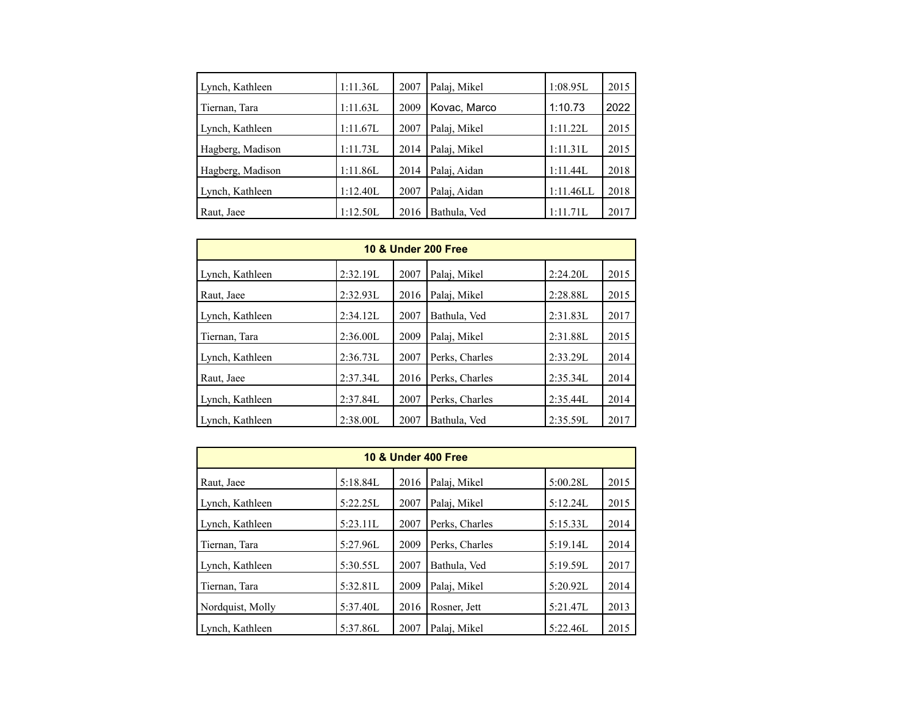| Lynch, Kathleen  | 1:11.36L | 2007 | Palaj, Mikel | 1:08.95L  | 2015 |
|------------------|----------|------|--------------|-----------|------|
| Tiernan, Tara    | 1:11.63L | 2009 | Kovac, Marco | 1:10.73   | 2022 |
| Lynch, Kathleen  | 1:11.67L | 2007 | Palaj, Mikel | 1:11.22L  | 2015 |
| Hagberg, Madison | 1:11.73L | 2014 | Palaj, Mikel | 1:11.31L  | 2015 |
| Hagberg, Madison | 1:11.86L | 2014 | Palaj, Aidan | 1:11.44L  | 2018 |
| Lynch, Kathleen  | 1:12.40L | 2007 | Palaj, Aidan | 1:11.46LL | 2018 |
| Raut, Jaee       | 1:12.50L | 2016 | Bathula, Ved | 1:11.71L  | 2017 |

| <b>10 &amp; Under 200 Free</b> |          |      |                |          |      |  |  |  |
|--------------------------------|----------|------|----------------|----------|------|--|--|--|
| Lynch, Kathleen                | 2:32.19L | 2007 | Palai, Mikel   | 2:24.20L | 2015 |  |  |  |
| Raut, Jaee                     | 2:32.93L | 2016 | Palai, Mikel   | 2:28.88L | 2015 |  |  |  |
| Lynch, Kathleen                | 2:34.12L | 2007 | Bathula, Ved   | 2:31.83L | 2017 |  |  |  |
| Tiernan, Tara                  | 2:36.00L | 2009 | Palaj, Mikel   | 2:31.88L | 2015 |  |  |  |
| Lynch, Kathleen                | 2:36.73L | 2007 | Perks, Charles | 2:33.29L | 2014 |  |  |  |
| Raut, Jaee                     | 2:37.34L | 2016 | Perks, Charles | 2:35.34L | 2014 |  |  |  |
| Lynch, Kathleen                | 2:37.84L | 2007 | Perks, Charles | 2:35.44L | 2014 |  |  |  |
| Lynch, Kathleen                | 2:38.00L | 2007 | Bathula, Ved   | 2:35.59L | 2017 |  |  |  |

| <b>10 &amp; Under 400 Free</b> |          |      |                |          |      |  |  |  |
|--------------------------------|----------|------|----------------|----------|------|--|--|--|
| Raut, Jaee                     | 5:18.84L | 2016 | Palaj, Mikel   | 5:00.28L | 2015 |  |  |  |
| Lynch, Kathleen                | 5:22.25L | 2007 | Palaj, Mikel   | 5:12.24L | 2015 |  |  |  |
| Lynch, Kathleen                | 5:23.11L | 2007 | Perks, Charles | 5:15.33L | 2014 |  |  |  |
| Tiernan, Tara                  | 5:27.96L | 2009 | Perks, Charles | 5:19.14L | 2014 |  |  |  |
| Lynch, Kathleen                | 5:30.55L | 2007 | Bathula, Ved   | 5:19.59L | 2017 |  |  |  |
| Tiernan, Tara                  | 5:32.81L | 2009 | Palaj, Mikel   | 5:20.92L | 2014 |  |  |  |
| Nordquist, Molly               | 5:37.40L | 2016 | Rosner, Jett   | 5:21.47L | 2013 |  |  |  |
| Lynch, Kathleen                | 5:37.86L | 2007 | Palaj, Mikel   | 5:22.46L | 2015 |  |  |  |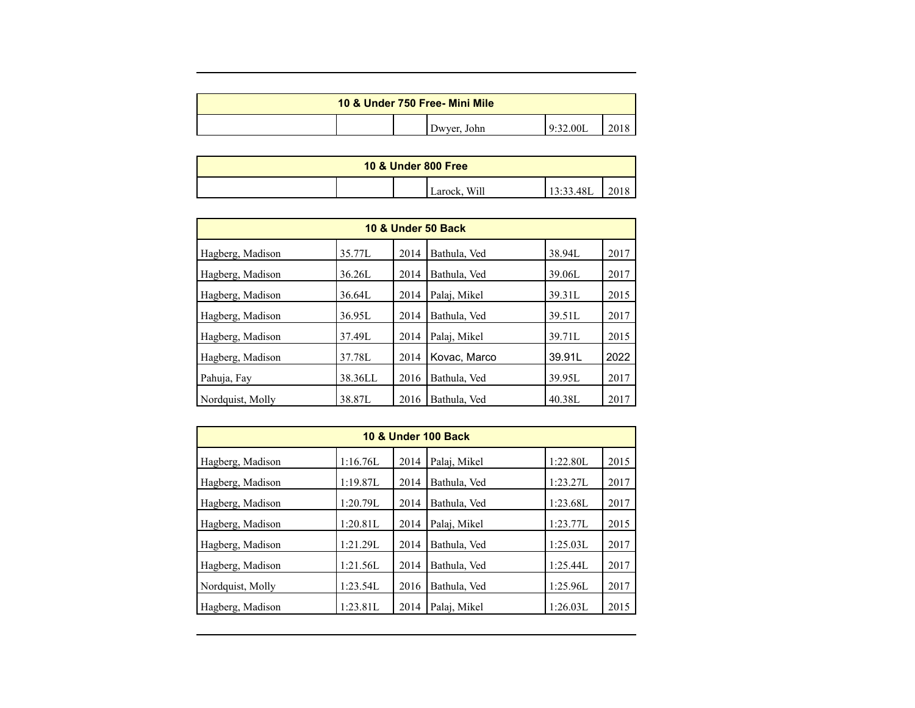| 10 & Under 750 Free- Mini Mile |  |  |             |          |     |  |
|--------------------------------|--|--|-------------|----------|-----|--|
|                                |  |  | Dwyer, John | 9:32.00L | 201 |  |

| <b>10 &amp; Under 800 Free</b> |  |  |              |           |  |  |
|--------------------------------|--|--|--------------|-----------|--|--|
|                                |  |  | Larock, Will | 13:33.48L |  |  |

| <b>10 &amp; Under 50 Back</b> |         |      |              |        |      |  |  |  |
|-------------------------------|---------|------|--------------|--------|------|--|--|--|
| Hagberg, Madison              | 35.77L  | 2014 | Bathula, Ved | 38.94L | 2017 |  |  |  |
| Hagberg, Madison              | 36.26L  | 2014 | Bathula, Ved | 39.06L | 2017 |  |  |  |
| Hagberg, Madison              | 36.64L  | 2014 | Palai, Mikel | 39.31L | 2015 |  |  |  |
| Hagberg, Madison              | 36.95L  | 2014 | Bathula, Ved | 39.51L | 2017 |  |  |  |
| Hagberg, Madison              | 37.49L  | 2014 | Palai, Mikel | 39.71L | 2015 |  |  |  |
| Hagberg, Madison              | 37.78L  | 2014 | Kovac, Marco | 39.91L | 2022 |  |  |  |
| Pahuja, Fay                   | 38.36LL | 2016 | Bathula, Ved | 39.95L | 2017 |  |  |  |
| Nordquist, Molly              | 38.87L  | 2016 | Bathula, Ved | 40.38L | 2017 |  |  |  |

| <b>10 &amp; Under 100 Back</b> |          |      |              |          |      |  |  |
|--------------------------------|----------|------|--------------|----------|------|--|--|
| Hagberg, Madison               | 1:16.76L | 2014 | Palaj, Mikel | 1:22.80L | 2015 |  |  |
| Hagberg, Madison               | 1:19.87L | 2014 | Bathula, Ved | 1:23.27L | 2017 |  |  |
| Hagberg, Madison               | 1:20.79L | 2014 | Bathula, Ved | 1:23.68L | 2017 |  |  |
| Hagberg, Madison               | 1:20.81L | 2014 | Palai, Mikel | 1:23.77L | 2015 |  |  |
| Hagberg, Madison               | 1:21.29L | 2014 | Bathula, Ved | 1:25.03L | 2017 |  |  |
| Hagberg, Madison               | 1:21.56L | 2014 | Bathula, Ved | 1:25.44L | 2017 |  |  |
| Nordquist, Molly               | 1:23.54L | 2016 | Bathula, Ved | 1:25.96L | 2017 |  |  |
| Hagberg, Madison               | 1:23.81L | 2014 | Palaj, Mikel | 1:26.03L | 2015 |  |  |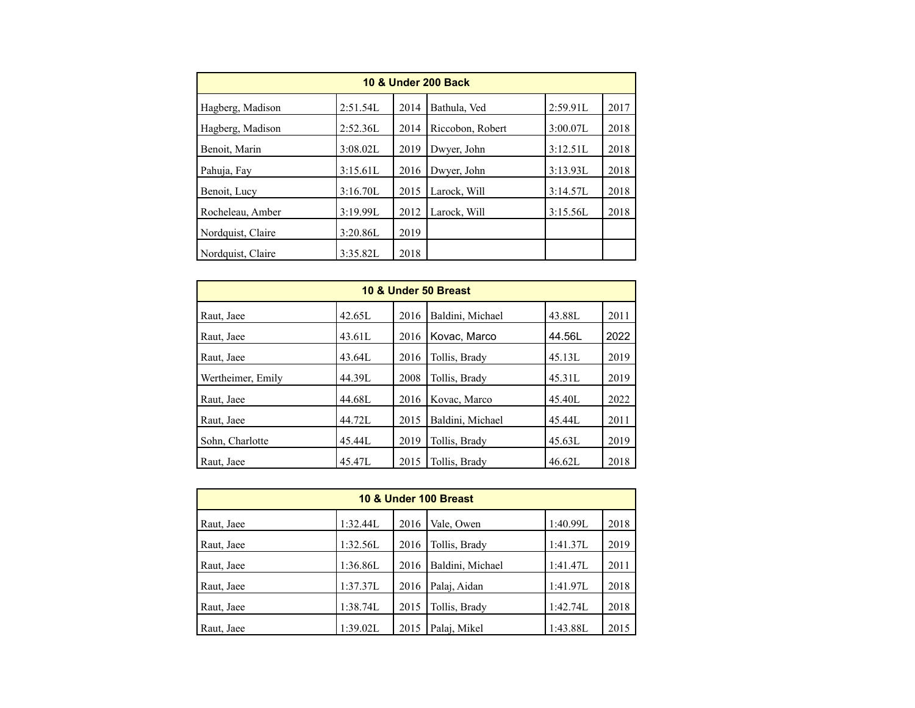| <b>10 &amp; Under 200 Back</b> |          |      |                  |          |      |  |  |
|--------------------------------|----------|------|------------------|----------|------|--|--|
| Hagberg, Madison               | 2:51.54L | 2014 | Bathula, Ved     | 2:59.91L | 2017 |  |  |
| Hagberg, Madison               | 2:52.36L | 2014 | Riccobon, Robert | 3:00.07L | 2018 |  |  |
| Benoit, Marin                  | 3:08.02L | 2019 | Dwyer, John      | 3:12.51L | 2018 |  |  |
| Pahuja, Fay                    | 3:15.61L | 2016 | Dwyer, John      | 3:13.93L | 2018 |  |  |
| Benoit, Lucy                   | 3:16.70L | 2015 | Larock, Will     | 3:14.57L | 2018 |  |  |
| Rocheleau, Amber               | 3:19.99L | 2012 | Larock, Will     | 3:15.56L | 2018 |  |  |
| Nordquist, Claire              | 3:20.86L | 2019 |                  |          |      |  |  |
| Nordquist, Claire              | 3:35.82L | 2018 |                  |          |      |  |  |

| 10 & Under 50 Breast |        |      |                  |        |      |  |  |  |  |
|----------------------|--------|------|------------------|--------|------|--|--|--|--|
| Raut, Jaee           | 42.65L | 2016 | Baldini, Michael | 43.88L | 2011 |  |  |  |  |
| Raut, Jaee           | 43.61L | 2016 | Kovac, Marco     | 44.56L | 2022 |  |  |  |  |
| Raut, Jaee           | 43.64L | 2016 | Tollis, Brady    | 45.13L | 2019 |  |  |  |  |
| Wertheimer, Emily    | 44.39L | 2008 | Tollis, Brady    | 45.31L | 2019 |  |  |  |  |
| Raut, Jaee           | 44.68L | 2016 | Kovac, Marco     | 45.40L | 2022 |  |  |  |  |
| Raut, Jaee           | 44.72L | 2015 | Baldini, Michael | 45.44L | 2011 |  |  |  |  |
| Sohn, Charlotte      | 45.44L | 2019 | Tollis, Brady    | 45.63L | 2019 |  |  |  |  |
| Raut, Jaee           | 45.47L | 2015 | Tollis, Brady    | 46.62L | 2018 |  |  |  |  |

| 10 & Under 100 Breast |          |      |                  |          |      |  |  |  |  |
|-----------------------|----------|------|------------------|----------|------|--|--|--|--|
| Raut, Jaee            | 1:32.44L | 2016 | Vale, Owen       | 1:40.99L | 2018 |  |  |  |  |
| Raut, Jaee            | 1:32.56L | 2016 | Tollis, Brady    | 1:41.37L | 2019 |  |  |  |  |
| Raut, Jaee            | 1:36.86L | 2016 | Baldini, Michael | 1:41.47L | 2011 |  |  |  |  |
| Raut, Jaee            | 1:37.37L | 2016 | Palaj, Aidan     | 1:41.97L | 2018 |  |  |  |  |
| Raut, Jaee            | 1:38.74L | 2015 | Tollis, Brady    | 1:42.74L | 2018 |  |  |  |  |
| Raut, Jaee            | 1:39.02L | 2015 | Palaj, Mikel     | 1:43.88L | 2015 |  |  |  |  |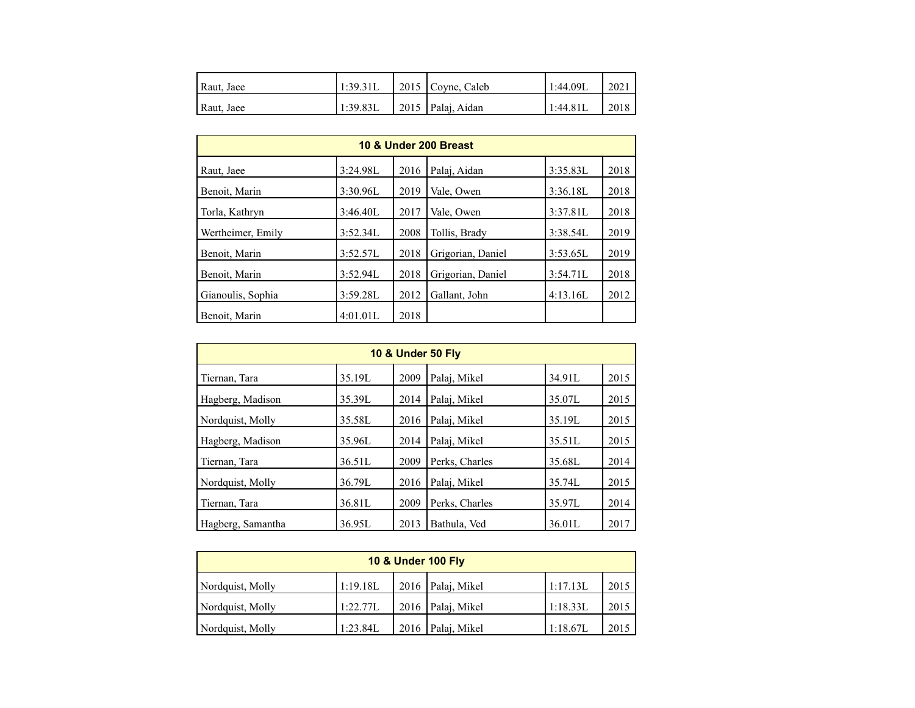| Raut, Jaee | 1:39.31L | $\vert$ 2015 Coyne, Caleb | 1:44.09L | 2021 |
|------------|----------|---------------------------|----------|------|
| Raut, Jaee | 1:39.83L | 2015 Palaj, Aidan         | 1:44.81L | 2018 |

| 10 & Under 200 Breast |          |      |                   |          |      |  |  |  |  |
|-----------------------|----------|------|-------------------|----------|------|--|--|--|--|
| Raut, Jaee            | 3:24.98L | 2016 | Palai, Aidan      | 3:35.83L | 2018 |  |  |  |  |
| Benoit, Marin         | 3:30.96L | 2019 | Vale, Owen        | 3:36.18L | 2018 |  |  |  |  |
| Torla, Kathryn        | 3:46.40L | 2017 | Vale, Owen        | 3:37.81L | 2018 |  |  |  |  |
| Wertheimer, Emily     | 3:52.34L | 2008 | Tollis, Brady     | 3:38.54L | 2019 |  |  |  |  |
| Benoit, Marin         | 3:52.57L | 2018 | Grigorian, Daniel | 3:53.65L | 2019 |  |  |  |  |
| Benoit, Marin         | 3:52.94L | 2018 | Grigorian, Daniel | 3:54.71L | 2018 |  |  |  |  |
| Gianoulis, Sophia     | 3:59.28L | 2012 | Gallant, John     | 4:13.16L | 2012 |  |  |  |  |
| Benoit, Marin         | 4:01.01L | 2018 |                   |          |      |  |  |  |  |

| <b>10 &amp; Under 50 Fly</b> |        |      |                |        |      |  |  |  |  |
|------------------------------|--------|------|----------------|--------|------|--|--|--|--|
| Tiernan, Tara                | 35.19L | 2009 | Palai, Mikel   | 34.91L | 2015 |  |  |  |  |
| Hagberg, Madison             | 35.39L | 2014 | Palai, Mikel   | 35.07L | 2015 |  |  |  |  |
| Nordquist, Molly             | 35.58L | 2016 | Palai, Mikel   | 35.19L | 2015 |  |  |  |  |
| Hagberg, Madison             | 35.96L | 2014 | Palai, Mikel   | 35.51L | 2015 |  |  |  |  |
| Tiernan, Tara                | 36.51L | 2009 | Perks, Charles | 35.68L | 2014 |  |  |  |  |
| Nordquist, Molly             | 36.79L | 2016 | Palai, Mikel   | 35.74L | 2015 |  |  |  |  |
| Tiernan, Tara                | 36.81L | 2009 | Perks, Charles | 35.97L | 2014 |  |  |  |  |
| Hagberg, Samantha            | 36.95L | 2013 | Bathula, Ved   | 36.01L | 2017 |  |  |  |  |

| <b>10 &amp; Under 100 Fly</b> |          |  |                   |          |      |  |  |  |  |
|-------------------------------|----------|--|-------------------|----------|------|--|--|--|--|
| Nordquist, Molly              | 1:19.18L |  | 2016 Palaj, Mikel | 1:17.13L | 2015 |  |  |  |  |
| Nordquist, Molly              | 1:22.77L |  | 2016 Palaj, Mikel | 1:18.33L | 2015 |  |  |  |  |
| Nordquist, Molly              | 1:23.84L |  | 2016 Palaj, Mikel | 1:18.67L | 2015 |  |  |  |  |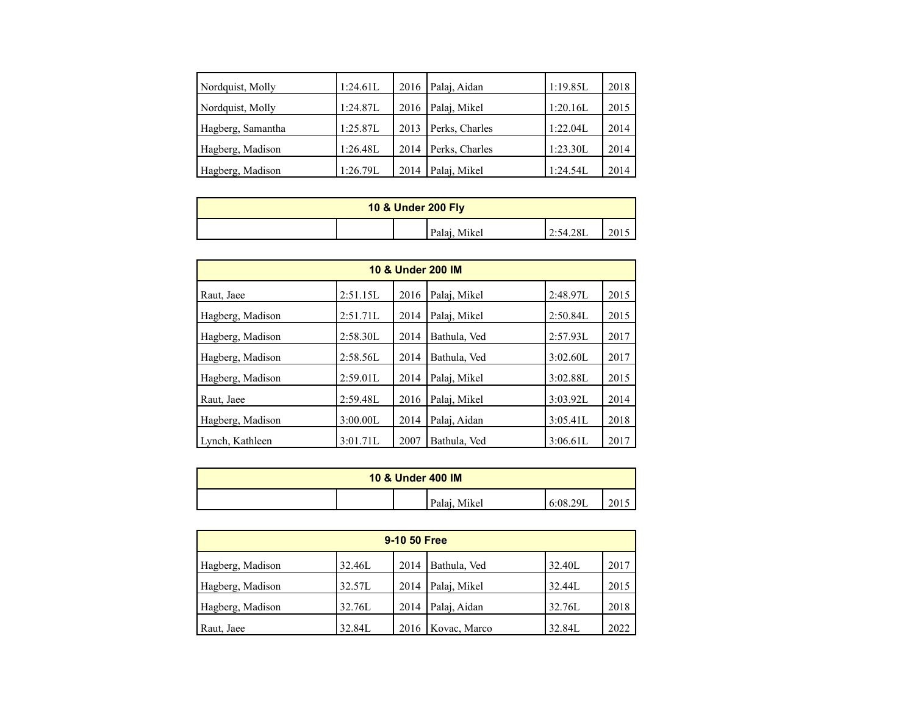| Nordquist, Molly  | 1:24.61L | 2016 | Palaj, Aidan   | 1:19.85L | 2018 |
|-------------------|----------|------|----------------|----------|------|
| Nordquist, Molly  | 1:24.87L | 2016 | Palaj, Mikel   | 1:20.16L | 2015 |
| Hagberg, Samantha | 1:25.87L | 2013 | Perks, Charles | 1:22.04L | 2014 |
| Hagberg, Madison  | 1:26.48L | 2014 | Perks, Charles | 1:23.30L | 2014 |
| Hagberg, Madison  | 1:26.79L | 2014 | Palaj, Mikel   | 1:24.54L | 2014 |

| 10 & Under 200 Fly |  |              |           |      |  |  |
|--------------------|--|--------------|-----------|------|--|--|
|                    |  | Palaj, Mikel | 12:54.28L | 201J |  |  |

| 10 & Under 200 IM |          |      |              |          |      |  |  |  |  |
|-------------------|----------|------|--------------|----------|------|--|--|--|--|
| Raut, Jaee        | 2:51.15L | 2016 | Palaj, Mikel | 2:48.97L | 2015 |  |  |  |  |
| Hagberg, Madison  | 2:51.71L | 2014 | Palai, Mikel | 2:50.84L | 2015 |  |  |  |  |
| Hagberg, Madison  | 2:58.30L | 2014 | Bathula, Ved | 2:57.93L | 2017 |  |  |  |  |
| Hagberg, Madison  | 2:58.56L | 2014 | Bathula, Ved | 3:02.60L | 2017 |  |  |  |  |
| Hagberg, Madison  | 2:59.01L | 2014 | Palai, Mikel | 3:02.88L | 2015 |  |  |  |  |
| Raut, Jaee        | 2:59.48L | 2016 | Palaj, Mikel | 3:03.92L | 2014 |  |  |  |  |
| Hagberg, Madison  | 3:00.00L | 2014 | Palaj, Aidan | 3:05.41L | 2018 |  |  |  |  |
| Lynch, Kathleen   | 3:01.71L | 2007 | Bathula, Ved | 3:06.61L | 2017 |  |  |  |  |

| <b>10 &amp; Under 400 IM</b> |  |  |              |          |      |  |
|------------------------------|--|--|--------------|----------|------|--|
|                              |  |  | Palaj, Mikel | 6:08.29L | 2015 |  |

| 9-10 50 Free     |        |      |                     |        |      |  |  |  |  |
|------------------|--------|------|---------------------|--------|------|--|--|--|--|
| Hagberg, Madison | 32.46L | 2014 | Bathula, Ved        | 32.40L | 2017 |  |  |  |  |
| Hagberg, Madison | 32.57L | 2014 | Palaj, Mikel        | 32.44L | 2015 |  |  |  |  |
| Hagberg, Madison | 32.76L | 2014 | Palaj, Aidan        | 32.76L | 2018 |  |  |  |  |
| Raut, Jaee       | 32.84L |      | 2016   Kovac, Marco | 32.84L | 2022 |  |  |  |  |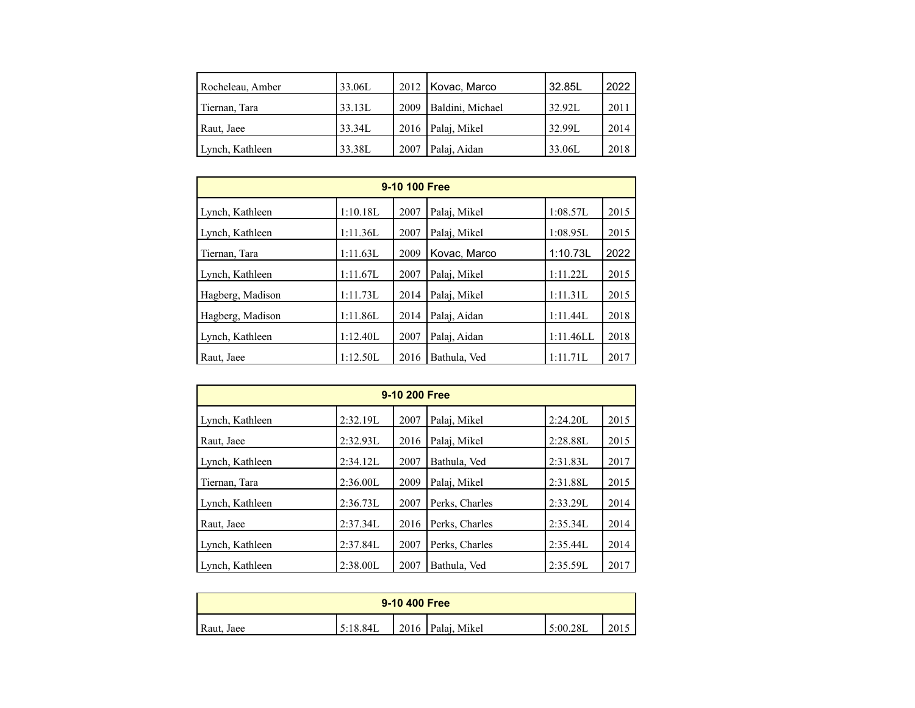| Rocheleau, Amber | 33.06L |      | 2012   Kovac, Marco | 32.85L | 2022 |
|------------------|--------|------|---------------------|--------|------|
| Tiernan, Tara    | 33.13L | 2009 | Baldini, Michael    | 32.92L | 2011 |
| Raut, Jaee       | 33.34L |      | 2016   Palaj, Mikel | 32.99L | 2014 |
| Lynch, Kathleen  | 33.38L | 2007 | Palaj, Aidan        | 33.06L | 2018 |

| 9-10 100 Free    |          |      |              |           |      |  |  |  |
|------------------|----------|------|--------------|-----------|------|--|--|--|
| Lynch, Kathleen  | 1:10.18L | 2007 | Palaj, Mikel | 1:08.57L  | 2015 |  |  |  |
| Lynch, Kathleen  | 1:11.36L | 2007 | Palaj, Mikel | 1:08.95L  | 2015 |  |  |  |
| Tiernan, Tara    | 1:11.63L | 2009 | Kovac, Marco | 1:10.73L  | 2022 |  |  |  |
| Lynch, Kathleen  | 1:11.67L | 2007 | Palai, Mikel | 1:11.22L  | 2015 |  |  |  |
| Hagberg, Madison | 1:11.73L | 2014 | Palai, Mikel | 1:11.31L  | 2015 |  |  |  |
| Hagberg, Madison | 1:11.86L | 2014 | Palai, Aidan | 1:11.44L  | 2018 |  |  |  |
| Lynch, Kathleen  | 1:12.40L | 2007 | Palai, Aidan | 1:11.46LL | 2018 |  |  |  |
| Raut, Jaee       | 1:12.50L | 2016 | Bathula, Ved | 1:11.71L  | 2017 |  |  |  |

| 9-10 200 Free   |          |      |                |          |      |  |  |  |
|-----------------|----------|------|----------------|----------|------|--|--|--|
| Lynch, Kathleen | 2:32.19L | 2007 | Palai, Mikel   | 2:24.20L | 2015 |  |  |  |
| Raut, Jaee      | 2:32.93L | 2016 | Palaj, Mikel   | 2:28.88L | 2015 |  |  |  |
| Lynch, Kathleen | 2:34.12L | 2007 | Bathula, Ved   | 2:31.83L | 2017 |  |  |  |
| Tiernan, Tara   | 2:36.00L | 2009 | Palaj, Mikel   | 2:31.88L | 2015 |  |  |  |
| Lynch, Kathleen | 2:36.73L | 2007 | Perks, Charles | 2:33.29L | 2014 |  |  |  |
| Raut, Jaee      | 2:37.34L | 2016 | Perks, Charles | 2:35.34L | 2014 |  |  |  |
| Lynch, Kathleen | 2:37.84L | 2007 | Perks, Charles | 2:35.44L | 2014 |  |  |  |
| Lynch, Kathleen | 2:38.00L | 2007 | Bathula, Ved   | 2:35.59L | 2017 |  |  |  |

| 9-10 400 Free |          |  |                     |          |      |  |
|---------------|----------|--|---------------------|----------|------|--|
| Raut, Jaee    | 5:18.84L |  | 2016   Palaj, Mikel | 5:00.28L | 2015 |  |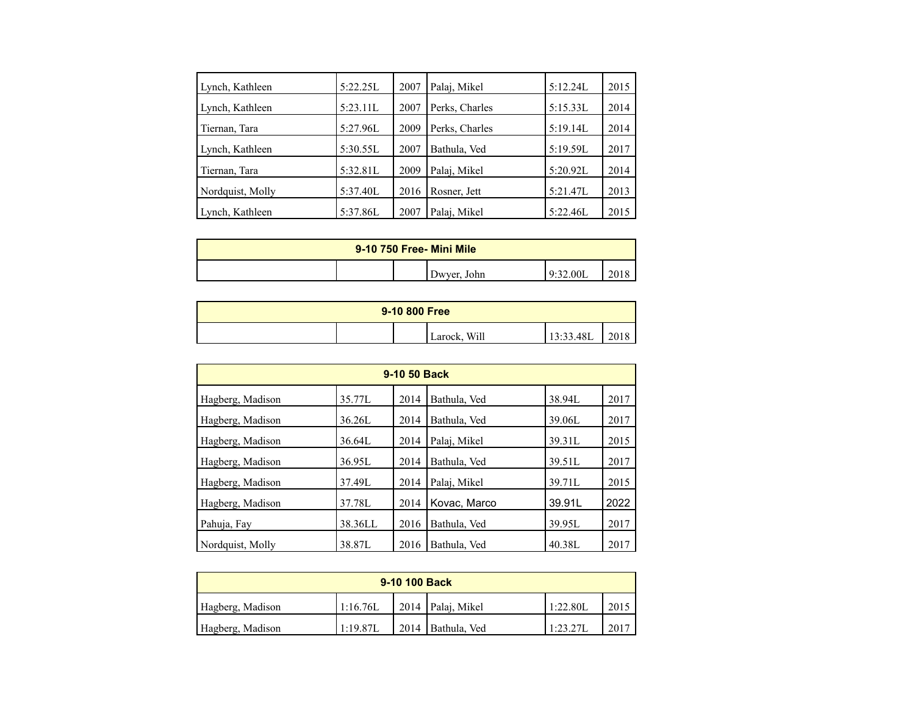| Lynch, Kathleen  | 5:22.25L | 2007 | Palaj, Mikel   | 5:12.24L | 2015 |
|------------------|----------|------|----------------|----------|------|
| Lynch, Kathleen  | 5:23.11L | 2007 | Perks, Charles | 5:15.33L | 2014 |
| Tiernan, Tara    | 5:27.96L | 2009 | Perks, Charles | 5:19.14L | 2014 |
| Lynch, Kathleen  | 5:30.55L | 2007 | Bathula, Ved   | 5:19.59L | 2017 |
| Tiernan, Tara    | 5:32.81L | 2009 | Palaj, Mikel   | 5:20.92L | 2014 |
| Nordquist, Molly | 5:37.40L | 2016 | Rosner, Jett   | 5:21.47L | 2013 |
| Lynch, Kathleen  | 5:37.86L | 2007 | Palaj, Mikel   | 5:22.46L | 2015 |

| 9-10 750 Free- Mini Mile |  |             |                  |  |  |  |
|--------------------------|--|-------------|------------------|--|--|--|
|                          |  | Dwyer, John | :32.001<br>-0-37 |  |  |  |

| 9-10 800 Free |  |              |           |      |  |
|---------------|--|--------------|-----------|------|--|
|               |  | Larock, Will | 13:33.48L | 2018 |  |

| 9-10 50 Back     |         |      |              |        |      |  |  |  |
|------------------|---------|------|--------------|--------|------|--|--|--|
| Hagberg, Madison | 35.77L  | 2014 | Bathula, Ved | 38.94L | 2017 |  |  |  |
| Hagberg, Madison | 36.26L  | 2014 | Bathula, Ved | 39.06L | 2017 |  |  |  |
| Hagberg, Madison | 36.64L  | 2014 | Palai, Mikel | 39.31L | 2015 |  |  |  |
| Hagberg, Madison | 36.95L  | 2014 | Bathula, Ved | 39.51L | 2017 |  |  |  |
| Hagberg, Madison | 37.49L  | 2014 | Palai, Mikel | 39.71L | 2015 |  |  |  |
| Hagberg, Madison | 37.78L  | 2014 | Kovac, Marco | 39.91L | 2022 |  |  |  |
| Pahuja, Fay      | 38.36LL | 2016 | Bathula, Ved | 39.95L | 2017 |  |  |  |
| Nordquist, Molly | 38.87L  | 2016 | Bathula, Ved | 40.38L | 2017 |  |  |  |

| 9-10 100 Back    |          |  |                             |          |      |  |  |
|------------------|----------|--|-----------------------------|----------|------|--|--|
| Hagberg, Madison | 1:16.76L |  | $\vert$ 2014   Palaj, Mikel | 1:22.80L | 2015 |  |  |
| Hagberg, Madison | 1:19.87L |  | $\vert$ 2014   Bathula, Ved | 1:23.27L | 2017 |  |  |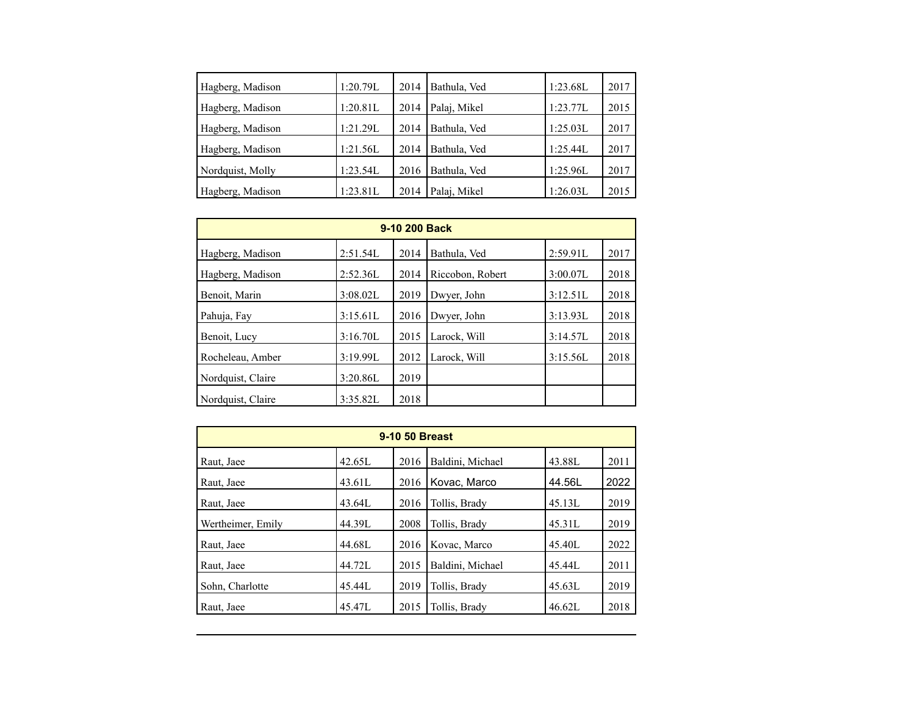| Hagberg, Madison | 1:20.79L | 2014 | Bathula, Ved | 1:23.68L | 2017 |
|------------------|----------|------|--------------|----------|------|
| Hagberg, Madison | 1:20.81L | 2014 | Palaj, Mikel | 1:23.77L | 2015 |
| Hagberg, Madison | 1:21.29L | 2014 | Bathula, Ved | 1:25.03L | 2017 |
| Hagberg, Madison | 1:21.56L | 2014 | Bathula, Ved | 1:25.44L | 2017 |
| Nordquist, Molly | 1:23.54L | 2016 | Bathula, Ved | 1:25.96L | 2017 |
| Hagberg, Madison | 1:23.81L | 2014 | Palaj, Mikel | 1:26.03L | 2015 |

| 9-10 200 Back     |          |      |                  |          |      |  |  |  |
|-------------------|----------|------|------------------|----------|------|--|--|--|
| Hagberg, Madison  | 2:51.54L | 2014 | Bathula, Ved     | 2:59.91L | 2017 |  |  |  |
| Hagberg, Madison  | 2:52.36L | 2014 | Riccobon, Robert | 3:00.07L | 2018 |  |  |  |
| Benoit, Marin     | 3:08.02L | 2019 | Dwyer, John      | 3:12.51L | 2018 |  |  |  |
| Pahuja, Fay       | 3:15.61L | 2016 | Dwyer, John      | 3:13.93L | 2018 |  |  |  |
| Benoit, Lucy      | 3:16.70L | 2015 | Larock, Will     | 3:14.57L | 2018 |  |  |  |
| Rocheleau, Amber  | 3:19.99L | 2012 | Larock, Will     | 3:15.56L | 2018 |  |  |  |
| Nordquist, Claire | 3:20.86L | 2019 |                  |          |      |  |  |  |
| Nordquist, Claire | 3:35.82L | 2018 |                  |          |      |  |  |  |

| 9-10 50 Breast    |        |      |                  |        |      |  |  |  |
|-------------------|--------|------|------------------|--------|------|--|--|--|
| Raut, Jaee        | 42.65L | 2016 | Baldini, Michael | 43.88L | 2011 |  |  |  |
| Raut, Jaee        | 43.61L | 2016 | Kovac, Marco     | 44.56L | 2022 |  |  |  |
| Raut, Jaee        | 43.64L | 2016 | Tollis, Brady    | 45.13L | 2019 |  |  |  |
| Wertheimer, Emily | 44.39L | 2008 | Tollis, Brady    | 45.31L | 2019 |  |  |  |
| Raut, Jaee        | 44.68L | 2016 | Kovac, Marco     | 45.40L | 2022 |  |  |  |
| Raut, Jaee        | 44.72L | 2015 | Baldini, Michael | 45.44L | 2011 |  |  |  |
| Sohn, Charlotte   | 45.44L | 2019 | Tollis, Brady    | 45.63L | 2019 |  |  |  |
| Raut, Jaee        | 45.47L | 2015 | Tollis, Brady    | 46.62L | 2018 |  |  |  |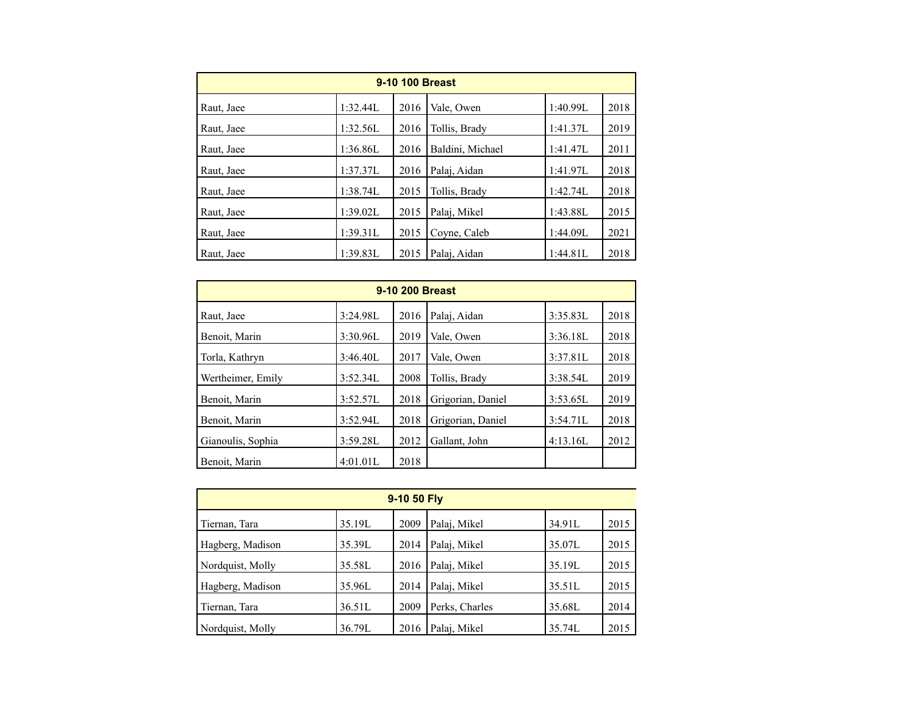| 9-10 100 Breast |          |      |                  |          |      |  |  |  |
|-----------------|----------|------|------------------|----------|------|--|--|--|
| Raut, Jaee      | 1:32.44L | 2016 | Vale, Owen       | 1:40.99L | 2018 |  |  |  |
| Raut, Jaee      | 1:32.56L | 2016 | Tollis, Brady    | 1:41.37L | 2019 |  |  |  |
| Raut, Jaee      | 1:36.86L | 2016 | Baldini, Michael | 1:41.47L | 2011 |  |  |  |
| Raut, Jaee      | 1:37.37L | 2016 | Palai, Aidan     | 1:41.97L | 2018 |  |  |  |
| Raut, Jaee      | 1:38.74L | 2015 | Tollis, Brady    | 1:42.74L | 2018 |  |  |  |
| Raut, Jaee      | 1:39.02L | 2015 | Palai, Mikel     | 1:43.88L | 2015 |  |  |  |
| Raut, Jaee      | 1:39.31L | 2015 | Coyne, Caleb     | 1:44.09L | 2021 |  |  |  |
| Raut, Jaee      | 1:39.83L | 2015 | Palaj, Aidan     | 1:44.81L | 2018 |  |  |  |

| 9-10 200 Breast   |          |      |                   |          |      |  |  |
|-------------------|----------|------|-------------------|----------|------|--|--|
| Raut, Jaee        | 3:24.98L | 2016 | Palaj, Aidan      | 3:35.83L | 2018 |  |  |
| Benoit, Marin     | 3:30.96L | 2019 | Vale, Owen        | 3:36.18L | 2018 |  |  |
| Torla, Kathryn    | 3:46.40L | 2017 | Vale, Owen        | 3:37.81L | 2018 |  |  |
| Wertheimer, Emily | 3:52.34L | 2008 | Tollis, Brady     | 3:38.54L | 2019 |  |  |
| Benoit, Marin     | 3:52.57L | 2018 | Grigorian, Daniel | 3:53.65L | 2019 |  |  |
| Benoit, Marin     | 3:52.94L | 2018 | Grigorian, Daniel | 3:54.71L | 2018 |  |  |
| Gianoulis, Sophia | 3:59.28L | 2012 | Gallant, John     | 4:13.16L | 2012 |  |  |
| Benoit, Marin     | 4:01.01L | 2018 |                   |          |      |  |  |

| 9-10 50 Fly      |        |      |                |        |      |  |  |
|------------------|--------|------|----------------|--------|------|--|--|
| Tiernan, Tara    | 35.19L | 2009 | Palaj, Mikel   | 34.91L | 2015 |  |  |
| Hagberg, Madison | 35.39L | 2014 | Palaj, Mikel   | 35.07L | 2015 |  |  |
| Nordquist, Molly | 35.58L | 2016 | Palaj, Mikel   | 35.19L | 2015 |  |  |
| Hagberg, Madison | 35.96L | 2014 | Palaj, Mikel   | 35.51L | 2015 |  |  |
| Tiernan, Tara    | 36.51L | 2009 | Perks, Charles | 35.68L | 2014 |  |  |
| Nordquist, Molly | 36.79L | 2016 | Palaj, Mikel   | 35.74L | 2015 |  |  |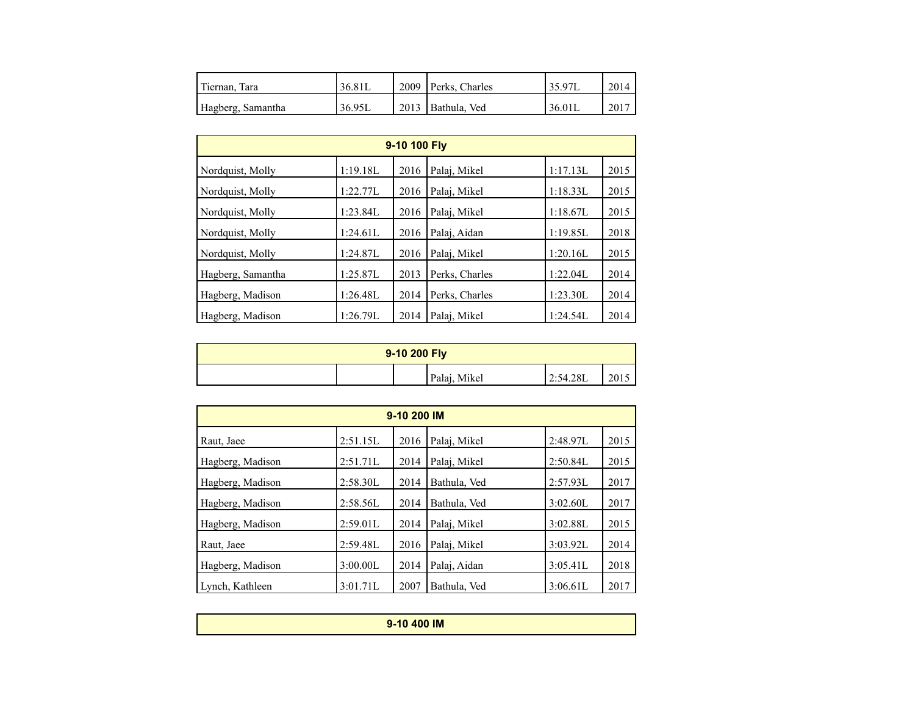| Tiernan, Tara     | 36.81L | 2009 Perks, Charles | 35.97L | 2014 |
|-------------------|--------|---------------------|--------|------|
| Hagberg, Samantha | 36.95L | 2013   Bathula, Ved | 36.01L | 2017 |

| 9-10 100 Fly      |          |      |                |          |      |  |  |  |
|-------------------|----------|------|----------------|----------|------|--|--|--|
| Nordquist, Molly  | 1:19.18L | 2016 | Palaj, Mikel   | 1:17.13L | 2015 |  |  |  |
| Nordquist, Molly  | 1:22.77L | 2016 | Palai, Mikel   | 1:18.33L | 2015 |  |  |  |
| Nordquist, Molly  | 1:23.84L | 2016 | Palai, Mikel   | 1:18.67L | 2015 |  |  |  |
| Nordquist, Molly  | 1:24.61L | 2016 | Palai, Aidan   | 1:19.85L | 2018 |  |  |  |
| Nordquist, Molly  | 1:24.87L | 2016 | Palaj, Mikel   | 1:20.16L | 2015 |  |  |  |
| Hagberg, Samantha | 1:25.87L | 2013 | Perks, Charles | 1:22.04L | 2014 |  |  |  |
| Hagberg, Madison  | 1:26.48L | 2014 | Perks, Charles | 1:23.30L | 2014 |  |  |  |
| Hagberg, Madison  | 1:26.79L | 2014 | Palai, Mikel   | 1:24.54L | 2014 |  |  |  |

| 9-10 200 Fly |  |  |              |          |      |  |
|--------------|--|--|--------------|----------|------|--|
|              |  |  | Palaj, Mikel | 2:54.28L | 2015 |  |

| 9-10 200 IM      |          |      |              |          |      |  |  |
|------------------|----------|------|--------------|----------|------|--|--|
| Raut, Jaee       | 2:51.15L | 2016 | Palaj, Mikel | 2:48.97L | 2015 |  |  |
| Hagberg, Madison | 2:51.71L | 2014 | Palaj, Mikel | 2:50.84L | 2015 |  |  |
| Hagberg, Madison | 2:58.30L | 2014 | Bathula, Ved | 2:57.93L | 2017 |  |  |
| Hagberg, Madison | 2:58.56L | 2014 | Bathula, Ved | 3:02.60L | 2017 |  |  |
| Hagberg, Madison | 2:59.01L | 2014 | Palai, Mikel | 3:02.88L | 2015 |  |  |
| Raut, Jaee       | 2:59.48L | 2016 | Palaj, Mikel | 3:03.92L | 2014 |  |  |
| Hagberg, Madison | 3:00.00L | 2014 | Palaj, Aidan | 3:05.41L | 2018 |  |  |
| Lynch, Kathleen  | 3:01.71L | 2007 | Bathula, Ved | 3:06.61L | 2017 |  |  |

| 9-10 400 IM |  |
|-------------|--|
|             |  |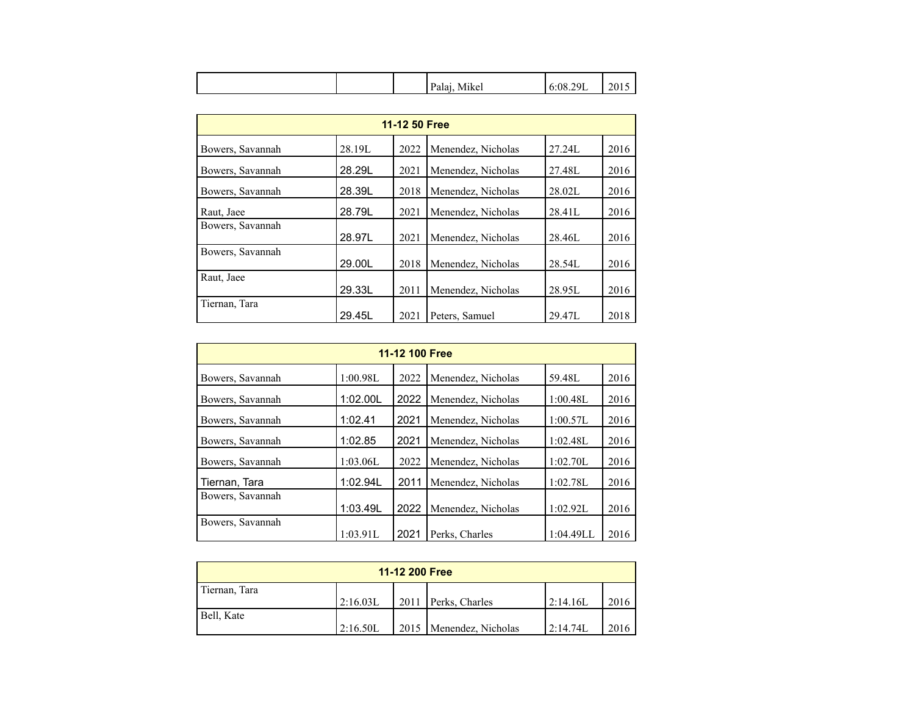| $\mathbf{A}$ $\mathbf{A}$<br>Palai<br>٠Q.<br>Mikel<br>$\sim$<br>,,,,,,,, |  |  |  |  | 2015 |
|--------------------------------------------------------------------------|--|--|--|--|------|
|--------------------------------------------------------------------------|--|--|--|--|------|

| 11-12 50 Free    |        |      |                    |        |      |  |  |
|------------------|--------|------|--------------------|--------|------|--|--|
| Bowers, Savannah | 28.19L | 2022 | Menendez, Nicholas | 27.24L | 2016 |  |  |
| Bowers, Savannah | 28.29L | 2021 | Menendez, Nicholas | 27.48L | 2016 |  |  |
| Bowers, Savannah | 28.39L | 2018 | Menendez, Nicholas | 28.02L | 2016 |  |  |
| Raut, Jaee       | 28.79L | 2021 | Menendez, Nicholas | 28.41L | 2016 |  |  |
| Bowers, Savannah | 28.97L | 2021 | Menendez, Nicholas | 28.46L | 2016 |  |  |
| Bowers, Savannah | 29.00L | 2018 | Menendez, Nicholas | 28.54L | 2016 |  |  |
| Raut, Jaee       | 29.33L | 2011 | Menendez, Nicholas | 28.95L | 2016 |  |  |
| Tiernan, Tara    | 29.45L | 2021 | Peters, Samuel     | 29.47L | 2018 |  |  |

| 11-12 100 Free   |          |      |                    |           |      |  |  |
|------------------|----------|------|--------------------|-----------|------|--|--|
| Bowers, Savannah | 1:00.98L | 2022 | Menendez, Nicholas | 59.48L    | 2016 |  |  |
| Bowers, Savannah | 1:02.00L | 2022 | Menendez, Nicholas | 1:00.48L  | 2016 |  |  |
| Bowers, Savannah | 1:02.41  | 2021 | Menendez, Nicholas | 1:00.57L  | 2016 |  |  |
| Bowers, Savannah | 1:02.85  | 2021 | Menendez, Nicholas | 1:02.48L  | 2016 |  |  |
| Bowers, Savannah | 1:03.06L | 2022 | Menendez, Nicholas | 1:02.70L  | 2016 |  |  |
| Tiernan, Tara    | 1:02.94L | 2011 | Menendez, Nicholas | 1:02.78L  | 2016 |  |  |
| Bowers, Savannah | 1:03.49L | 2022 |                    | 1:02.92L  | 2016 |  |  |
| Bowers, Savannah |          |      | Menendez, Nicholas |           |      |  |  |
|                  | 1:03.91L | 2021 | Perks, Charles     | 1:04.49LL | 2016 |  |  |

| 11-12 200 Free |          |      |                           |           |      |
|----------------|----------|------|---------------------------|-----------|------|
| Tiernan, Tara  |          |      |                           |           |      |
|                | 2:16.03L | 2011 | Perks, Charles            | 12:14.16L | 2016 |
| Bell, Kate     |          |      |                           |           |      |
|                | 2:16.50L |      | 2015   Menendez, Nicholas | 12:14.74L | 2016 |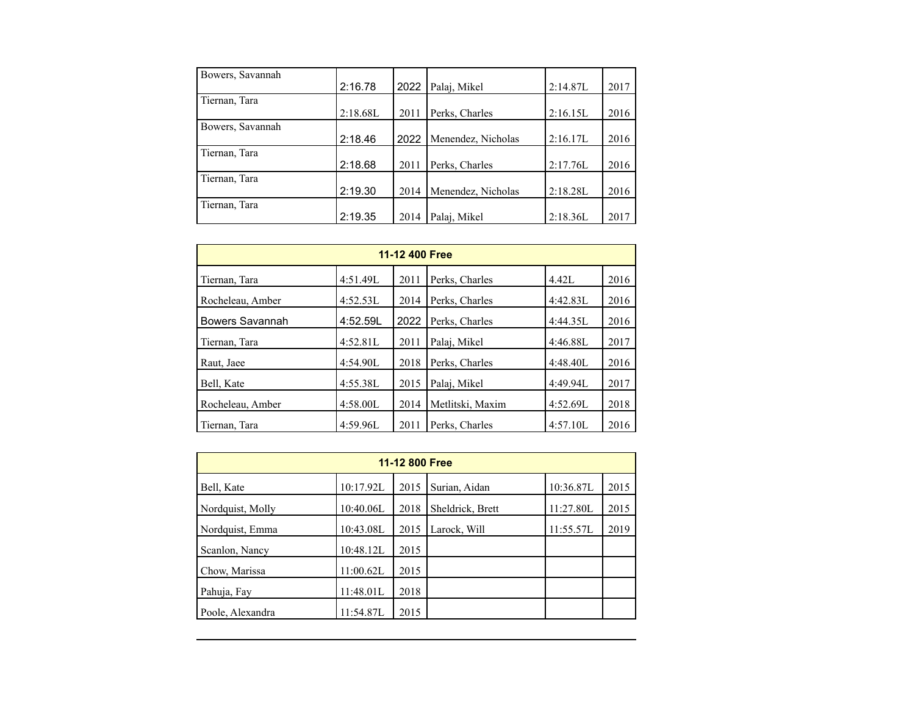| Bowers, Savannah |          |      |                    |          |      |
|------------------|----------|------|--------------------|----------|------|
|                  | 2:16.78  | 2022 | Palaj, Mikel       | 2:14.87L | 2017 |
| Tiernan, Tara    |          |      |                    |          |      |
|                  | 2:18.68L | 2011 | Perks, Charles     | 2:16.15L | 2016 |
| Bowers, Savannah |          |      |                    |          |      |
|                  | 2:18.46  | 2022 | Menendez, Nicholas | 2:16.17L | 2016 |
| Tiernan, Tara    |          |      |                    |          |      |
|                  | 2:18.68  | 2011 | Perks, Charles     | 2:17.76L | 2016 |
| Tiernan, Tara    |          |      |                    |          |      |
|                  | 2:19.30  | 2014 | Menendez, Nicholas | 2:18.28L | 2016 |
| Tiernan, Tara    |          |      |                    |          |      |
|                  | 2:19.35  | 2014 | Palaj, Mikel       | 2:18.36L | 2017 |

| 11-12 400 Free   |          |      |                  |          |      |  |  |  |  |
|------------------|----------|------|------------------|----------|------|--|--|--|--|
| Tiernan, Tara    | 4:51.49L | 2011 | Perks, Charles   | 4.42L    | 2016 |  |  |  |  |
| Rocheleau, Amber | 4:52.53L | 2014 | Perks, Charles   | 4:42.83L | 2016 |  |  |  |  |
| Bowers Savannah  | 4:52.59L | 2022 | Perks, Charles   | 4:44.35L | 2016 |  |  |  |  |
| Tiernan, Tara    | 4:52.81L | 2011 | Palai, Mikel     | 4:46.88L | 2017 |  |  |  |  |
| Raut, Jaee       | 4:54.90L | 2018 | Perks, Charles   | 4:48.40L | 2016 |  |  |  |  |
| Bell, Kate       | 4:55.38L | 2015 | Palaj, Mikel     | 4:49.94L | 2017 |  |  |  |  |
| Rocheleau, Amber | 4:58.00L | 2014 | Metlitski, Maxim | 4:52.69L | 2018 |  |  |  |  |
| Tiernan, Tara    | 4:59.96L | 2011 | Perks, Charles   | 4:57.10L | 2016 |  |  |  |  |

| 11-12 800 Free   |           |      |                  |           |      |  |  |  |  |
|------------------|-----------|------|------------------|-----------|------|--|--|--|--|
| Bell, Kate       | 10:17.92L | 2015 | Surian, Aidan    | 10:36.87L | 2015 |  |  |  |  |
| Nordquist, Molly | 10:40.06L | 2018 | Sheldrick, Brett | 11:27.80L | 2015 |  |  |  |  |
| Nordquist, Emma  | 10:43.08L | 2015 | Larock, Will     | 11:55.57L | 2019 |  |  |  |  |
| Scanlon, Nancy   | 10:48.12L | 2015 |                  |           |      |  |  |  |  |
| Chow, Marissa    | 11:00.62L | 2015 |                  |           |      |  |  |  |  |
| Pahuja, Fay      | 11:48.01L | 2018 |                  |           |      |  |  |  |  |
| Poole, Alexandra | 11:54.87L | 2015 |                  |           |      |  |  |  |  |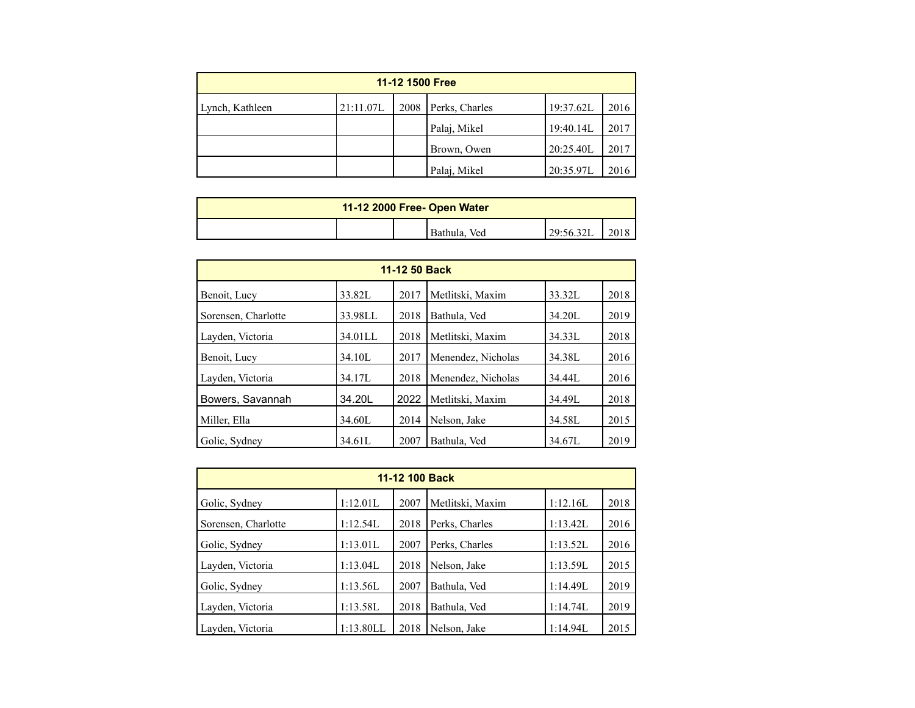| 11-12 1500 Free |           |      |                |           |      |  |  |  |
|-----------------|-----------|------|----------------|-----------|------|--|--|--|
| Lynch, Kathleen | 21:11.07L | 2008 | Perks, Charles | 19:37.62L | 2016 |  |  |  |
|                 |           |      | Palaj, Mikel   | 19:40.14L | 2017 |  |  |  |
|                 |           |      | Brown, Owen    | 20:25.40L | 2017 |  |  |  |
|                 |           |      | Palaj, Mikel   | 20:35.97L | 2016 |  |  |  |

| 11-12 2000 Free- Open Water |  |  |                 |           |  |  |
|-----------------------------|--|--|-----------------|-----------|--|--|
|                             |  |  | Bathula,<br>Ved | 29:56.32L |  |  |

| 11-12 50 Back       |         |      |                    |        |      |  |  |  |  |
|---------------------|---------|------|--------------------|--------|------|--|--|--|--|
| Benoit, Lucy        | 33.82L  | 2017 | Metlitski, Maxim   | 33.32L | 2018 |  |  |  |  |
| Sorensen, Charlotte | 33.98LL | 2018 | Bathula, Ved       | 34.20L | 2019 |  |  |  |  |
| Layden, Victoria    | 34.01LL | 2018 | Metlitski, Maxim   | 34.33L | 2018 |  |  |  |  |
| Benoit, Lucy        | 34.10L  | 2017 | Menendez, Nicholas | 34.38L | 2016 |  |  |  |  |
| Layden, Victoria    | 34.17L  | 2018 | Menendez, Nicholas | 34.44L | 2016 |  |  |  |  |
| Bowers, Savannah    | 34.20L  | 2022 | Metlitski, Maxim   | 34.49L | 2018 |  |  |  |  |
| Miller, Ella        | 34.60L  | 2014 | Nelson, Jake       | 34.58L | 2015 |  |  |  |  |
| Golic, Sydney       | 34.61L  | 2007 | Bathula, Ved       | 34.67L | 2019 |  |  |  |  |

| 11-12 100 Back      |           |      |                  |          |      |  |  |  |  |
|---------------------|-----------|------|------------------|----------|------|--|--|--|--|
| Golic, Sydney       | 1:12.01L  | 2007 | Metlitski, Maxim | 1:12.16L | 2018 |  |  |  |  |
| Sorensen, Charlotte | 1:12.54L  | 2018 | Perks, Charles   | 1:13.42L | 2016 |  |  |  |  |
| Golic, Sydney       | 1:13.01L  | 2007 | Perks, Charles   | 1:13.52L | 2016 |  |  |  |  |
| Layden, Victoria    | 1:13.04L  | 2018 | Nelson, Jake     | 1:13.59L | 2015 |  |  |  |  |
| Golic, Sydney       | 1:13.56L  | 2007 | Bathula, Ved     | 1:14.49L | 2019 |  |  |  |  |
| Layden, Victoria    | 1:13.58L  | 2018 | Bathula, Ved     | 1:14.74L | 2019 |  |  |  |  |
| Layden, Victoria    | 1:13.80LL | 2018 | Nelson, Jake     | 1:14.94L | 2015 |  |  |  |  |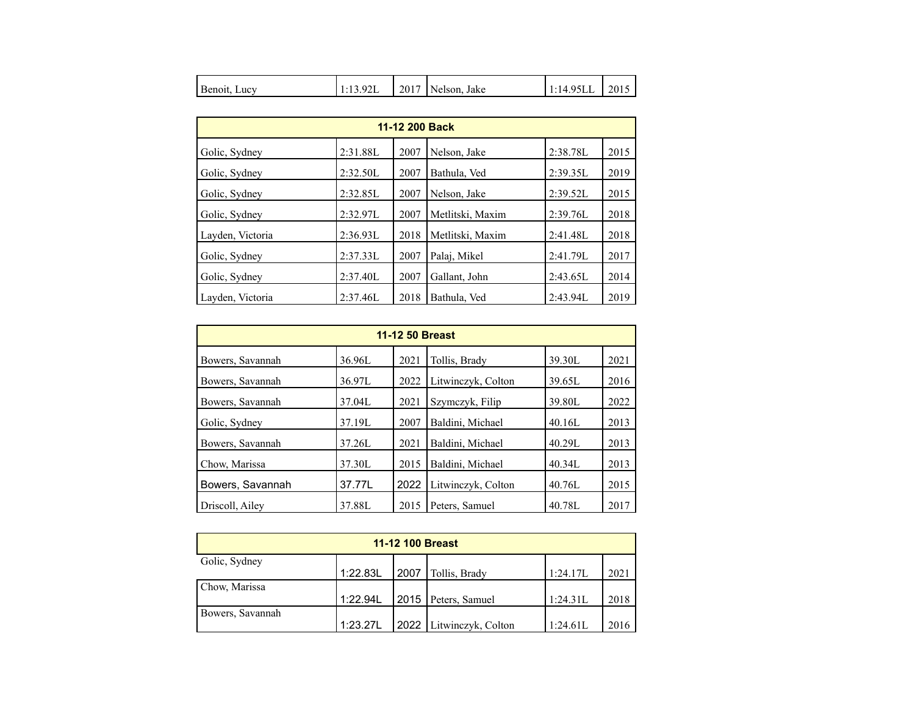| Benoit.<br>LUCV | u<br>.<br>. | 201 | Jake<br>Nelson. | $-$<br>ر د ا<br>--<br>. | 2015 |
|-----------------|-------------|-----|-----------------|-------------------------|------|
|-----------------|-------------|-----|-----------------|-------------------------|------|

| 11-12 200 Back   |          |      |                  |          |      |  |  |  |  |
|------------------|----------|------|------------------|----------|------|--|--|--|--|
| Golic, Sydney    | 2:31.88L | 2007 | Nelson, Jake     | 2:38.78L | 2015 |  |  |  |  |
| Golic, Sydney    | 2:32.50L | 2007 | Bathula, Ved     | 2:39.35L | 2019 |  |  |  |  |
| Golic, Sydney    | 2:32.85L | 2007 | Nelson, Jake     | 2:39.52L | 2015 |  |  |  |  |
| Golic, Sydney    | 2:32.97L | 2007 | Metlitski, Maxim | 2:39.76L | 2018 |  |  |  |  |
| Layden, Victoria | 2:36.93L | 2018 | Metlitski, Maxim | 2:41.48L | 2018 |  |  |  |  |
| Golic, Sydney    | 2:37.33L | 2007 | Palai, Mikel     | 2:41.79L | 2017 |  |  |  |  |
| Golic, Sydney    | 2:37.40L | 2007 | Gallant, John    | 2:43.65L | 2014 |  |  |  |  |
| Layden, Victoria | 2:37.46L | 2018 | Bathula, Ved     | 2:43.94L | 2019 |  |  |  |  |

| <b>11-12 50 Breast</b> |        |      |                    |        |      |  |  |  |  |
|------------------------|--------|------|--------------------|--------|------|--|--|--|--|
| Bowers, Savannah       | 36.96L | 2021 | Tollis, Brady      | 39.30L | 2021 |  |  |  |  |
| Bowers, Savannah       | 36.97L | 2022 | Litwinczyk, Colton | 39.65L | 2016 |  |  |  |  |
| Bowers, Savannah       | 37.04L | 2021 | Szymczyk, Filip    | 39.80L | 2022 |  |  |  |  |
| Golic, Sydney          | 37.19L | 2007 | Baldini, Michael   | 40.16L | 2013 |  |  |  |  |
| Bowers, Savannah       | 37.26L | 2021 | Baldini, Michael   | 40.29L | 2013 |  |  |  |  |
| Chow, Marissa          | 37.30L | 2015 | Baldini, Michael   | 40.34L | 2013 |  |  |  |  |
| Bowers, Savannah       | 37.77L | 2022 | Litwinczyk, Colton | 40.76L | 2015 |  |  |  |  |
| Driscoll, Ailey        | 37.88L | 2015 | Peters, Samuel     | 40.78L | 2017 |  |  |  |  |

| <b>11-12 100 Breast</b> |          |      |                         |          |      |  |  |  |  |
|-------------------------|----------|------|-------------------------|----------|------|--|--|--|--|
| Golic, Sydney           |          |      |                         |          |      |  |  |  |  |
|                         | 1:22.83L | 2007 | Tollis, Brady           | 1:24.17L | 2021 |  |  |  |  |
| Chow, Marissa           |          |      |                         |          |      |  |  |  |  |
|                         | 1:22.94L |      | 2015   Peters, Samuel   | 1:24.31L | 2018 |  |  |  |  |
| Bowers, Savannah        |          |      |                         |          |      |  |  |  |  |
|                         | 1:23.27L |      | 2022 Litwinczyk, Colton | 1:24.61L | 2016 |  |  |  |  |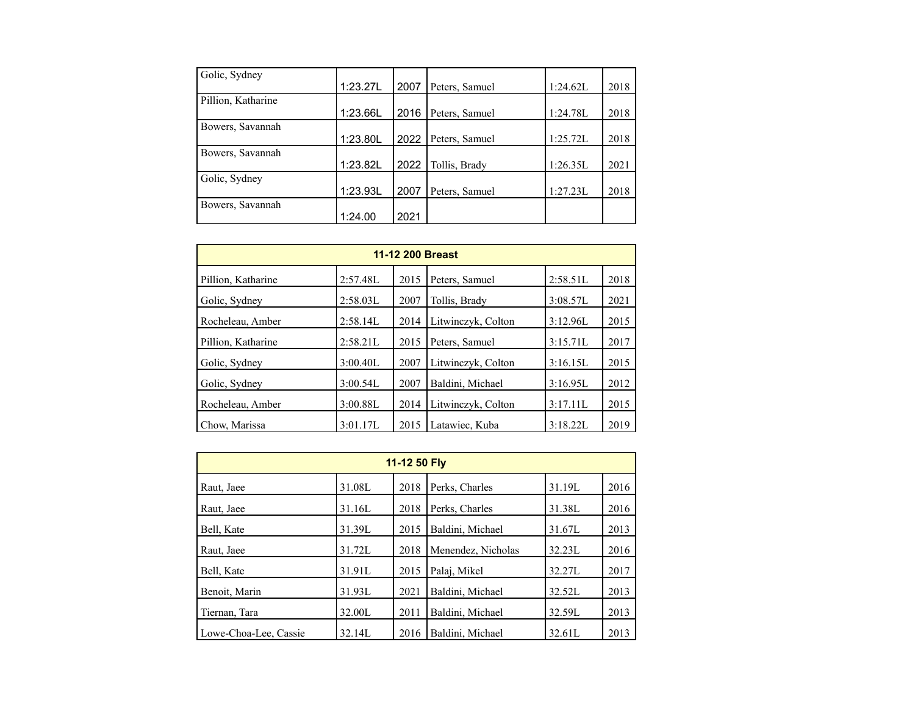| Golic, Sydney      |          |      |                |          |      |
|--------------------|----------|------|----------------|----------|------|
|                    | 1:23.27L | 2007 | Peters, Samuel | 1:24.62L | 2018 |
| Pillion, Katharine |          |      |                |          |      |
|                    | 1:23.66L | 2016 | Peters, Samuel | 1:24.78L | 2018 |
| Bowers, Savannah   |          |      |                |          |      |
|                    | 1:23.80L | 2022 | Peters, Samuel | 1:25.72L | 2018 |
| Bowers, Savannah   |          |      |                |          |      |
|                    | 1:23.82L | 2022 | Tollis, Brady  | 1:26.35L | 2021 |
| Golic, Sydney      |          |      |                |          |      |
|                    | 1:23.93L | 2007 | Peters, Samuel | 1:27.23L | 2018 |
| Bowers, Savannah   |          |      |                |          |      |
|                    | 1:24.00  | 2021 |                |          |      |

| 11-12 200 Breast   |          |      |                    |          |      |  |  |  |  |
|--------------------|----------|------|--------------------|----------|------|--|--|--|--|
| Pillion, Katharine | 2:57.48L | 2015 | Peters, Samuel     | 2:58.51L | 2018 |  |  |  |  |
| Golic, Sydney      | 2:58.03L | 2007 | Tollis, Brady      | 3:08.57L | 2021 |  |  |  |  |
| Rocheleau, Amber   | 2:58.14L | 2014 | Litwinczyk, Colton | 3:12.96L | 2015 |  |  |  |  |
| Pillion, Katharine | 2:58.21L | 2015 | Peters, Samuel     | 3:15.71L | 2017 |  |  |  |  |
| Golic, Sydney      | 3:00.40L | 2007 | Litwinczyk, Colton | 3:16.15L | 2015 |  |  |  |  |
| Golic, Sydney      | 3:00.54L | 2007 | Baldini, Michael   | 3:16.95L | 2012 |  |  |  |  |
| Rocheleau, Amber   | 3:00.88L | 2014 | Litwinczyk, Colton | 3:17.11L | 2015 |  |  |  |  |
| Chow, Marissa      | 3:01.17L | 2015 | Latawiec, Kuba     | 3:18.22L | 2019 |  |  |  |  |

| 11-12 50 Fly          |        |      |                    |        |      |  |  |  |
|-----------------------|--------|------|--------------------|--------|------|--|--|--|
| Raut, Jaee            | 31.08L | 2018 | Perks, Charles     | 31.19L | 2016 |  |  |  |
| Raut, Jaee            | 31.16L | 2018 | Perks, Charles     | 31.38L | 2016 |  |  |  |
| Bell, Kate            | 31.39L | 2015 | Baldini, Michael   | 31.67L | 2013 |  |  |  |
| Raut, Jaee            | 31.72L | 2018 | Menendez, Nicholas | 32.23L | 2016 |  |  |  |
| Bell, Kate            | 31.91L | 2015 | Palai, Mikel       | 32.27L | 2017 |  |  |  |
| Benoit, Marin         | 31.93L | 2021 | Baldini, Michael   | 32.52L | 2013 |  |  |  |
| Tiernan, Tara         | 32.00L | 2011 | Baldini, Michael   | 32.59L | 2013 |  |  |  |
| Lowe-Choa-Lee, Cassie | 32.14L | 2016 | Baldini, Michael   | 32.61L | 2013 |  |  |  |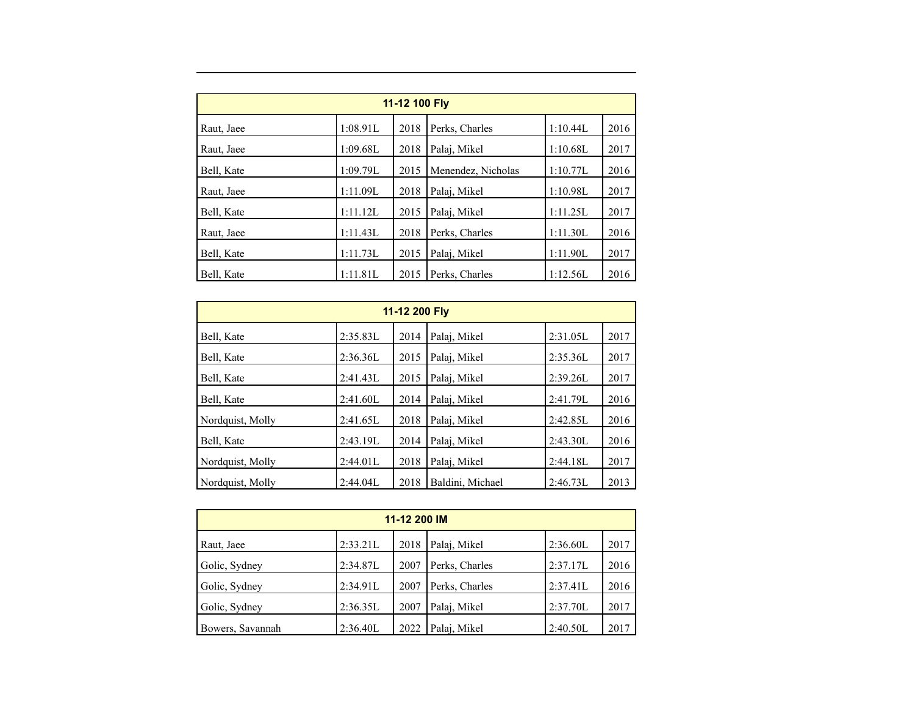| 11-12 100 Fly |          |      |                    |          |      |  |  |  |
|---------------|----------|------|--------------------|----------|------|--|--|--|
| Raut, Jaee    | 1:08.91L | 2018 | Perks, Charles     | 1:10.44L | 2016 |  |  |  |
| Raut, Jaee    | 1:09.68L | 2018 | Palaj, Mikel       | 1:10.68L | 2017 |  |  |  |
| Bell, Kate    | 1:09.79L | 2015 | Menendez, Nicholas | 1:10.77L | 2016 |  |  |  |
| Raut, Jaee    | 1:11.09L | 2018 | Palai, Mikel       | 1:10.98L | 2017 |  |  |  |
| Bell, Kate    | 1:11.12L | 2015 | Palaj, Mikel       | 1:11.25L | 2017 |  |  |  |
| Raut, Jaee    | 1:11.43L | 2018 | Perks, Charles     | 1:11.30L | 2016 |  |  |  |
| Bell, Kate    | 1:11.73L | 2015 | Palai, Mikel       | 1:11.90L | 2017 |  |  |  |
| Bell, Kate    | 1:11.81L | 2015 | Perks, Charles     | 1:12.56L | 2016 |  |  |  |

| 11-12 200 Fly    |          |      |                  |          |      |  |  |  |
|------------------|----------|------|------------------|----------|------|--|--|--|
| Bell, Kate       | 2:35.83L | 2014 | Palaj, Mikel     | 2:31.05L | 2017 |  |  |  |
| Bell, Kate       | 2:36.36L | 2015 | Palai, Mikel     | 2:35.36L | 2017 |  |  |  |
| Bell, Kate       | 2:41.43L | 2015 | Palai, Mikel     | 2:39.26L | 2017 |  |  |  |
| Bell, Kate       | 2:41.60L | 2014 | Palaj, Mikel     | 2:41.79L | 2016 |  |  |  |
| Nordquist, Molly | 2:41.65L | 2018 | Palaj, Mikel     | 2:42.85L | 2016 |  |  |  |
| Bell, Kate       | 2:43.19L | 2014 | Palaj, Mikel     | 2:43.30L | 2016 |  |  |  |
| Nordquist, Molly | 2:44.01L | 2018 | Palaj, Mikel     | 2:44.18L | 2017 |  |  |  |
| Nordquist, Molly | 2:44.04L | 2018 | Baldini, Michael | 2:46.73L | 2013 |  |  |  |

| 11-12 200 IM     |          |      |                |          |      |  |  |  |
|------------------|----------|------|----------------|----------|------|--|--|--|
| Raut, Jaee       | 2:33.21L | 2018 | Palaj, Mikel   | 2:36.60L | 2017 |  |  |  |
| Golic, Sydney    | 2:34.87L | 2007 | Perks, Charles | 2:37.17L | 2016 |  |  |  |
| Golic, Sydney    | 2:34.91L | 2007 | Perks, Charles | 2:37.41L | 2016 |  |  |  |
| Golic, Sydney    | 2:36.35L | 2007 | Palaj, Mikel   | 2:37.70L | 2017 |  |  |  |
| Bowers, Savannah | 2:36.40L | 2022 | Palaj, Mikel   | 2:40.50L | 2017 |  |  |  |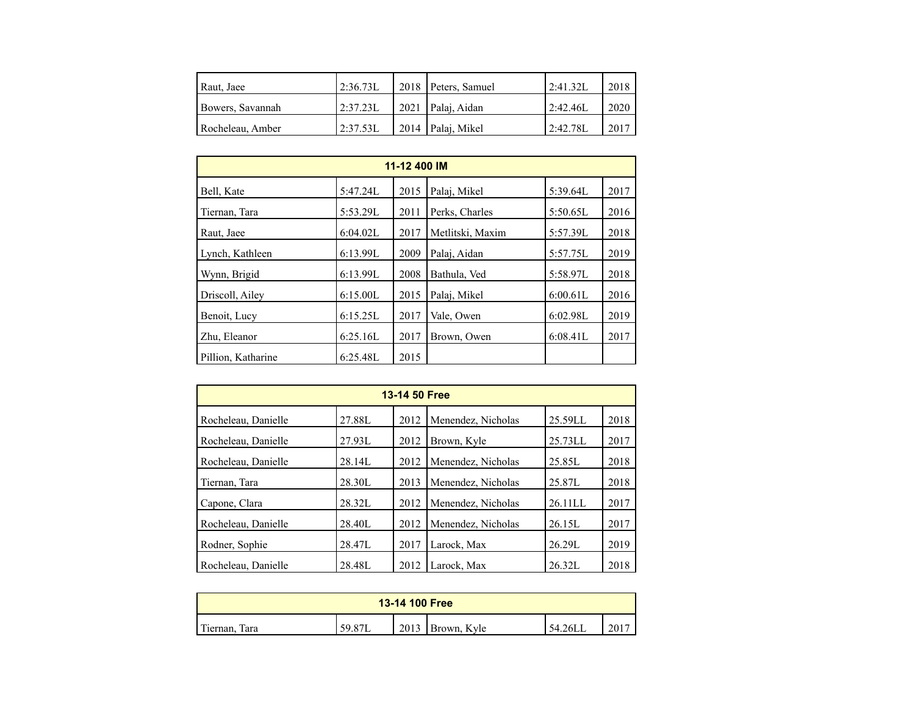| Raut, Jaee       | 12:36.73L | 2018 Peters, Samuel | 2:41.32L  | 2018 |
|------------------|-----------|---------------------|-----------|------|
| Bowers, Savannah | 2:37.23L  | 2021   Palai, Aidan | 2:42.46   | 2020 |
| Rocheleau, Amber | 2:37.53L  | 2014 Palaj, Mikel   | 12:42.78L | 2017 |

| 11-12 400 IM       |          |      |                  |          |      |  |  |  |
|--------------------|----------|------|------------------|----------|------|--|--|--|
| Bell, Kate         | 5:47.24L | 2015 | Palaj, Mikel     | 5:39.64L | 2017 |  |  |  |
| Tiernan, Tara      | 5:53.29L | 2011 | Perks, Charles   | 5:50.65L | 2016 |  |  |  |
| Raut, Jaee         | 6:04.02L | 2017 | Metlitski, Maxim | 5:57.39L | 2018 |  |  |  |
| Lynch, Kathleen    | 6:13.99L | 2009 | Palai, Aidan     | 5:57.75L | 2019 |  |  |  |
| Wynn, Brigid       | 6:13.99L | 2008 | Bathula, Ved     | 5:58.97L | 2018 |  |  |  |
| Driscoll, Ailey    | 6:15.00L | 2015 | Palaj, Mikel     | 6:00.61L | 2016 |  |  |  |
| Benoit, Lucy       | 6:15.25L | 2017 | Vale, Owen       | 6:02.98L | 2019 |  |  |  |
| Zhu, Eleanor       | 6:25.16L | 2017 | Brown, Owen      | 6:08.41L | 2017 |  |  |  |
| Pillion, Katharine | 6:25.48L | 2015 |                  |          |      |  |  |  |

| 13-14 50 Free       |        |      |                    |         |      |  |  |  |
|---------------------|--------|------|--------------------|---------|------|--|--|--|
| Rocheleau, Danielle | 27.88L | 2012 | Menendez, Nicholas | 25.59LL | 2018 |  |  |  |
| Rocheleau, Danielle | 27.93L | 2012 | Brown, Kyle        | 25.73LL | 2017 |  |  |  |
| Rocheleau, Danielle | 28.14L | 2012 | Menendez, Nicholas | 25.85L  | 2018 |  |  |  |
| Tiernan, Tara       | 28.30L | 2013 | Menendez, Nicholas | 25.87L  | 2018 |  |  |  |
| Capone, Clara       | 28.32L | 2012 | Menendez, Nicholas | 26.11LL | 2017 |  |  |  |
| Rocheleau, Danielle | 28.40L | 2012 | Menendez, Nicholas | 26.15L  | 2017 |  |  |  |
| Rodner, Sophie      | 28.47L | 2017 | Larock, Max        | 26.29L  | 2019 |  |  |  |
| Rocheleau, Danielle | 28.48L | 2012 | Larock. Max        | 26.32L  | 2018 |  |  |  |

| 13-14 100 Free         |        |      |             |         |  |  |
|------------------------|--------|------|-------------|---------|--|--|
| m.<br>Tara<br>Tiernan. | 59.87L | 2013 | Brown, Kyle | 54.26LL |  |  |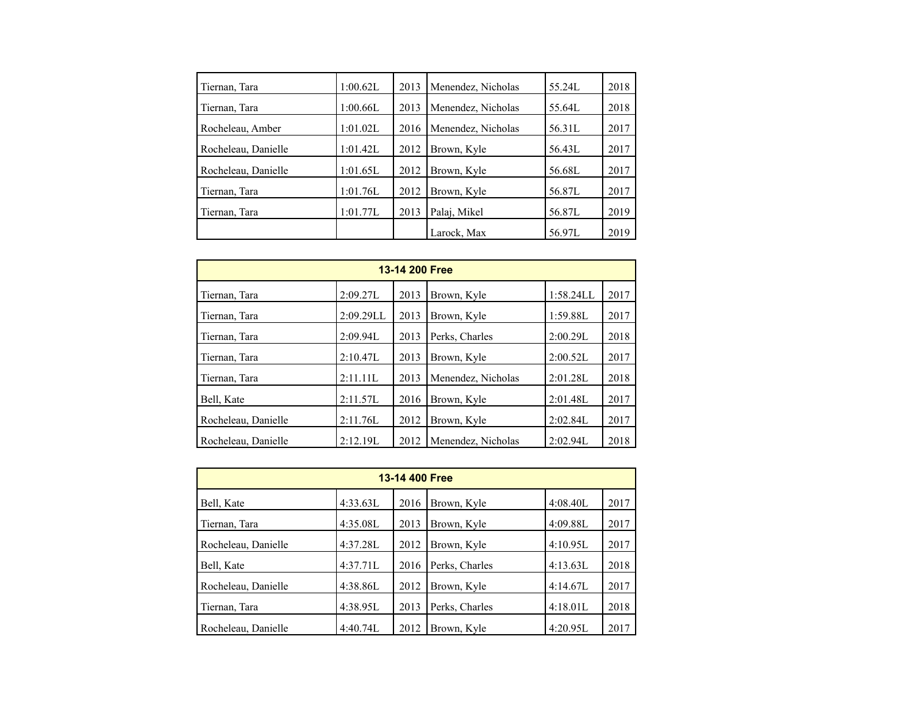| Tiernan, Tara       | 1:00.62L | 2013 | Menendez, Nicholas | 55.24L | 2018 |
|---------------------|----------|------|--------------------|--------|------|
| Tiernan, Tara       | 1:00.66L | 2013 | Menendez, Nicholas | 55.64L | 2018 |
| Rocheleau, Amber    | 1:01.02L | 2016 | Menendez, Nicholas | 56.31L | 2017 |
| Rocheleau, Danielle | 1:01.42L | 2012 | Brown, Kyle        | 56.43L | 2017 |
| Rocheleau, Danielle | 1:01.65L | 2012 | Brown, Kyle        | 56.68L | 2017 |
| Tiernan, Tara       | 1:01.76L | 2012 | Brown, Kyle        | 56.87L | 2017 |
| Tiernan, Tara       | 1:01.77L | 2013 | Palaj, Mikel       | 56.87L | 2019 |
|                     |          |      | Larock, Max        | 56.97L | 2019 |

| 13-14 200 Free      |           |      |                    |           |      |  |  |  |
|---------------------|-----------|------|--------------------|-----------|------|--|--|--|
| Tiernan, Tara       | 2:09.27L  | 2013 | Brown, Kyle        | 1:58.24LL | 2017 |  |  |  |
| Tiernan, Tara       | 2:09.29LL | 2013 | Brown, Kyle        | 1:59.88L  | 2017 |  |  |  |
| Tiernan, Tara       | 2:09.94L  | 2013 | Perks, Charles     | 2:00.29L  | 2018 |  |  |  |
| Tiernan, Tara       | 2:10.47L  | 2013 | Brown, Kyle        | 2:00.52L  | 2017 |  |  |  |
| Tiernan, Tara       | 2:11.11L  | 2013 | Menendez, Nicholas | 2:01.28L  | 2018 |  |  |  |
| Bell, Kate          | 2:11.57L  | 2016 | Brown, Kyle        | 2:01.48L  | 2017 |  |  |  |
| Rocheleau, Danielle | 2:11.76L  | 2012 | Brown, Kyle        | 2:02.84L  | 2017 |  |  |  |
| Rocheleau, Danielle | 2:12.19L  | 2012 | Menendez, Nicholas | 2:02.94L  | 2018 |  |  |  |

| 13-14 400 Free      |          |      |                |          |      |  |  |
|---------------------|----------|------|----------------|----------|------|--|--|
| Bell, Kate          | 4:33.63L | 2016 | Brown, Kyle    | 4:08.40L | 2017 |  |  |
| Tiernan, Tara       | 4:35.08L | 2013 | Brown, Kyle    | 4:09.88L | 2017 |  |  |
| Rocheleau, Danielle | 4:37.28L | 2012 | Brown, Kyle    | 4:10.95L | 2017 |  |  |
| Bell, Kate          | 4:37.71L | 2016 | Perks, Charles | 4:13.63L | 2018 |  |  |
| Rocheleau, Danielle | 4:38.86L | 2012 | Brown, Kyle    | 4:14.67L | 2017 |  |  |
| Tiernan, Tara       | 4:38.95L | 2013 | Perks, Charles | 4:18.01L | 2018 |  |  |
| Rocheleau, Danielle | 4:40.74L | 2012 | Brown, Kyle    | 4:20.95L | 2017 |  |  |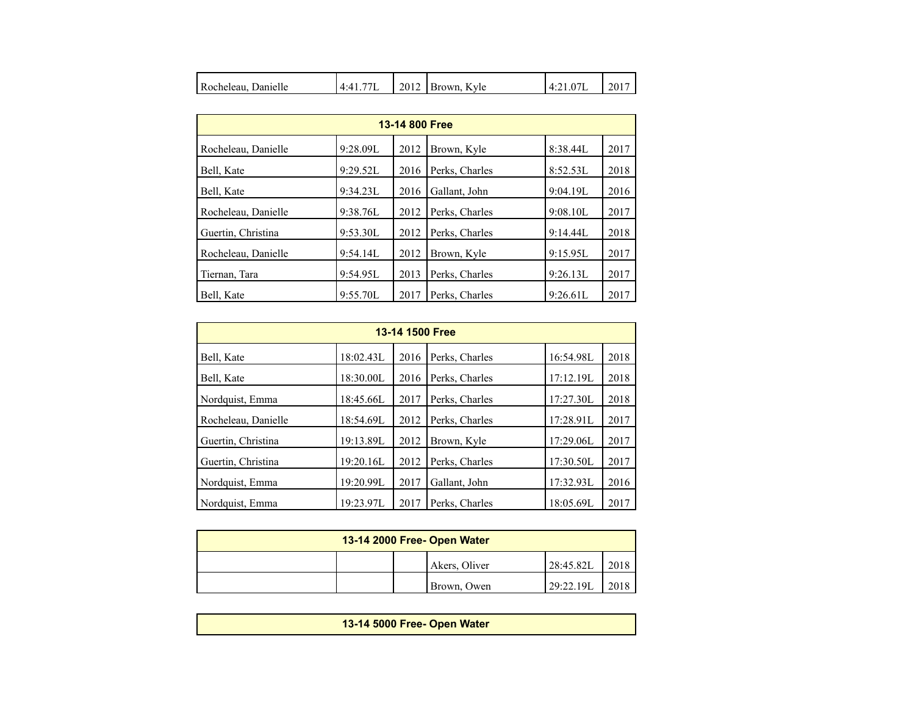| 77<br>Rocheleau, Danielle<br>4·4 | 2012<br>Brown, Kyle | $-4.21.0$ , | 2017 |
|----------------------------------|---------------------|-------------|------|
|----------------------------------|---------------------|-------------|------|

| 13-14 800 Free      |          |      |                |          |      |  |  |  |
|---------------------|----------|------|----------------|----------|------|--|--|--|
| Rocheleau, Danielle | 9:28.09L | 2012 | Brown, Kyle    | 8:38.44L | 2017 |  |  |  |
| Bell, Kate          | 9:29.52L | 2016 | Perks, Charles | 8:52.53L | 2018 |  |  |  |
| Bell, Kate          | 9:34.23L | 2016 | Gallant, John  | 9:04.19L | 2016 |  |  |  |
| Rocheleau, Danielle | 9:38.76L | 2012 | Perks, Charles | 9:08.10L | 2017 |  |  |  |
| Guertin, Christina  | 9:53.30L | 2012 | Perks, Charles | 9:14.44L | 2018 |  |  |  |
| Rocheleau, Danielle | 9:54.14L | 2012 | Brown, Kyle    | 9:15.95L | 2017 |  |  |  |
| Tiernan, Tara       | 9:54.95L | 2013 | Perks, Charles | 9:26.13L | 2017 |  |  |  |
| Bell, Kate          | 9:55.70L | 2017 | Perks, Charles | 9:26.61L | 2017 |  |  |  |

| 13-14 1500 Free     |           |      |                |           |      |  |  |  |
|---------------------|-----------|------|----------------|-----------|------|--|--|--|
| Bell, Kate          | 18:02.43L | 2016 | Perks, Charles | 16:54.98L | 2018 |  |  |  |
| Bell, Kate          | 18:30.00L | 2016 | Perks, Charles | 17:12.19L | 2018 |  |  |  |
| Nordquist, Emma     | 18:45.66L | 2017 | Perks, Charles | 17:27.30L | 2018 |  |  |  |
| Rocheleau, Danielle | 18:54.69L | 2012 | Perks, Charles | 17:28.91L | 2017 |  |  |  |
| Guertin, Christina  | 19:13.89L | 2012 | Brown, Kyle    | 17:29.06L | 2017 |  |  |  |
| Guertin, Christina  | 19:20.16L | 2012 | Perks, Charles | 17:30.50L | 2017 |  |  |  |
| Nordquist, Emma     | 19:20.99L | 2017 | Gallant, John  | 17:32.93L | 2016 |  |  |  |
| Nordquist, Emma     | 19:23.97L | 2017 | Perks, Charles | 18:05.69L | 2017 |  |  |  |

| 13-14 2000 Free- Open Water |  |               |            |      |  |  |
|-----------------------------|--|---------------|------------|------|--|--|
|                             |  | Akers, Oliver | 128:45.82L | 2018 |  |  |
|                             |  | Brown, Owen   | 29:22.19L  | 2018 |  |  |

**13-14 5000 Free- Open Water**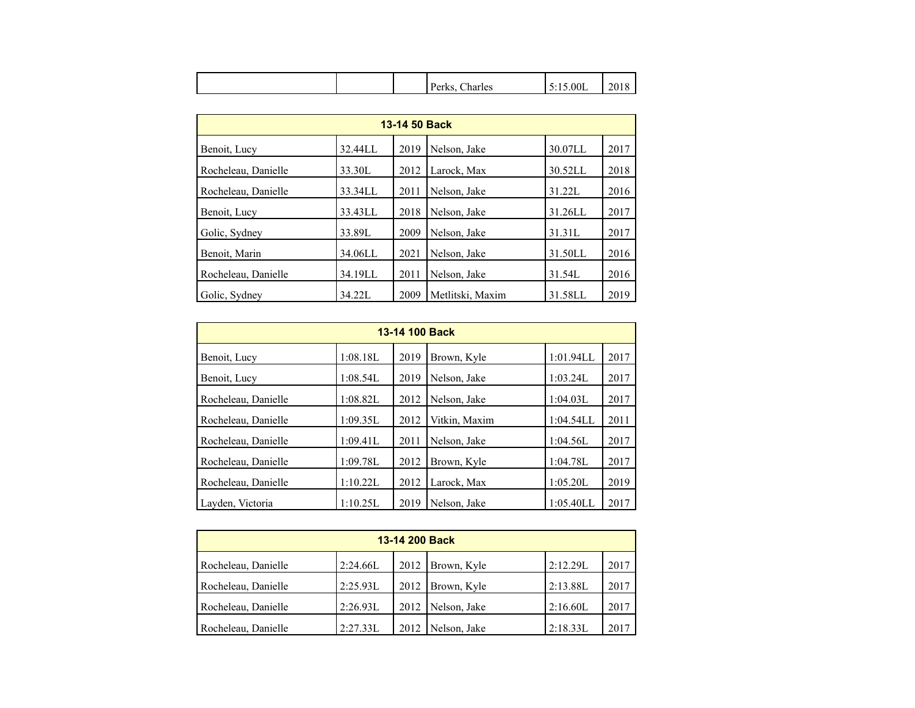| $\mathbf{D}_{\text{max}}$<br><b>UIND</b><br>л. | i:15.00L<br>harles | ጎሰ<br>∠∪<br>x |
|------------------------------------------------|--------------------|---------------|
|------------------------------------------------|--------------------|---------------|

| 13-14 50 Back       |         |      |                  |            |      |  |  |  |
|---------------------|---------|------|------------------|------------|------|--|--|--|
| Benoit, Lucy        | 32.44LL | 2019 | Nelson, Jake     | 30.07LL    | 2017 |  |  |  |
| Rocheleau, Danielle | 33.30L  | 2012 | Larock, Max      | 30.52LL    | 2018 |  |  |  |
| Rocheleau, Danielle | 33.34LL | 2011 | Nelson, Jake     | 31.22L     | 2016 |  |  |  |
| Benoit, Lucy        | 33.43LL | 2018 | Nelson, Jake     | $31.26$ LL | 2017 |  |  |  |
| Golic, Sydney       | 33.89L  | 2009 | Nelson, Jake     | 31.31L     | 2017 |  |  |  |
| Benoit, Marin       | 34.06LL | 2021 | Nelson, Jake     | 31.50LL    | 2016 |  |  |  |
| Rocheleau, Danielle | 34.19LL | 2011 | Nelson, Jake     | 31.54L     | 2016 |  |  |  |
| Golic, Sydney       | 34.221  | 2009 | Metlitski, Maxim | 31.58LL    | 2019 |  |  |  |

| 13-14 100 Back      |          |      |               |           |      |  |  |
|---------------------|----------|------|---------------|-----------|------|--|--|
| Benoit, Lucy        | 1:08.18L | 2019 | Brown, Kyle   | 1:01.94LL | 2017 |  |  |
| Benoit, Lucy        | 1:08.54L | 2019 | Nelson, Jake  | 1:03.24L  | 2017 |  |  |
| Rocheleau, Danielle | 1:08.82L | 2012 | Nelson, Jake  | 1:04.03L  | 2017 |  |  |
| Rocheleau, Danielle | 1:09.35L | 2012 | Vitkin, Maxim | 1:04.54LL | 2011 |  |  |
| Rocheleau, Danielle | 1:09.41L | 2011 | Nelson, Jake  | 1:04.56L  | 2017 |  |  |
| Rocheleau, Danielle | 1:09.78L | 2012 | Brown, Kyle   | 1:04.78L  | 2017 |  |  |
| Rocheleau, Danielle | 1:10.22L | 2012 | Larock, Max   | 1:05.20L  | 2019 |  |  |
| Layden, Victoria    | 1:10.25L | 2019 | Nelson, Jake  | 1:05.40LL | 2017 |  |  |

| 13-14 200 Back      |          |      |                    |          |      |  |  |
|---------------------|----------|------|--------------------|----------|------|--|--|
| Rocheleau, Danielle | 2:24.66L |      | 2012   Brown, Kyle | 2:12.29L | 2017 |  |  |
| Rocheleau, Danielle | 2:25.93L | 2012 | Brown, Kyle        | 2:13.88L | 2017 |  |  |
| Rocheleau, Danielle | 2:26.93L | 2012 | Nelson, Jake       | 2:16.60L | 2017 |  |  |
| Rocheleau, Danielle | 2:27.33L | 2012 | Nelson, Jake       | 2:18.33L | 2017 |  |  |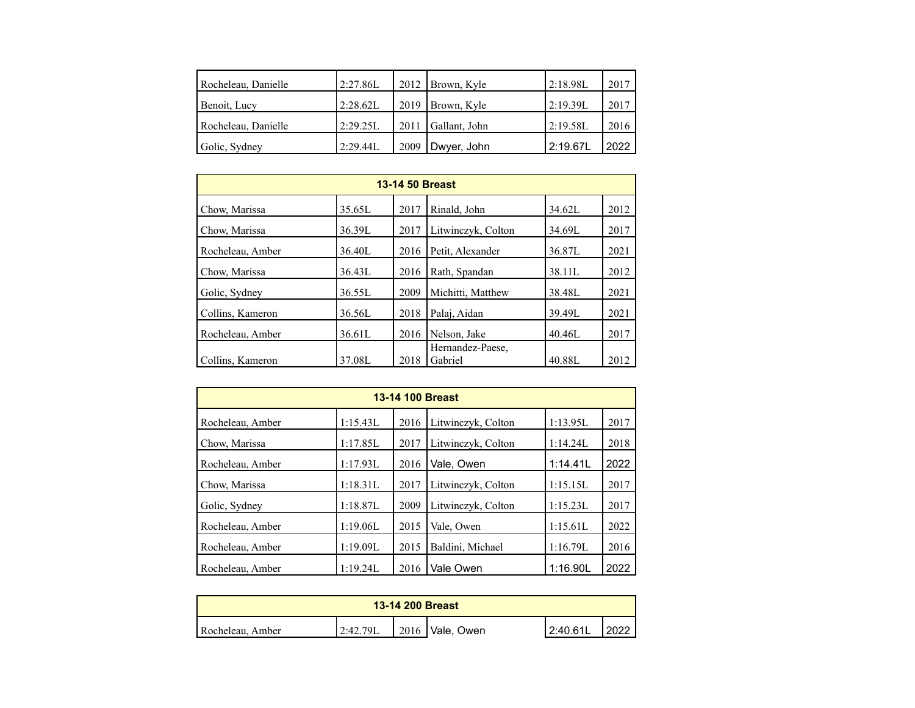| Rocheleau, Danielle | 2:27.86L |      | 2012   Brown, Kyle | 2:18.98L | 2017 |
|---------------------|----------|------|--------------------|----------|------|
| Benoit, Lucy        | 2:28.62L | 2019 | Brown, Kyle        | 2:19.39L | 2017 |
| Rocheleau, Danielle | 2:29.25L | 2011 | Gallant, John      | 2:19.58L | 2016 |
| Golic, Sydney       | 2:29.44L | 2009 | Dwyer, John        | 2:19.67L | 2022 |

| <b>13-14 50 Breast</b> |        |      |                             |        |      |  |  |
|------------------------|--------|------|-----------------------------|--------|------|--|--|
| Chow, Marissa          | 35.65L | 2017 | Rinald, John                | 34.62L | 2012 |  |  |
| Chow, Marissa          | 36.39L | 2017 | Litwinczyk, Colton          | 34.69L | 2017 |  |  |
| Rocheleau, Amber       | 36.40L | 2016 | Petit, Alexander            | 36.87L | 2021 |  |  |
| Chow, Marissa          | 36.43L | 2016 | Rath, Spandan               | 38.11L | 2012 |  |  |
| Golic, Sydney          | 36.55L | 2009 | Michitti, Matthew           | 38.48L | 2021 |  |  |
| Collins, Kameron       | 36.56L | 2018 | Palai, Aidan                | 39.49L | 2021 |  |  |
| Rocheleau, Amber       | 36.61L | 2016 | Nelson, Jake                | 40.46L | 2017 |  |  |
| Collins, Kameron       | 37.08L | 2018 | Hernandez-Paese,<br>Gabriel | 40.88L | 2012 |  |  |

| 13-14 100 Breast |          |      |                    |          |      |  |  |  |
|------------------|----------|------|--------------------|----------|------|--|--|--|
| Rocheleau, Amber | 1:15.43L | 2016 | Litwinczyk, Colton | 1:13.95L | 2017 |  |  |  |
| Chow, Marissa    | 1:17.85L | 2017 | Litwinczyk, Colton | 1:14.24L | 2018 |  |  |  |
| Rocheleau, Amber | 1:17.93L | 2016 | Vale, Owen         | 1:14.41L | 2022 |  |  |  |
| Chow, Marissa    | 1:18.31L | 2017 | Litwinczyk, Colton | 1:15.15L | 2017 |  |  |  |
| Golic, Sydney    | 1:18.87L | 2009 | Litwinczyk, Colton | 1:15.23L | 2017 |  |  |  |
| Rocheleau, Amber | 1:19.06L | 2015 | Vale, Owen         | 1:15.61L | 2022 |  |  |  |
| Rocheleau, Amber | 1:19.09L | 2015 | Baldini, Michael   | 1:16.79L | 2016 |  |  |  |
| Rocheleau, Amber | 1:19.24L | 2016 | Vale Owen          | 1:16.90L | 2022 |  |  |  |

| <b>13-14 200 Breast</b> |          |  |                           |           |  |  |
|-------------------------|----------|--|---------------------------|-----------|--|--|
| Rocheleau, Amber        | 2:42.79L |  | $\vert$ 2016   Vale, Owen | '2:40.61L |  |  |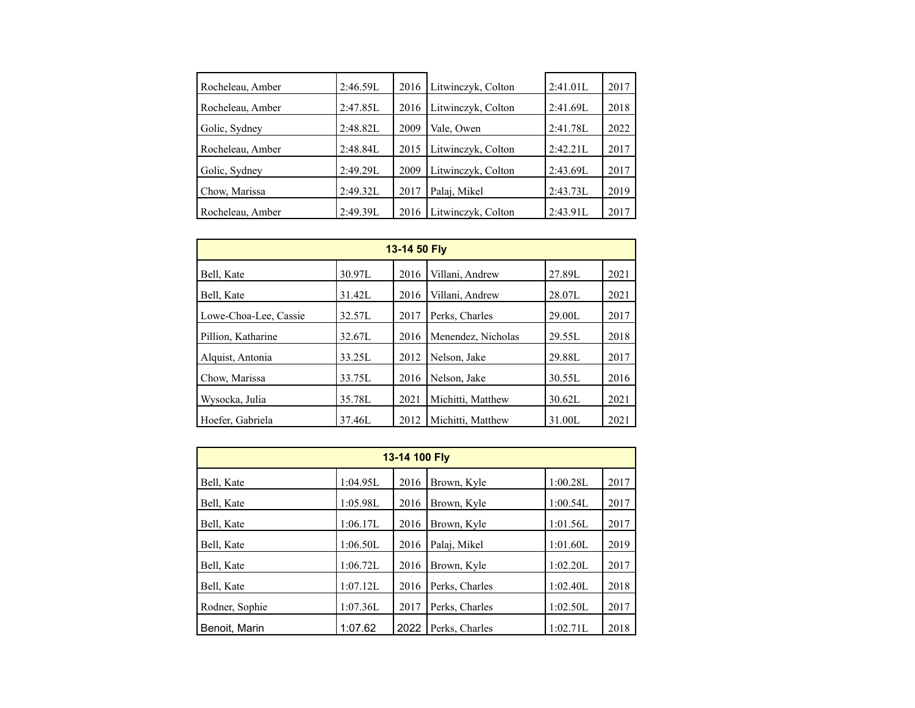| Rocheleau, Amber | 2:46.59L | 2016 | Litwinczyk, Colton | 2:41.01L | 2017 |
|------------------|----------|------|--------------------|----------|------|
| Rocheleau, Amber | 2:47.85L | 2016 | Litwinczyk, Colton | 2:41.69L | 2018 |
| Golic, Sydney    | 2:48.82L | 2009 | Vale, Owen         | 2:41.78L | 2022 |
| Rocheleau, Amber | 2:48.84L | 2015 | Litwinczyk, Colton | 2:42.21L | 2017 |
| Golic, Sydney    | 2:49.29L | 2009 | Litwinczyk, Colton | 2:43.69L | 2017 |
| Chow, Marissa    | 2:49.32L | 2017 | Palaj, Mikel       | 2:43.73L | 2019 |
| Rocheleau, Amber | 2:49.39L | 2016 | Litwinczyk, Colton | 2:43.91L | 2017 |

| 13-14 50 Fly          |        |      |                    |        |      |  |  |  |  |
|-----------------------|--------|------|--------------------|--------|------|--|--|--|--|
| Bell, Kate            | 30.97L | 2016 | Villani, Andrew    | 27.89L | 2021 |  |  |  |  |
| Bell, Kate            | 31.42L | 2016 | Villani, Andrew    | 28.07L | 2021 |  |  |  |  |
| Lowe-Choa-Lee, Cassie | 32.57L | 2017 | Perks, Charles     | 29.00L | 2017 |  |  |  |  |
| Pillion, Katharine    | 32.67L | 2016 | Menendez, Nicholas | 29.55L | 2018 |  |  |  |  |
| Alquist, Antonia      | 33.25L | 2012 | Nelson, Jake       | 29.88L | 2017 |  |  |  |  |
| Chow, Marissa         | 33.75L | 2016 | Nelson, Jake       | 30.55L | 2016 |  |  |  |  |
| Wysocka, Julia        | 35.78L | 2021 | Michitti, Matthew  | 30.62L | 2021 |  |  |  |  |
| Hoefer, Gabriela      | 37.46L | 2012 | Michitti, Matthew  | 31.00L | 2021 |  |  |  |  |

| 13-14 100 Fly  |          |      |                |          |      |  |  |  |  |
|----------------|----------|------|----------------|----------|------|--|--|--|--|
| Bell, Kate     | 1:04.95L | 2016 | Brown, Kyle    | 1:00.28L | 2017 |  |  |  |  |
| Bell, Kate     | 1:05.98L | 2016 | Brown, Kyle    | 1:00.54L | 2017 |  |  |  |  |
| Bell, Kate     | 1:06.17L | 2016 | Brown, Kyle    | 1:01.56L | 2017 |  |  |  |  |
| Bell, Kate     | 1:06.50L | 2016 | Palai, Mikel   | 1:01.60L | 2019 |  |  |  |  |
| Bell, Kate     | 1:06.72L | 2016 | Brown, Kyle    | 1:02.20L | 2017 |  |  |  |  |
| Bell, Kate     | 1:07.12L | 2016 | Perks, Charles | 1:02.40L | 2018 |  |  |  |  |
| Rodner, Sophie | 1:07.36L | 2017 | Perks, Charles | 1:02.50L | 2017 |  |  |  |  |
| Benoit. Marin  | 1:07.62  | 2022 | Perks, Charles | 1:02.71L | 2018 |  |  |  |  |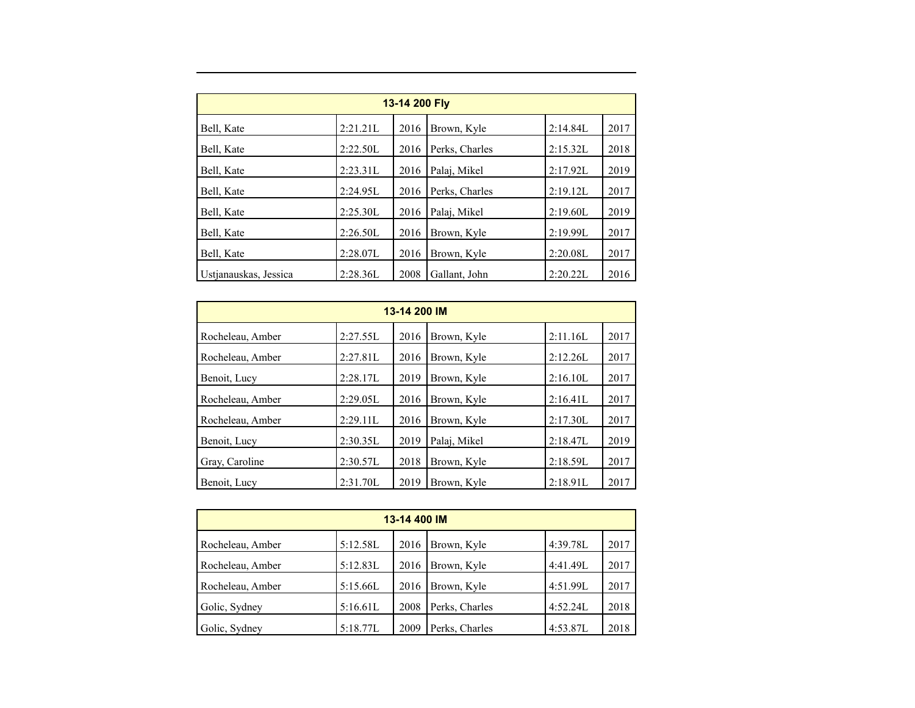| 13-14 200 Fly         |          |      |                |          |      |  |  |  |  |
|-----------------------|----------|------|----------------|----------|------|--|--|--|--|
| Bell, Kate            | 2:21.21L | 2016 | Brown, Kyle    | 2:14.84L | 2017 |  |  |  |  |
| Bell, Kate            | 2:22.50L | 2016 | Perks, Charles | 2:15.32L | 2018 |  |  |  |  |
| Bell, Kate            | 2:23.31L | 2016 | Palai, Mikel   | 2:17.92L | 2019 |  |  |  |  |
| Bell, Kate            | 2:24.95L | 2016 | Perks, Charles | 2:19.12L | 2017 |  |  |  |  |
| Bell, Kate            | 2:25.30L | 2016 | Palai, Mikel   | 2:19.60L | 2019 |  |  |  |  |
| Bell, Kate            | 2:26.50L | 2016 | Brown, Kyle    | 2:19.99L | 2017 |  |  |  |  |
| Bell, Kate            | 2:28.07L | 2016 | Brown, Kyle    | 2:20.08L | 2017 |  |  |  |  |
| Ustjanauskas, Jessica | 2:28.36L | 2008 | Gallant, John  | 2:20.22L | 2016 |  |  |  |  |

| 13-14 200 IM     |          |      |              |          |      |  |  |  |  |
|------------------|----------|------|--------------|----------|------|--|--|--|--|
| Rocheleau, Amber | 2:27.55L | 2016 | Brown, Kyle  | 2:11.16L | 2017 |  |  |  |  |
| Rocheleau, Amber | 2:27.81L | 2016 | Brown, Kyle  | 2:12.26L | 2017 |  |  |  |  |
| Benoit, Lucy     | 2:28.17L | 2019 | Brown, Kyle  | 2:16.10L | 2017 |  |  |  |  |
| Rocheleau, Amber | 2:29.05L | 2016 | Brown, Kyle  | 2:16.41L | 2017 |  |  |  |  |
| Rocheleau, Amber | 2:29.11L | 2016 | Brown, Kyle  | 2:17.30L | 2017 |  |  |  |  |
| Benoit, Lucy     | 2:30.35L | 2019 | Palaj, Mikel | 2:18.47L | 2019 |  |  |  |  |
| Gray, Caroline   | 2:30.57L | 2018 | Brown, Kyle  | 2:18.59L | 2017 |  |  |  |  |
| Benoit, Lucy     | 2:31.70L | 2019 | Brown, Kyle  | 2:18.91L | 2017 |  |  |  |  |

| 13-14 400 IM     |          |      |                |          |      |  |  |  |  |
|------------------|----------|------|----------------|----------|------|--|--|--|--|
| Rocheleau, Amber | 5:12.58L | 2016 | Brown, Kyle    | 4:39.78L | 2017 |  |  |  |  |
| Rocheleau, Amber | 5:12.83L | 2016 | Brown, Kyle    | 4:41.49L | 2017 |  |  |  |  |
| Rocheleau, Amber | 5:15.66L | 2016 | Brown, Kyle    | 4:51.99L | 2017 |  |  |  |  |
| Golic, Sydney    | 5:16.61L | 2008 | Perks, Charles | 4:52.241 | 2018 |  |  |  |  |
| Golic, Sydney    | 5:18.77L | 2009 | Perks, Charles | 4:53.87L | 2018 |  |  |  |  |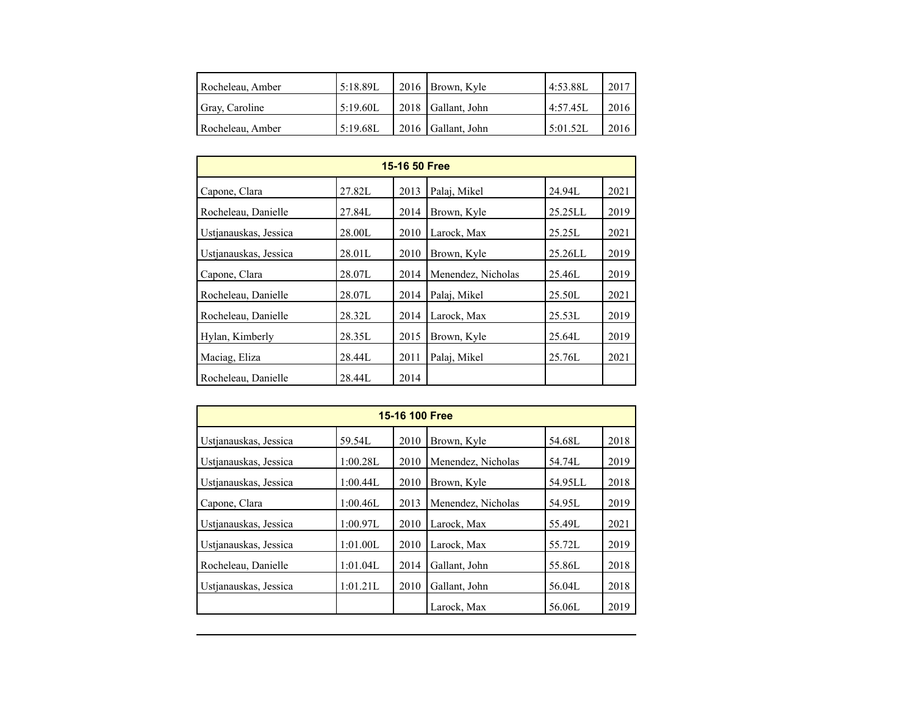| Rocheleau, Amber | 5:18.89L | 2016   Brown, Kyle   | 4:53.88L | 2017 |
|------------------|----------|----------------------|----------|------|
| Gray, Caroline   | 5:19.60L | 2018 Gallant, John   | 4:57.45  | 2016 |
| Rocheleau, Amber | 5:19.68L | $2016$ Gallant, John | 5:01.52L | 2016 |

| <b>15-16 50 Free</b>  |        |      |                    |            |      |  |  |  |  |
|-----------------------|--------|------|--------------------|------------|------|--|--|--|--|
| Capone, Clara         | 27.82L | 2013 | Palaj, Mikel       | 24.94L     | 2021 |  |  |  |  |
| Rocheleau, Danielle   | 27.84L | 2014 | Brown, Kyle        | 25.25LL    | 2019 |  |  |  |  |
| Ustianauskas, Jessica | 28.00L | 2010 | Larock, Max        | 25.25L     | 2021 |  |  |  |  |
| Ustjanauskas, Jessica | 28.01L | 2010 | Brown, Kyle        | $25.26$ LL | 2019 |  |  |  |  |
| Capone, Clara         | 28.07L | 2014 | Menendez, Nicholas | 25.46L     | 2019 |  |  |  |  |
| Rocheleau, Danielle   | 28.07L | 2014 | Palai, Mikel       | 25.50L     | 2021 |  |  |  |  |
| Rocheleau, Danielle   | 28.32L | 2014 | Larock, Max        | 25.53L     | 2019 |  |  |  |  |
| Hylan, Kimberly       | 28.35L | 2015 | Brown, Kyle        | 25.64L     | 2019 |  |  |  |  |
| Maciag, Eliza         | 28.44L | 2011 | Palaj, Mikel       | 25.76L     | 2021 |  |  |  |  |
| Rocheleau, Danielle   | 28.44L | 2014 |                    |            |      |  |  |  |  |

| 15-16 100 Free        |          |      |                    |         |      |  |  |  |  |
|-----------------------|----------|------|--------------------|---------|------|--|--|--|--|
| Ustianauskas, Jessica | 59.54L   | 2010 | Brown, Kyle        | 54.68L  | 2018 |  |  |  |  |
| Ustianauskas, Jessica | 1:00.28L | 2010 | Menendez, Nicholas | 54.74L  | 2019 |  |  |  |  |
| Ustjanauskas, Jessica | 1:00.44L | 2010 | Brown, Kyle        | 54.95LL | 2018 |  |  |  |  |
| Capone, Clara         | 1:00.46L | 2013 | Menendez, Nicholas | 54.95L  | 2019 |  |  |  |  |
| Ustjanauskas, Jessica | 1:00.97L | 2010 | Larock, Max        | 55.49L  | 2021 |  |  |  |  |
| Ustjanauskas, Jessica | 1:01.00L | 2010 | Larock, Max        | 55.72L  | 2019 |  |  |  |  |
| Rocheleau, Danielle   | 1:01.04L | 2014 | Gallant, John      | 55.86L  | 2018 |  |  |  |  |
| Ustianauskas, Jessica | 1:01.21L | 2010 | Gallant, John      | 56.04L  | 2018 |  |  |  |  |
|                       |          |      | Larock, Max        | 56.06L  | 2019 |  |  |  |  |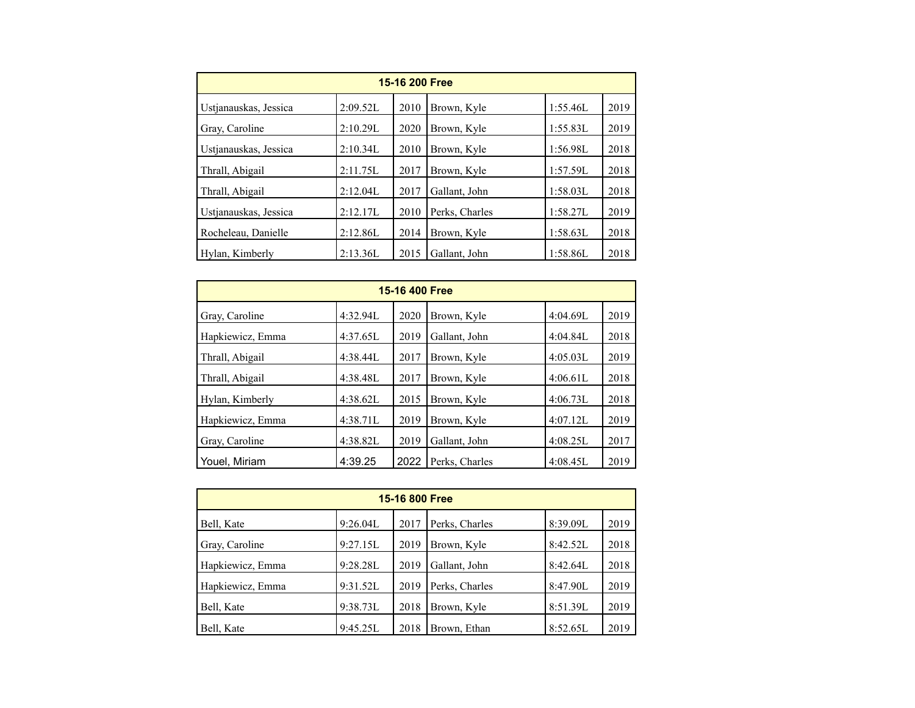| 15-16 200 Free        |          |      |                |          |      |  |  |  |  |
|-----------------------|----------|------|----------------|----------|------|--|--|--|--|
| Ustjanauskas, Jessica | 2:09.52L | 2010 | Brown, Kyle    | 1:55.46L | 2019 |  |  |  |  |
| Gray, Caroline        | 2:10.29L | 2020 | Brown, Kyle    | 1:55.83L | 2019 |  |  |  |  |
| Ustianauskas, Jessica | 2:10.34L | 2010 | Brown, Kyle    | 1:56.98L | 2018 |  |  |  |  |
| Thrall, Abigail       | 2:11.75L | 2017 | Brown, Kyle    | 1:57.59L | 2018 |  |  |  |  |
| Thrall, Abigail       | 2:12.04L | 2017 | Gallant, John  | 1:58.03L | 2018 |  |  |  |  |
| Ustjanauskas, Jessica | 2:12.17L | 2010 | Perks, Charles | 1:58.27L | 2019 |  |  |  |  |
| Rocheleau, Danielle   | 2:12.86L | 2014 | Brown, Kyle    | 1:58.63L | 2018 |  |  |  |  |
| Hylan, Kimberly       | 2:13.36L | 2015 | Gallant, John  | 1:58.86L | 2018 |  |  |  |  |

| 15-16 400 Free   |          |      |                |          |      |  |  |  |  |
|------------------|----------|------|----------------|----------|------|--|--|--|--|
| Gray, Caroline   | 4:32.94L | 2020 | Brown, Kyle    | 4:04.69L | 2019 |  |  |  |  |
| Hapkiewicz, Emma | 4:37.65L | 2019 | Gallant, John  | 4:04.84L | 2018 |  |  |  |  |
| Thrall, Abigail  | 4:38.44L | 2017 | Brown, Kyle    | 4:05.03L | 2019 |  |  |  |  |
| Thrall, Abigail  | 4:38.48L | 2017 | Brown, Kyle    | 4:06.61L | 2018 |  |  |  |  |
| Hylan, Kimberly  | 4:38.62L | 2015 | Brown, Kyle    | 4:06.73L | 2018 |  |  |  |  |
| Hapkiewicz, Emma | 4:38.71L | 2019 | Brown, Kyle    | 4:07.12L | 2019 |  |  |  |  |
| Gray, Caroline   | 4:38.82L | 2019 | Gallant, John  | 4:08.25L | 2017 |  |  |  |  |
| Youel, Miriam    | 4:39.25  | 2022 | Perks, Charles | 4:08.45L | 2019 |  |  |  |  |

| 15-16 800 Free   |          |      |                |          |      |  |  |  |  |
|------------------|----------|------|----------------|----------|------|--|--|--|--|
| Bell, Kate       | 9:26.04L | 2017 | Perks, Charles | 8:39.09L | 2019 |  |  |  |  |
| Gray, Caroline   | 9:27.15L | 2019 | Brown, Kyle    | 8:42.52L | 2018 |  |  |  |  |
| Hapkiewicz, Emma | 9:28.28L | 2019 | Gallant, John  | 8:42.64L | 2018 |  |  |  |  |
| Hapkiewicz, Emma | 9:31.52L | 2019 | Perks, Charles | 8:47.90L | 2019 |  |  |  |  |
| Bell, Kate       | 9:38.73L | 2018 | Brown, Kyle    | 8:51.39L | 2019 |  |  |  |  |
| Bell, Kate       | 9:45.25L | 2018 | Brown, Ethan   | 8:52.65L | 2019 |  |  |  |  |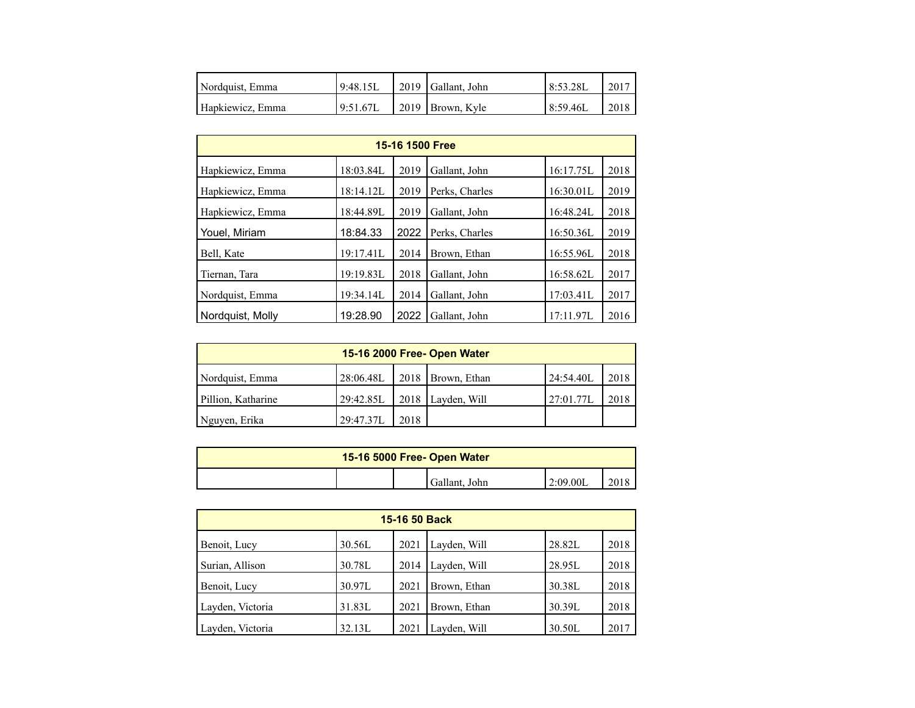| Nordquist, Emma  | 9:48.15L | 2019 Gallant, John | 8:53.28L | 2017 |
|------------------|----------|--------------------|----------|------|
| Hapkiewicz, Emma | 9:51.67L | 2019   Brown, Kyle | 8:59.46L | 2018 |

| 15-16 1500 Free  |           |      |                |           |      |  |  |  |  |  |
|------------------|-----------|------|----------------|-----------|------|--|--|--|--|--|
| Hapkiewicz, Emma | 18:03.84L | 2019 | Gallant, John  | 16:17.75L | 2018 |  |  |  |  |  |
| Hapkiewicz, Emma | 18:14.12L | 2019 | Perks, Charles | 16:30.01L | 2019 |  |  |  |  |  |
| Hapkiewicz, Emma | 18:44.89L | 2019 | Gallant, John  | 16:48.24L | 2018 |  |  |  |  |  |
| Youel, Miriam    | 18:84.33  | 2022 | Perks, Charles | 16:50.36L | 2019 |  |  |  |  |  |
| Bell, Kate       | 19:17.41L | 2014 | Brown, Ethan   | 16:55.96L | 2018 |  |  |  |  |  |
| Tiernan, Tara    | 19:19.83L | 2018 | Gallant, John  | 16:58.62L | 2017 |  |  |  |  |  |
| Nordquist, Emma  | 19:34.14L | 2014 | Gallant, John  | 17:03.41L | 2017 |  |  |  |  |  |
| Nordquist, Molly | 19:28.90  | 2022 | Gallant, John  | 17:11.97L | 2016 |  |  |  |  |  |

| 15-16 2000 Free- Open Water |           |      |                     |           |      |  |  |  |  |
|-----------------------------|-----------|------|---------------------|-----------|------|--|--|--|--|
| Nordquist, Emma             | 28:06.48L |      | 2018   Brown, Ethan | 24:54.40L | 2018 |  |  |  |  |
| Pillion, Katharine          | 29:42.85L |      | $2018$ Layden, Will | 27:01.77L | 2018 |  |  |  |  |
| Nguyen, Erika               | 29:47.37L | 2018 |                     |           |      |  |  |  |  |

| 15-16 5000 Free- Open Water |  |  |               |          |  |  |
|-----------------------------|--|--|---------------|----------|--|--|
|                             |  |  | Gallant, John | 2:09.00L |  |  |

| 15-16 50 Back    |        |      |              |        |      |  |  |  |  |
|------------------|--------|------|--------------|--------|------|--|--|--|--|
| Benoit, Lucy     | 30.56L | 2021 | Layden, Will | 28.82L | 2018 |  |  |  |  |
| Surian, Allison  | 30.78L | 2014 | Layden, Will | 28.95L | 2018 |  |  |  |  |
| Benoit, Lucy     | 30.97L | 2021 | Brown, Ethan | 30.38L | 2018 |  |  |  |  |
| Layden, Victoria | 31.83L | 2021 | Brown, Ethan | 30.39L | 2018 |  |  |  |  |
| Layden, Victoria | 32.13L | 2021 | Layden, Will | 30.50L | 2017 |  |  |  |  |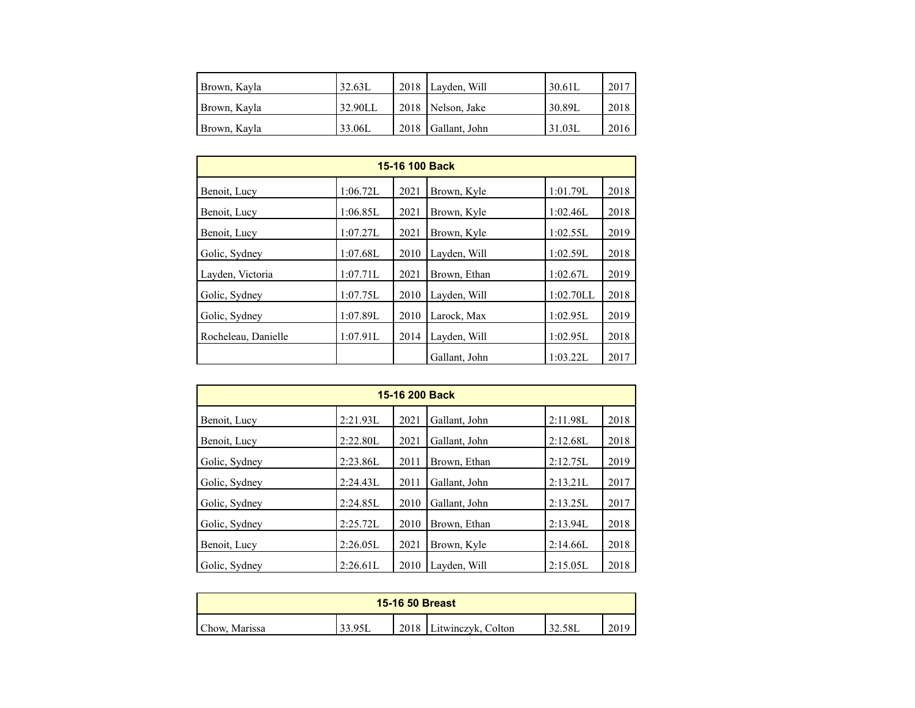| Brown, Kayla | 32.63L  | 2018 Layden, Will   | 30.61L | 2017 |
|--------------|---------|---------------------|--------|------|
| Brown, Kayla | 32.90LL | 2018   Nelson, Jake | 30.89L | 2018 |
| Brown, Kayla | 33.06L  | 2018 Gallant, John  | 31.03L | 2016 |

| 15-16 100 Back      |          |      |               |           |      |  |  |  |  |
|---------------------|----------|------|---------------|-----------|------|--|--|--|--|
| Benoit, Lucy        | 1:06.72L | 2021 | Brown, Kyle   | 1:01.79L  | 2018 |  |  |  |  |
| Benoit, Lucy        | 1:06.85L | 2021 | Brown, Kyle   | 1:02.46L  | 2018 |  |  |  |  |
| Benoit, Lucy        | 1:07.27L | 2021 | Brown, Kyle   | 1:02.55L  | 2019 |  |  |  |  |
| Golic, Sydney       | 1:07.68L | 2010 | Layden, Will  | 1:02.59L  | 2018 |  |  |  |  |
| Layden, Victoria    | 1:07.71L | 2021 | Brown, Ethan  | 1:02.67L  | 2019 |  |  |  |  |
| Golic, Sydney       | 1:07.75L | 2010 | Layden, Will  | 1:02.70LL | 2018 |  |  |  |  |
| Golic, Sydney       | 1:07.89L | 2010 | Larock, Max   | 1:02.95L  | 2019 |  |  |  |  |
| Rocheleau, Danielle | 1:07.91L | 2014 | Layden, Will  | 1:02.95L  | 2018 |  |  |  |  |
|                     |          |      | Gallant, John | 1:03.22L  | 2017 |  |  |  |  |

| 15-16 200 Back |          |      |               |          |      |  |  |  |  |
|----------------|----------|------|---------------|----------|------|--|--|--|--|
| Benoit, Lucy   | 2:21.93L | 2021 | Gallant, John | 2:11.98L | 2018 |  |  |  |  |
| Benoit, Lucy   | 2:22.80L | 2021 | Gallant, John | 2:12.68L | 2018 |  |  |  |  |
| Golic, Sydney  | 2:23.86L | 2011 | Brown, Ethan  | 2:12.75L | 2019 |  |  |  |  |
| Golic, Sydney  | 2:24.43L | 2011 | Gallant, John | 2:13.21L | 2017 |  |  |  |  |
| Golic, Sydney  | 2:24.85L | 2010 | Gallant, John | 2:13.25L | 2017 |  |  |  |  |
| Golic, Sydney  | 2:25.72L | 2010 | Brown, Ethan  | 2:13.94L | 2018 |  |  |  |  |
| Benoit, Lucy   | 2:26.05L | 2021 | Brown, Kyle   | 2:14.66L | 2018 |  |  |  |  |
| Golic, Sydney  | 2:26.61L | 2010 | Layden, Will  | 2:15.05L | 2018 |  |  |  |  |

| <b>15-16 50 Breast</b> |        |      |                    |        |      |  |  |
|------------------------|--------|------|--------------------|--------|------|--|--|
| Chow, Marissa          | 33.95L | 2018 | Litwinczyk, Colton | 32.58L | 2019 |  |  |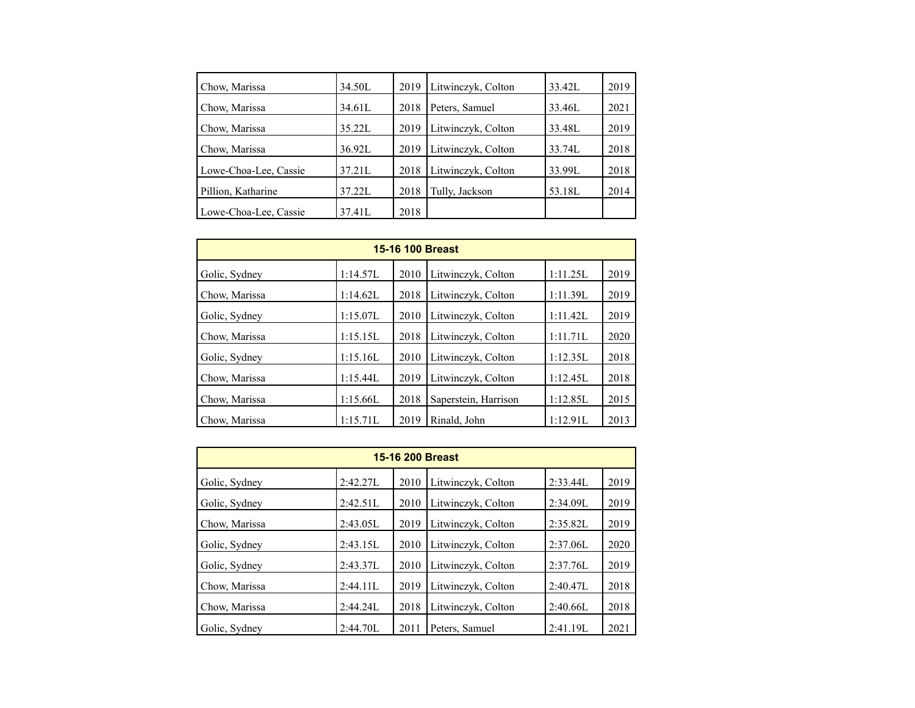| Chow, Marissa         | 34.50L | 2019 | Litwinczyk, Colton | 33.42L | 2019 |
|-----------------------|--------|------|--------------------|--------|------|
| Chow, Marissa         | 34.61L | 2018 | Peters, Samuel     | 33.46L | 2021 |
| Chow, Marissa         | 35.22L | 2019 | Litwinczyk, Colton | 33.48L | 2019 |
| Chow, Marissa         | 36.92L | 2019 | Litwinczyk, Colton | 33.74L | 2018 |
| Lowe-Choa-Lee, Cassie | 37.21L | 2018 | Litwinczyk, Colton | 33.99L | 2018 |
| Pillion, Katharine    | 37.22L | 2018 | Tully, Jackson     | 53.18L | 2014 |
| Lowe-Choa-Lee, Cassie | 37.41L | 2018 |                    |        |      |

| 15-16 100 Breast |          |      |                      |          |      |  |  |  |  |  |
|------------------|----------|------|----------------------|----------|------|--|--|--|--|--|
| Golic, Sydney    | 1:14.57L | 2010 | Litwinczyk, Colton   | 1:11.25L | 2019 |  |  |  |  |  |
| Chow, Marissa    | 1:14.62L | 2018 | Litwinczyk, Colton   | 1:11.39L | 2019 |  |  |  |  |  |
| Golic, Sydney    | 1:15.07L | 2010 | Litwinczyk, Colton   | 1:11.42L | 2019 |  |  |  |  |  |
| Chow, Marissa    | 1:15.15L | 2018 | Litwinczyk, Colton   | 1:11.71L | 2020 |  |  |  |  |  |
| Golic, Sydney    | 1:15.16L | 2010 | Litwinczyk, Colton   | 1:12.35L | 2018 |  |  |  |  |  |
| Chow, Marissa    | 1:15.44L | 2019 | Litwinczyk, Colton   | 1:12.45L | 2018 |  |  |  |  |  |
| Chow, Marissa    | 1:15.66L | 2018 | Saperstein, Harrison | 1:12.85L | 2015 |  |  |  |  |  |
| Chow, Marissa    | 1:15.71L | 2019 | Rinald. John         | 1:12.91L | 2013 |  |  |  |  |  |

| <b>15-16 200 Breast</b> |             |      |                    |          |      |  |  |  |  |
|-------------------------|-------------|------|--------------------|----------|------|--|--|--|--|
| Golic, Sydney           | 2:42.27L    | 2010 | Litwinczyk, Colton | 2:33.44L | 2019 |  |  |  |  |
| Golic, Sydney           | 2:42.51L    | 2010 | Litwinczyk, Colton | 2:34.09L | 2019 |  |  |  |  |
| Chow, Marissa           | 2:43.05L    | 2019 | Litwinczyk, Colton | 2:35.82L | 2019 |  |  |  |  |
| Golic, Sydney           | 2:43.15L    | 2010 | Litwinczyk, Colton | 2:37.06L | 2020 |  |  |  |  |
| Golic, Sydney           | 2:43.37L    | 2010 | Litwinczyk, Colton | 2:37.76L | 2019 |  |  |  |  |
| Chow, Marissa           | 2:44.11L    | 2019 | Litwinczyk, Colton | 2:40.47L | 2018 |  |  |  |  |
| Chow, Marissa           | $2:44.24$ L | 2018 | Litwinczyk, Colton | 2:40.66L | 2018 |  |  |  |  |
| Golic, Sydney           | 2:44.70L    | 2011 | Peters, Samuel     | 2:41.19L | 2021 |  |  |  |  |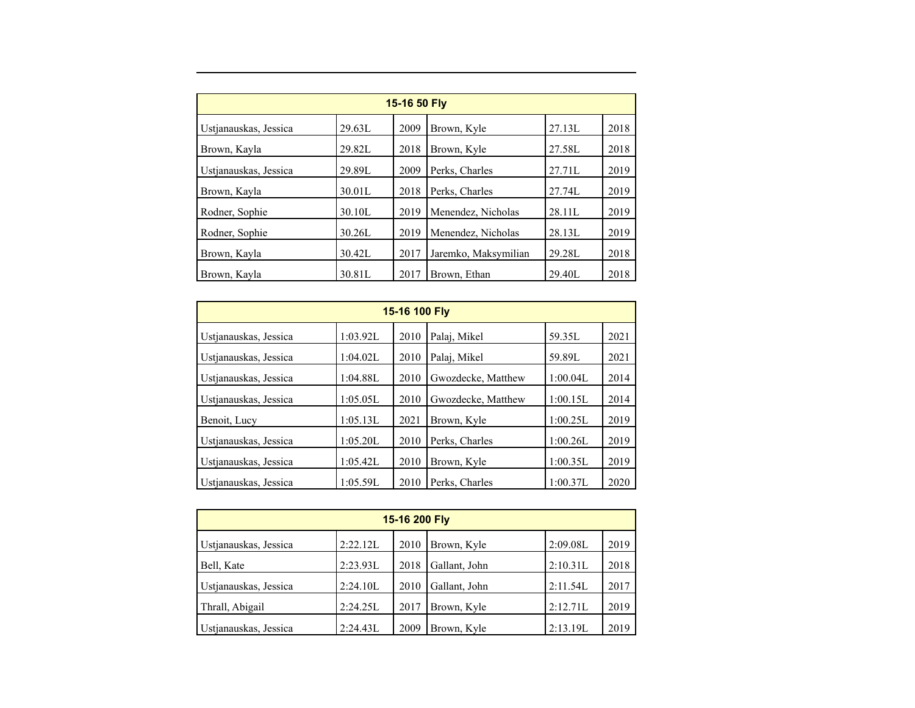| 15-16 50 Fly          |        |      |                      |        |      |  |  |  |  |
|-----------------------|--------|------|----------------------|--------|------|--|--|--|--|
| Ustjanauskas, Jessica | 29.63L | 2009 | Brown, Kyle          | 27.13L | 2018 |  |  |  |  |
| Brown, Kayla          | 29.82L | 2018 | Brown, Kyle          | 27.58L | 2018 |  |  |  |  |
| Ustjanauskas, Jessica | 29.89L | 2009 | Perks, Charles       | 27.71L | 2019 |  |  |  |  |
| Brown, Kayla          | 30.01L | 2018 | Perks, Charles       | 27.74L | 2019 |  |  |  |  |
| Rodner, Sophie        | 30.10L | 2019 | Menendez, Nicholas   | 28.11L | 2019 |  |  |  |  |
| Rodner, Sophie        | 30.26L | 2019 | Menendez, Nicholas   | 28.13L | 2019 |  |  |  |  |
| Brown, Kayla          | 30.42L | 2017 | Jaremko, Maksymilian | 29.28L | 2018 |  |  |  |  |
| Brown, Kayla          | 30.81L | 2017 | Brown, Ethan         | 29.40L | 2018 |  |  |  |  |

| 15-16 100 Fly         |          |      |                    |          |      |  |  |  |  |
|-----------------------|----------|------|--------------------|----------|------|--|--|--|--|
| Ustianauskas, Jessica | 1:03.92L | 2010 | Palaj, Mikel       | 59.35L   | 2021 |  |  |  |  |
| Ustjanauskas, Jessica | 1:04.02L | 2010 | Palai, Mikel       | 59.89L   | 2021 |  |  |  |  |
| Ustianauskas, Jessica | 1:04.88L | 2010 | Gwozdecke, Matthew | 1:00.04L | 2014 |  |  |  |  |
| Ustjanauskas, Jessica | 1:05.05L | 2010 | Gwozdecke, Matthew | 1:00.15L | 2014 |  |  |  |  |
| Benoit, Lucy          | 1:05.13L | 2021 | Brown, Kyle        | 1:00.25L | 2019 |  |  |  |  |
| Ustjanauskas, Jessica | 1:05.20L | 2010 | Perks, Charles     | 1:00.26L | 2019 |  |  |  |  |
| Ustianauskas, Jessica | 1:05.42L | 2010 | Brown, Kyle        | 1:00.35L | 2019 |  |  |  |  |
| Ustianauskas, Jessica | 1:05.59L | 2010 | Perks. Charles     | 1:00.37L | 2020 |  |  |  |  |

| 15-16 200 Fly         |          |      |               |          |      |  |  |  |  |
|-----------------------|----------|------|---------------|----------|------|--|--|--|--|
| Ustjanauskas, Jessica | 2:22.12L | 2010 | Brown, Kyle   | 2:09.08L | 2019 |  |  |  |  |
| Bell, Kate            | 2:23.93L | 2018 | Gallant, John | 2:10.31L | 2018 |  |  |  |  |
| Ustjanauskas, Jessica | 2:24.10L | 2010 | Gallant, John | 2:11.54L | 2017 |  |  |  |  |
| Thrall, Abigail       | 2:24.25L | 2017 | Brown, Kyle   | 2:12.71L | 2019 |  |  |  |  |
| Ustjanauskas, Jessica | 2:24.43L | 2009 | Brown, Kyle   | 2:13.19L | 2019 |  |  |  |  |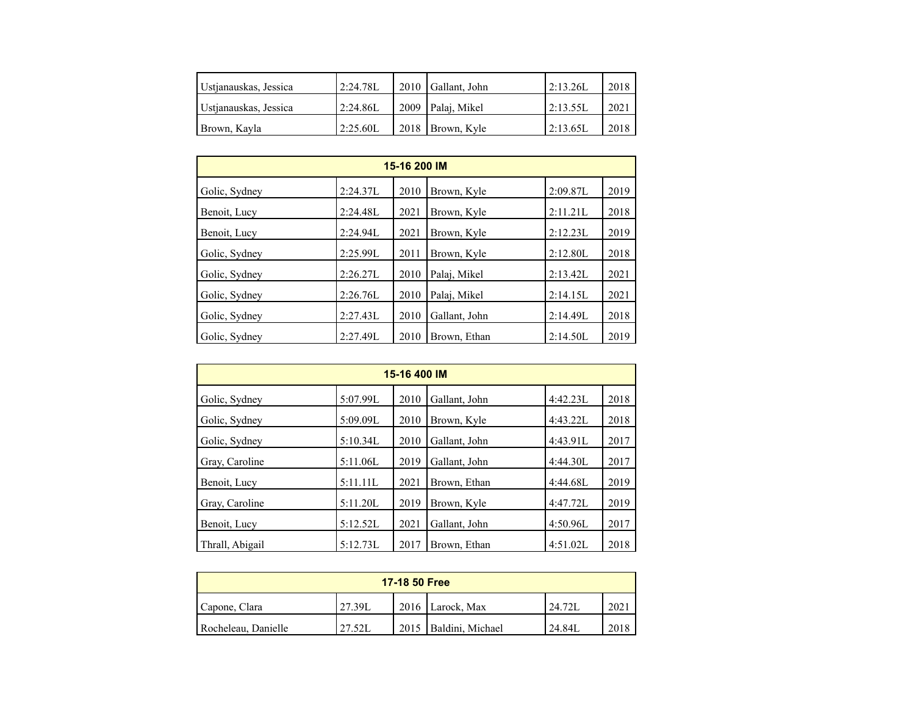| Ustianauskas, Jessica | 2:24.78L  | 2010 Gallant, John  | 2:13.26  | 2018 |
|-----------------------|-----------|---------------------|----------|------|
| Ustianauskas, Jessica | 2:24.86L  | 2009   Palaj, Mikel | 2:13.55L | 2021 |
| Brown, Kayla          | 12:25.60L | 2018   Brown, Kyle  | 2:13.65L | 2018 |

| 15-16 200 IM  |          |      |               |          |      |  |  |  |  |
|---------------|----------|------|---------------|----------|------|--|--|--|--|
| Golic, Sydney | 2:24.37L | 2010 | Brown, Kyle   | 2:09.87L | 2019 |  |  |  |  |
| Benoit, Lucy  | 2:24.48L | 2021 | Brown, Kyle   | 2:11.21L | 2018 |  |  |  |  |
| Benoit, Lucy  | 2:24.94L | 2021 | Brown, Kyle   | 2:12.23L | 2019 |  |  |  |  |
| Golic, Sydney | 2:25.99L | 2011 | Brown, Kyle   | 2:12.80L | 2018 |  |  |  |  |
| Golic, Sydney | 2:26.27L | 2010 | Palai, Mikel  | 2:13.42L | 2021 |  |  |  |  |
| Golic, Sydney | 2:26.76L | 2010 | Palai, Mikel  | 2:14.15L | 2021 |  |  |  |  |
| Golic, Sydney | 2:27.43L | 2010 | Gallant, John | 2:14.49L | 2018 |  |  |  |  |
| Golic, Sydney | 2:27.49L | 2010 | Brown, Ethan  | 2:14.50L | 2019 |  |  |  |  |

| 15-16 400 IM    |          |      |               |          |      |  |  |  |  |
|-----------------|----------|------|---------------|----------|------|--|--|--|--|
| Golic, Sydney   | 5:07.99L | 2010 | Gallant, John | 4:42.23L | 2018 |  |  |  |  |
| Golic, Sydney   | 5:09.09L | 2010 | Brown, Kyle   | 4:43.22L | 2018 |  |  |  |  |
| Golic, Sydney   | 5:10.34L | 2010 | Gallant, John | 4:43.91L | 2017 |  |  |  |  |
| Gray, Caroline  | 5:11.06L | 2019 | Gallant, John | 4:44.30L | 2017 |  |  |  |  |
| Benoit, Lucy    | 5:11.11L | 2021 | Brown, Ethan  | 4:44.68L | 2019 |  |  |  |  |
| Gray, Caroline  | 5:11.20L | 2019 | Brown, Kyle   | 4:47.72L | 2019 |  |  |  |  |
| Benoit, Lucy    | 5:12.52L | 2021 | Gallant, John | 4:50.96L | 2017 |  |  |  |  |
| Thrall, Abigail | 5:12.73L | 2017 | Brown, Ethan  | 4:51.02L | 2018 |  |  |  |  |

| 17-18 50 Free       |         |  |                         |        |      |  |  |  |
|---------------------|---------|--|-------------------------|--------|------|--|--|--|
| Capone, Clara       | '27.39L |  | 2016 Larock, Max        | 24.72L | 2021 |  |  |  |
| Rocheleau, Danielle | 27.52L  |  | 2015   Baldini, Michael | 24.84L | 2018 |  |  |  |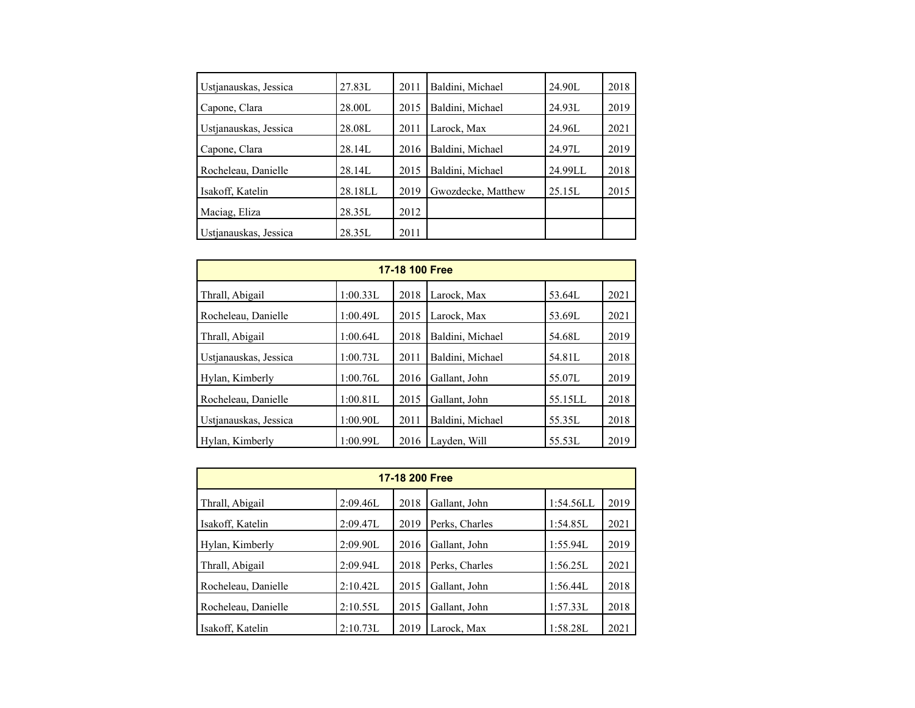| Ustjanauskas, Jessica | 27.83L  | 2011 | Baldini, Michael   | 24.90L  | 2018 |
|-----------------------|---------|------|--------------------|---------|------|
| Capone, Clara         | 28.00L  | 2015 | Baldini, Michael   | 24.93L  | 2019 |
| Ustjanauskas, Jessica | 28.08L  | 2011 | Larock, Max        | 24.96L  | 2021 |
| Capone, Clara         | 28.14L  | 2016 | Baldini, Michael   | 24.97L  | 2019 |
| Rocheleau, Danielle   | 28.14L  | 2015 | Baldini, Michael   | 24.99LL | 2018 |
| Isakoff, Katelin      | 28.18LL | 2019 | Gwozdecke, Matthew | 25.15L  | 2015 |
| Maciag, Eliza         | 28.35L  | 2012 |                    |         |      |
|                       | 28.35L  | 2011 |                    |         |      |
| Ustianauskas, Jessica |         |      |                    |         |      |

| 17-18 100 Free        |          |      |                  |         |      |  |  |  |  |
|-----------------------|----------|------|------------------|---------|------|--|--|--|--|
| Thrall, Abigail       | 1:00.33L | 2018 | Larock, Max      | 53.64L  | 2021 |  |  |  |  |
| Rocheleau, Danielle   | 1:00.49L | 2015 | Larock, Max      | 53.69L  | 2021 |  |  |  |  |
| Thrall, Abigail       | 1:00.64L | 2018 | Baldini, Michael | 54.68L  | 2019 |  |  |  |  |
| Ustjanauskas, Jessica | 1:00.73L | 2011 | Baldini, Michael | 54.81L  | 2018 |  |  |  |  |
| Hylan, Kimberly       | 1:00.76L | 2016 | Gallant, John    | 55.07L  | 2019 |  |  |  |  |
| Rocheleau, Danielle   | 1:00.81L | 2015 | Gallant, John    | 55.15LL | 2018 |  |  |  |  |
| Ustjanauskas, Jessica | 1:00.90L | 2011 | Baldini, Michael | 55.35L  | 2018 |  |  |  |  |
| Hylan, Kimberly       | 1:00.99L | 2016 | Layden, Will     | 55.53L  | 2019 |  |  |  |  |

| 17-18 200 Free      |          |      |                |           |      |  |  |  |  |
|---------------------|----------|------|----------------|-----------|------|--|--|--|--|
| Thrall, Abigail     | 2:09.46L | 2018 | Gallant, John  | 1:54.56LL | 2019 |  |  |  |  |
| Isakoff, Katelin    | 2:09.47L | 2019 | Perks, Charles | 1:54.85L  | 2021 |  |  |  |  |
| Hylan, Kimberly     | 2:09.90L | 2016 | Gallant, John  | 1:55.94L  | 2019 |  |  |  |  |
| Thrall, Abigail     | 2:09.94L | 2018 | Perks, Charles | 1:56.25L  | 2021 |  |  |  |  |
| Rocheleau, Danielle | 2:10.42L | 2015 | Gallant, John  | 1:56.44L  | 2018 |  |  |  |  |
| Rocheleau, Danielle | 2:10.55L | 2015 | Gallant, John  | 1:57.33L  | 2018 |  |  |  |  |
| Isakoff, Katelin    | 2:10.73L | 2019 | Larock, Max    | 1:58.28L  | 2021 |  |  |  |  |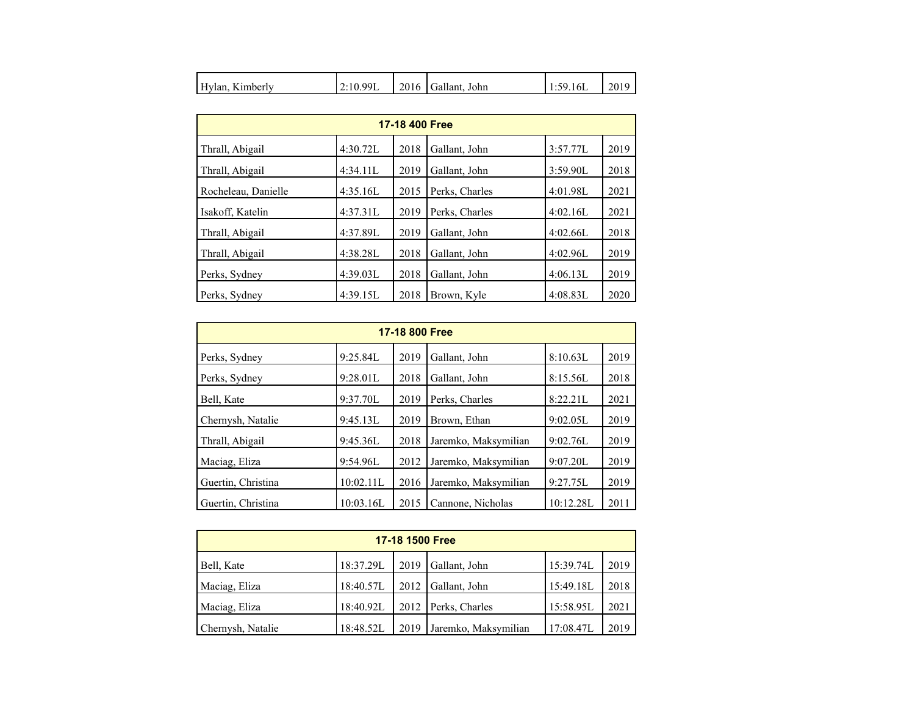| Hylan.<br>Kimberly | 12:10.99L | 2016 | Gallant, John | 1:59.16L | 2019 |
|--------------------|-----------|------|---------------|----------|------|
|--------------------|-----------|------|---------------|----------|------|

| 17-18 400 Free      |          |      |                |          |      |  |  |  |  |
|---------------------|----------|------|----------------|----------|------|--|--|--|--|
| Thrall, Abigail     | 4:30.72L | 2018 | Gallant, John  | 3:57.77L | 2019 |  |  |  |  |
| Thrall, Abigail     | 4:34.11L | 2019 | Gallant, John  | 3:59.90L | 2018 |  |  |  |  |
| Rocheleau, Danielle | 4:35.16L | 2015 | Perks, Charles | 4:01.98L | 2021 |  |  |  |  |
| Isakoff, Katelin    | 4:37.31L | 2019 | Perks, Charles | 4:02.16L | 2021 |  |  |  |  |
| Thrall, Abigail     | 4:37.89L | 2019 | Gallant, John  | 4:02.66L | 2018 |  |  |  |  |
| Thrall, Abigail     | 4:38.28L | 2018 | Gallant, John  | 4:02.96L | 2019 |  |  |  |  |
| Perks, Sydney       | 4:39.03L | 2018 | Gallant, John  | 4:06.13L | 2019 |  |  |  |  |
| Perks, Sydney       | 4:39.15L | 2018 | Brown, Kyle    | 4:08.83L | 2020 |  |  |  |  |

| 17-18 800 Free     |           |      |                      |           |      |  |  |  |  |
|--------------------|-----------|------|----------------------|-----------|------|--|--|--|--|
| Perks, Sydney      | 9:25.84L  | 2019 | Gallant, John        | 8:10.63L  | 2019 |  |  |  |  |
| Perks, Sydney      | 9:28.01L  | 2018 | Gallant, John        | 8:15.56L  | 2018 |  |  |  |  |
| Bell, Kate         | 9:37.70L  | 2019 | Perks, Charles       | 8:22.21L  | 2021 |  |  |  |  |
| Chernysh, Natalie  | 9:45.13L  | 2019 | Brown, Ethan         | 9:02.05L  | 2019 |  |  |  |  |
| Thrall, Abigail    | 9:45.36L  | 2018 | Jaremko, Maksymilian | 9:02.76L  | 2019 |  |  |  |  |
| Maciag, Eliza      | 9:54.96L  | 2012 | Jaremko, Maksymilian | 9:07.20L  | 2019 |  |  |  |  |
| Guertin, Christina | 10:02.11L | 2016 | Jaremko, Maksymilian | 9:27.75L  | 2019 |  |  |  |  |
| Guertin, Christina | 10:03.16L | 2015 | Cannone, Nicholas    | 10:12.28L | 2011 |  |  |  |  |

| 17-18 1500 Free   |           |      |                      |           |      |  |  |  |
|-------------------|-----------|------|----------------------|-----------|------|--|--|--|
| Bell, Kate        | 18:37.29L | 2019 | Gallant, John        | 15:39.74L | 2019 |  |  |  |
| Maciag, Eliza     | 18:40.57L |      | 2012 Gallant, John   | 15:49.18L | 2018 |  |  |  |
| Maciag, Eliza     | 18:40.92L |      | 2012 Perks, Charles  | 15:58.95L | 2021 |  |  |  |
| Chernysh, Natalie | 18:48.52L | 2019 | Jaremko, Maksymilian | 17:08.47L | 2019 |  |  |  |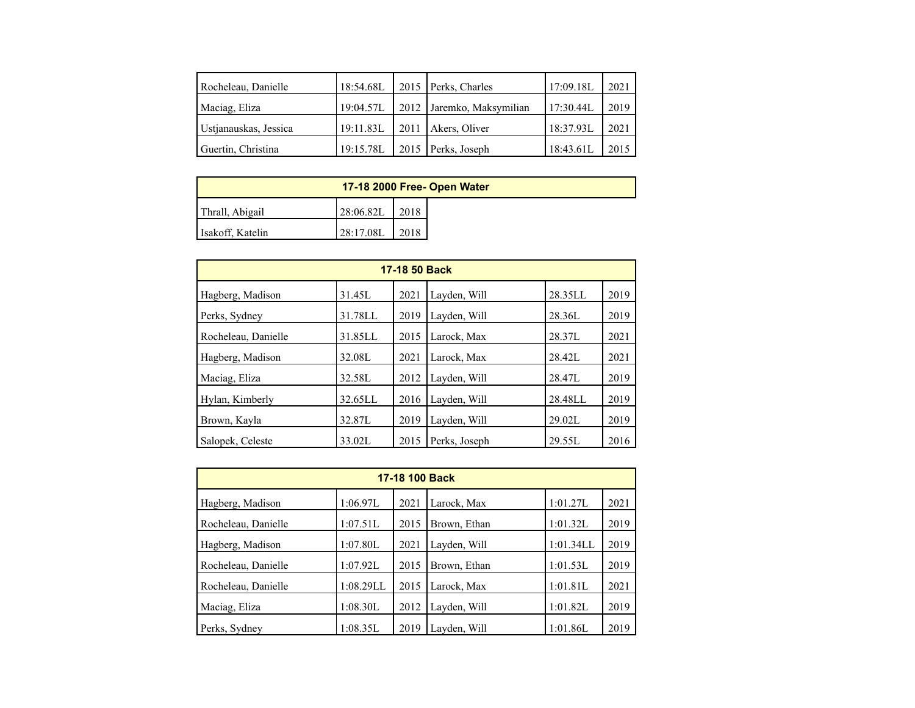| Rocheleau, Danielle   | 18:54.68L | 2015   Perks, Charles     | 17:09.18L | 2021 |
|-----------------------|-----------|---------------------------|-----------|------|
| Maciag, Eliza         | 19:04.57L | 2012 Jaremko, Maksymilian | 17:30.44L | 2019 |
| Ustjanauskas, Jessica | 19:11.83L | 2011   Akers, Oliver      | 18:37.93L | 2021 |
| Guertin, Christina    | 19:15.78L | 2015 Perks, Joseph        | 18:43.61L | 2015 |

| 17-18 2000 Free- Open Water |           |      |  |  |  |  |  |
|-----------------------------|-----------|------|--|--|--|--|--|
| Thrall, Abigail             | 28:06.82L | 2018 |  |  |  |  |  |
| Isakoff, Katelin            | 28:17.08L | 2018 |  |  |  |  |  |

| 17-18 50 Back       |         |      |               |         |      |  |  |  |
|---------------------|---------|------|---------------|---------|------|--|--|--|
| Hagberg, Madison    | 31.45L  | 2021 | Layden, Will  | 28.35LL | 2019 |  |  |  |
| Perks, Sydney       | 31.78LL | 2019 | Layden, Will  | 28.36L  | 2019 |  |  |  |
| Rocheleau, Danielle | 31.85LL | 2015 | Larock, Max   | 28.37L  | 2021 |  |  |  |
| Hagberg, Madison    | 32.08L  | 2021 | Larock, Max   | 28.42L  | 2021 |  |  |  |
| Maciag, Eliza       | 32.58L  | 2012 | Layden, Will  | 28.47L  | 2019 |  |  |  |
| Hylan, Kimberly     | 32.65LL | 2016 | Layden, Will  | 28.48LL | 2019 |  |  |  |
| Brown, Kayla        | 32.87L  | 2019 | Layden, Will  | 29.02L  | 2019 |  |  |  |
| Salopek, Celeste    | 33.02L  | 2015 | Perks, Joseph | 29.55L  | 2016 |  |  |  |

| 17-18 100 Back      |           |      |              |           |      |  |  |  |
|---------------------|-----------|------|--------------|-----------|------|--|--|--|
| Hagberg, Madison    | 1:06.97L  | 2021 | Larock, Max  | 1:01.27L  | 2021 |  |  |  |
| Rocheleau, Danielle | 1:07.51L  | 2015 | Brown, Ethan | 1:01.32L  | 2019 |  |  |  |
| Hagberg, Madison    | 1:07.80L  | 2021 | Layden, Will | 1:01.34LL | 2019 |  |  |  |
| Rocheleau, Danielle | 1:07.92L  | 2015 | Brown, Ethan | 1:01.53L  | 2019 |  |  |  |
| Rocheleau, Danielle | 1:08.29LL | 2015 | Larock, Max  | 1:01.81L  | 2021 |  |  |  |
| Maciag, Eliza       | 1:08.30L  | 2012 | Layden, Will | 1:01.82L  | 2019 |  |  |  |
| Perks, Sydney       | 1:08.35L  | 2019 | Layden, Will | 1:01.86L  | 2019 |  |  |  |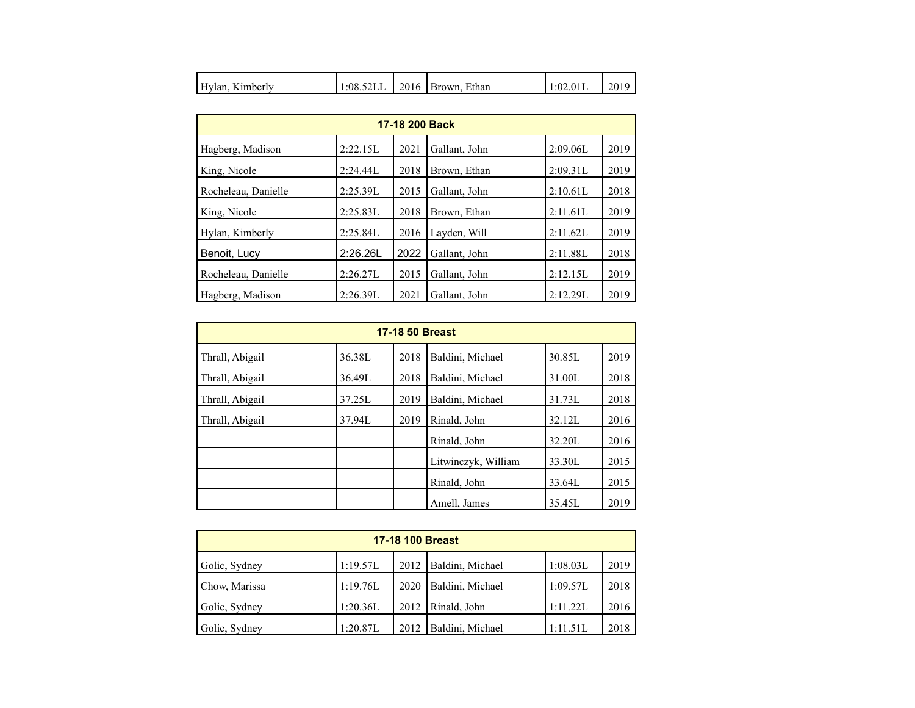| Hylan,<br>Kimberly | 1:08.52LL |  | 2016 Brown, Ethan | 1:02.01L | 2019 |
|--------------------|-----------|--|-------------------|----------|------|
|--------------------|-----------|--|-------------------|----------|------|

| 17-18 200 Back      |          |      |               |          |      |  |  |  |
|---------------------|----------|------|---------------|----------|------|--|--|--|
| Hagberg, Madison    | 2:22.15L | 2021 | Gallant, John | 2:09.06L | 2019 |  |  |  |
| King, Nicole        | 2:24.44L | 2018 | Brown, Ethan  | 2:09.31L | 2019 |  |  |  |
| Rocheleau, Danielle | 2:25.39L | 2015 | Gallant, John | 2:10.61L | 2018 |  |  |  |
| King, Nicole        | 2:25.83L | 2018 | Brown, Ethan  | 2:11.61L | 2019 |  |  |  |
| Hylan, Kimberly     | 2:25.84L | 2016 | Layden, Will  | 2:11.62L | 2019 |  |  |  |
| Benoit, Lucy        | 2:26.26L | 2022 | Gallant, John | 2:11.88L | 2018 |  |  |  |
| Rocheleau, Danielle | 2:26.27L | 2015 | Gallant, John | 2:12.15L | 2019 |  |  |  |
| Hagberg, Madison    | 2:26.39L | 2021 | Gallant, John | 2:12.29L | 2019 |  |  |  |

| <b>17-18 50 Breast</b> |        |      |                     |        |      |  |  |
|------------------------|--------|------|---------------------|--------|------|--|--|
| Thrall, Abigail        | 36.38L | 2018 | Baldini, Michael    | 30.85L | 2019 |  |  |
| Thrall, Abigail        | 36.49L | 2018 | Baldini, Michael    | 31.00L | 2018 |  |  |
| Thrall, Abigail        | 37.25L | 2019 | Baldini, Michael    | 31.73L | 2018 |  |  |
| Thrall, Abigail        | 37.94L | 2019 | Rinald, John        | 32.12L | 2016 |  |  |
|                        |        |      | Rinald, John        | 32.20L | 2016 |  |  |
|                        |        |      | Litwinczyk, William | 33.30L | 2015 |  |  |
|                        |        |      | Rinald, John        | 33.64L | 2015 |  |  |
|                        |        |      | Amell, James        | 35.45L | 2019 |  |  |

| <b>17-18 100 Breast</b> |          |      |                         |          |      |  |  |  |
|-------------------------|----------|------|-------------------------|----------|------|--|--|--|
| Golic, Sydney           | 1:19.57L |      | 2012   Baldini, Michael | 1:08.03L | 2019 |  |  |  |
| Chow, Marissa           | 1:19.76L | 2020 | Baldini, Michael        | 1:09.57L | 2018 |  |  |  |
| Golic, Sydney           | 1:20.36L | 2012 | Rinald, John            | 1:11.22L | 2016 |  |  |  |
| Golic, Sydney           | 1:20.87L | 2012 | Baldini, Michael        | 1:11.51L | 2018 |  |  |  |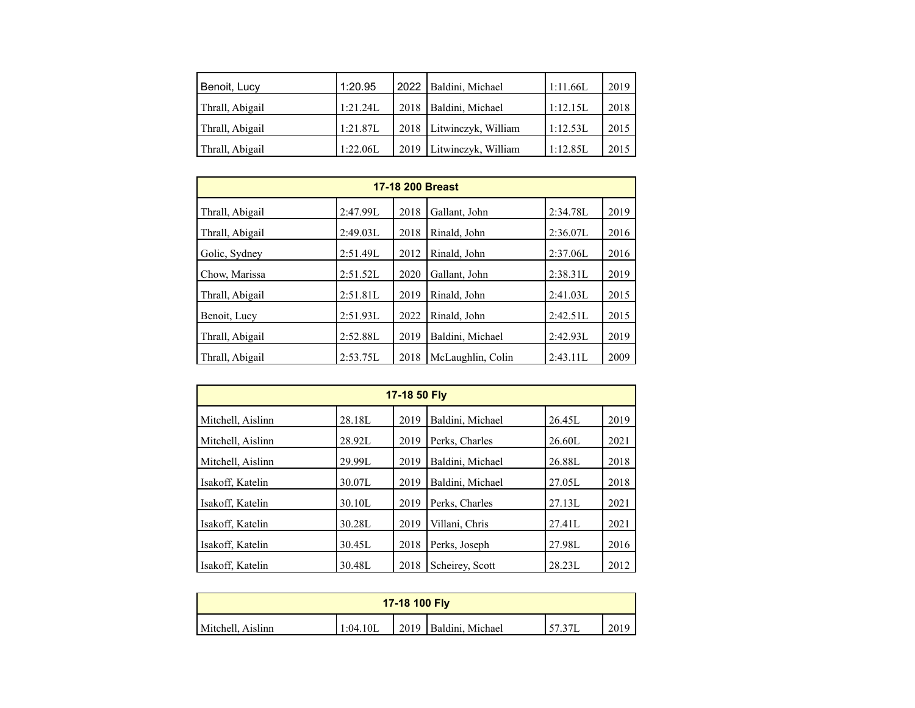| Benoit, Lucy    | 1:20.95  | 2022   Baldini, Michael    | 1:11.66L | 2019 |
|-----------------|----------|----------------------------|----------|------|
| Thrall, Abigail | 1:21.24L | 2018   Baldini, Michael    | 1:12.15L | 2018 |
| Thrall, Abigail | 1:21.87L | 2018   Litwinczyk, William | 1:12.53L | 2015 |
| Thrall, Abigail | 1:22.06L | 2019   Litwinczyk, William | 1:12.85L | 2015 |

| <b>17-18 200 Breast</b> |          |      |                   |          |      |  |  |  |
|-------------------------|----------|------|-------------------|----------|------|--|--|--|
| Thrall, Abigail         | 2:47.99L | 2018 | Gallant, John     | 2:34.78L | 2019 |  |  |  |
| Thrall, Abigail         | 2:49.03L | 2018 | Rinald, John      | 2:36.07L | 2016 |  |  |  |
| Golic, Sydney           | 2:51.49L | 2012 | Rinald, John      | 2:37.06L | 2016 |  |  |  |
| Chow, Marissa           | 2:51.52L | 2020 | Gallant, John     | 2:38.31L | 2019 |  |  |  |
| Thrall, Abigail         | 2:51.81L | 2019 | Rinald, John      | 2:41.03L | 2015 |  |  |  |
| Benoit, Lucy            | 2:51.93L | 2022 | Rinald, John      | 2:42.51L | 2015 |  |  |  |
| Thrall, Abigail         | 2:52.88L | 2019 | Baldini, Michael  | 2:42.93L | 2019 |  |  |  |
| Thrall, Abigail         | 2:53.75L | 2018 | McLaughlin, Colin | 2:43.11L | 2009 |  |  |  |

| 17-18 50 Fly      |        |      |                  |        |      |  |  |  |
|-------------------|--------|------|------------------|--------|------|--|--|--|
| Mitchell, Aislinn | 28.18L | 2019 | Baldini, Michael | 26.45L | 2019 |  |  |  |
| Mitchell, Aislinn | 28.92L | 2019 | Perks, Charles   | 26.60L | 2021 |  |  |  |
| Mitchell, Aislinn | 29.99L | 2019 | Baldini, Michael | 26.88L | 2018 |  |  |  |
| Isakoff, Katelin  | 30.07L | 2019 | Baldini, Michael | 27.05L | 2018 |  |  |  |
| Isakoff, Katelin  | 30.10L | 2019 | Perks, Charles   | 27.13L | 2021 |  |  |  |
| Isakoff, Katelin  | 30.28L | 2019 | Villani, Chris   | 27.41L | 2021 |  |  |  |
| Isakoff, Katelin  | 30.45L | 2018 | Perks, Joseph    | 27.98L | 2016 |  |  |  |
| Isakoff, Katelin  | 30.48L | 2018 | Scheirey, Scott  | 28.23L | 2012 |  |  |  |

| 17-18 100 Fly     |           |  |                         |  |      |  |  |  |
|-------------------|-----------|--|-------------------------|--|------|--|--|--|
| Mitchell, Aislinn | '1:04.10L |  | 2019   Baldini, Michael |  | 2019 |  |  |  |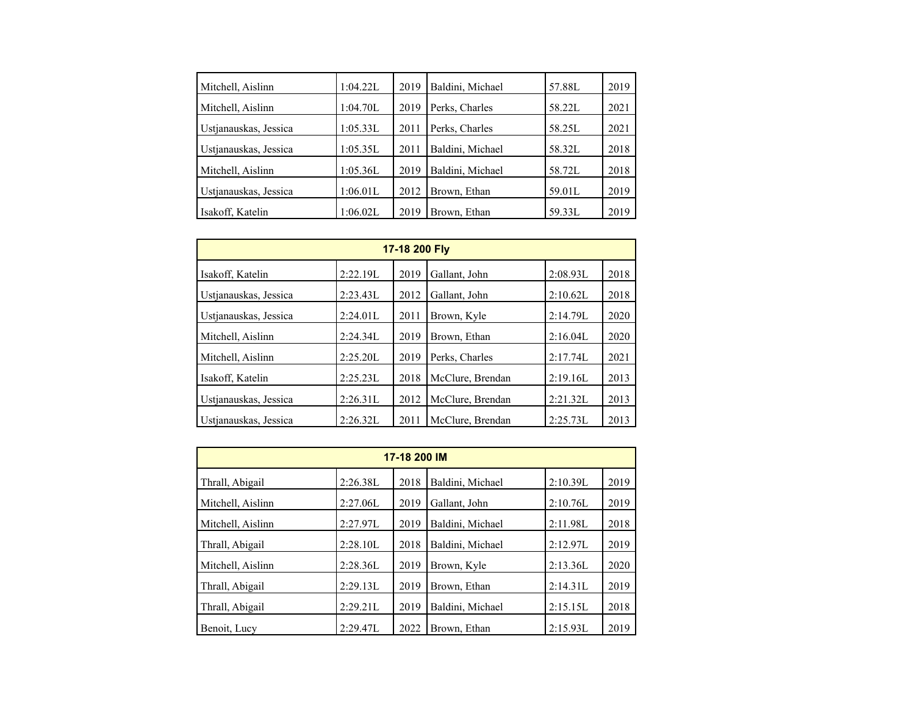| Mitchell, Aislinn     | 1:04.22L | 2019 | Baldini, Michael | 57.88L | 2019 |
|-----------------------|----------|------|------------------|--------|------|
| Mitchell, Aislinn     | 1:04.70L | 2019 | Perks, Charles   | 58.22L | 2021 |
| Ustjanauskas, Jessica | 1:05.33L | 2011 | Perks, Charles   | 58.25L | 2021 |
| Ustjanauskas, Jessica | 1:05.35L | 2011 | Baldini, Michael | 58.32L | 2018 |
| Mitchell, Aislinn     | 1:05.36L | 2019 | Baldini, Michael | 58.72L | 2018 |
| Ustianauskas, Jessica | 1:06.01L | 2012 | Brown, Ethan     | 59.01L | 2019 |
| Isakoff, Katelin      | 1:06.02L | 2019 | Brown, Ethan     | 59.33L | 2019 |

| 17-18 200 Fly         |          |      |                  |          |      |  |  |  |  |  |
|-----------------------|----------|------|------------------|----------|------|--|--|--|--|--|
| Isakoff, Katelin      | 2:22.19L | 2019 | Gallant, John    | 2:08.93L | 2018 |  |  |  |  |  |
| Ustianauskas, Jessica | 2:23.43L | 2012 | Gallant, John    | 2:10.62L | 2018 |  |  |  |  |  |
| Ustjanauskas, Jessica | 2:24.01L | 2011 | Brown, Kyle      | 2:14.79L | 2020 |  |  |  |  |  |
| Mitchell, Aislinn     | 2:24.34L | 2019 | Brown, Ethan     | 2:16.04L | 2020 |  |  |  |  |  |
| Mitchell, Aislinn     | 2:25.20L | 2019 | Perks, Charles   | 2:17.74L | 2021 |  |  |  |  |  |
| Isakoff, Katelin      | 2:25.23L | 2018 | McClure, Brendan | 2:19.16L | 2013 |  |  |  |  |  |
| Ustianauskas, Jessica | 2:26.31L | 2012 | McClure, Brendan | 2:21.32L | 2013 |  |  |  |  |  |
| Ustianauskas, Jessica | 2:26.32L | 2011 | McClure, Brendan | 2:25.73L | 2013 |  |  |  |  |  |

| 17-18 200 IM      |          |      |                  |          |      |  |  |  |  |  |
|-------------------|----------|------|------------------|----------|------|--|--|--|--|--|
| Thrall, Abigail   | 2:26.38L | 2018 | Baldini, Michael | 2:10.39L | 2019 |  |  |  |  |  |
| Mitchell, Aislinn | 2:27.06L | 2019 | Gallant, John    | 2:10.76L | 2019 |  |  |  |  |  |
| Mitchell, Aislinn | 2:27.97L | 2019 | Baldini, Michael | 2:11.98L | 2018 |  |  |  |  |  |
| Thrall, Abigail   | 2:28.10L | 2018 | Baldini, Michael | 2:12.97L | 2019 |  |  |  |  |  |
| Mitchell, Aislinn | 2:28.36L | 2019 | Brown, Kyle      | 2:13.36L | 2020 |  |  |  |  |  |
| Thrall, Abigail   | 2:29.13L | 2019 | Brown, Ethan     | 2:14.31L | 2019 |  |  |  |  |  |
| Thrall, Abigail   | 2:29.21L | 2019 | Baldini, Michael | 2:15.15L | 2018 |  |  |  |  |  |
| Benoit, Lucy      | 2:29.47L | 2022 | Brown, Ethan     | 2:15.93L | 2019 |  |  |  |  |  |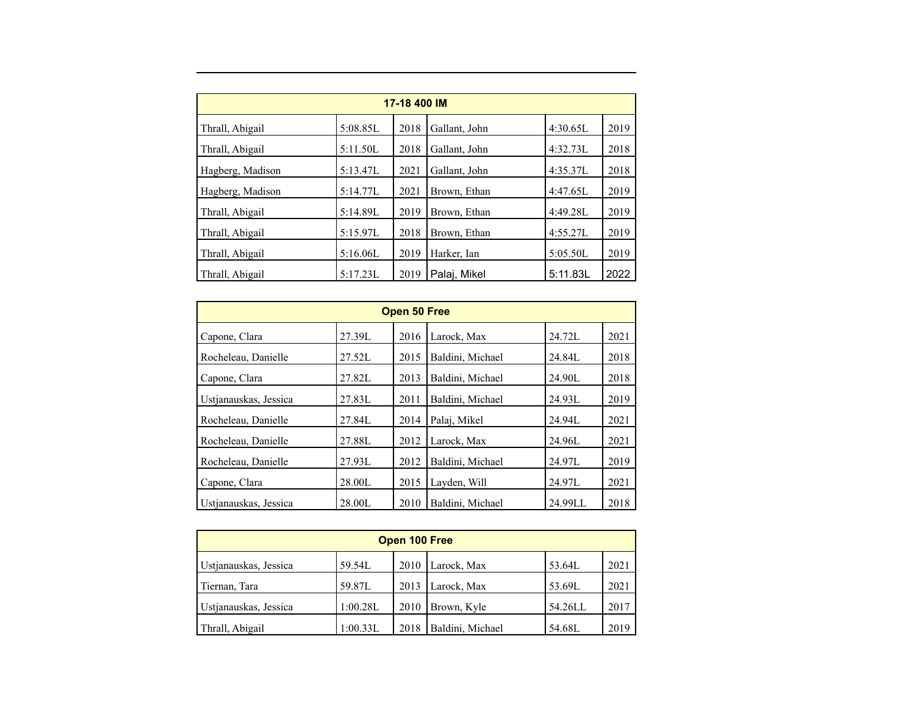| 17-18 400 IM     |          |      |               |          |      |  |  |  |  |  |
|------------------|----------|------|---------------|----------|------|--|--|--|--|--|
| Thrall, Abigail  | 5:08.85L | 2018 | Gallant, John | 4:30.65L | 2019 |  |  |  |  |  |
| Thrall, Abigail  | 5:11.50L | 2018 | Gallant, John | 4:32.73L | 2018 |  |  |  |  |  |
| Hagberg, Madison | 5:13.47L | 2021 | Gallant, John | 4:35.37L | 2018 |  |  |  |  |  |
| Hagberg, Madison | 5:14.77L | 2021 | Brown, Ethan  | 4:47.65L | 2019 |  |  |  |  |  |
| Thrall, Abigail  | 5:14.89L | 2019 | Brown, Ethan  | 4:49.28L | 2019 |  |  |  |  |  |
| Thrall, Abigail  | 5:15.97L | 2018 | Brown, Ethan  | 4:55.27L | 2019 |  |  |  |  |  |
| Thrall, Abigail  | 5:16.06L | 2019 | Harker, Ian   | 5:05.50L | 2019 |  |  |  |  |  |
| Thrall, Abigail  | 5:17.23L | 2019 | Palaj, Mikel  | 5:11.83L | 2022 |  |  |  |  |  |

| Open 50 Free          |        |      |                  |         |      |  |  |  |  |
|-----------------------|--------|------|------------------|---------|------|--|--|--|--|
| Capone, Clara         | 27.39L | 2016 | Larock, Max      | 24.72L  | 2021 |  |  |  |  |
| Rocheleau, Danielle   | 27.52L | 2015 | Baldini, Michael | 24.84L  | 2018 |  |  |  |  |
| Capone, Clara         | 27.82L | 2013 | Baldini, Michael | 24.90L  | 2018 |  |  |  |  |
| Ustjanauskas, Jessica | 27.83L | 2011 | Baldini, Michael | 24.93L  | 2019 |  |  |  |  |
| Rocheleau, Danielle   | 27.84L | 2014 | Palaj, Mikel     | 24.94L  | 2021 |  |  |  |  |
| Rocheleau, Danielle   | 27.88L | 2012 | Larock, Max      | 24.96L  | 2021 |  |  |  |  |
| Rocheleau, Danielle   | 27.93L | 2012 | Baldini, Michael | 24.97L  | 2019 |  |  |  |  |
| Capone, Clara         | 28.00L | 2015 | Layden, Will     | 24.97L  | 2021 |  |  |  |  |
| Ustianauskas, Jessica | 28.00L | 2010 | Baldini, Michael | 24.99LL | 2018 |  |  |  |  |

| Open 100 Free         |          |      |                  |         |      |  |  |  |  |
|-----------------------|----------|------|------------------|---------|------|--|--|--|--|
| Ustianauskas, Jessica | 59.54L   | 2010 | Larock, Max      | 53.64L  | 2021 |  |  |  |  |
| Tiernan, Tara         | 59.87L   | 2013 | Larock, Max      | 53.69L  | 2021 |  |  |  |  |
| Ustianauskas, Jessica | 1:00.28L | 2010 | Brown, Kyle      | 54.26LL | 2017 |  |  |  |  |
| Thrall, Abigail       | 1:00.33L | 2018 | Baldini, Michael | 54.68L  | 2019 |  |  |  |  |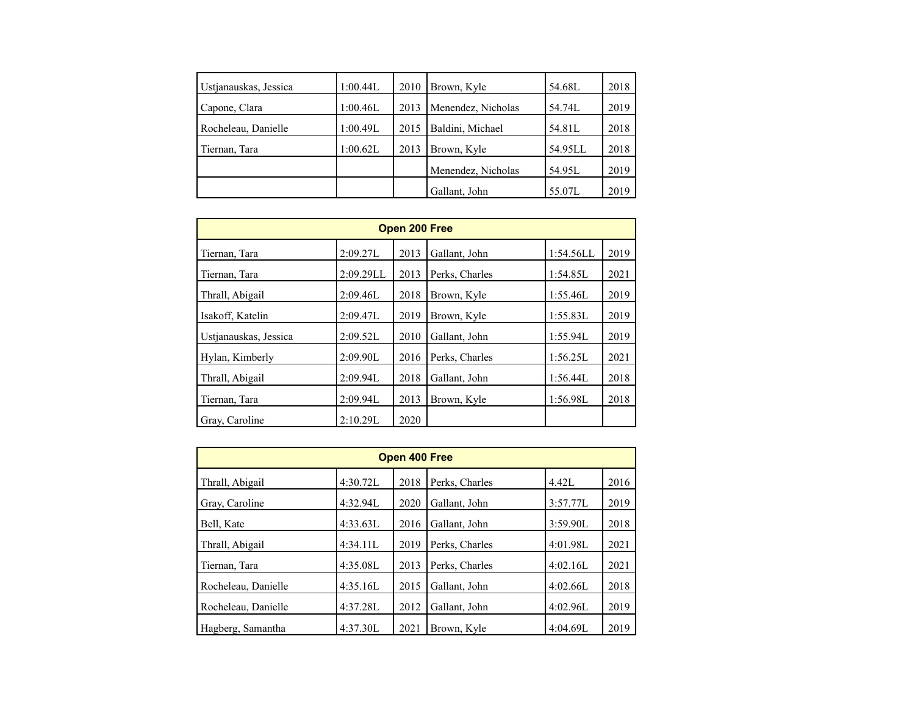| Ustjanauskas, Jessica | 1:00.44L | 2010 | Brown, Kyle        | 54.68L  | 2018 |
|-----------------------|----------|------|--------------------|---------|------|
| Capone, Clara         | 1:00.46L | 2013 | Menendez, Nicholas | 54.74L  | 2019 |
| Rocheleau, Danielle   | 1:00.49L | 2015 | Baldini, Michael   | 54.81L  | 2018 |
| Tiernan, Tara         | 1:00.62L | 2013 | Brown, Kyle        | 54.95LL | 2018 |
|                       |          |      | Menendez, Nicholas | 54.95L  | 2019 |
|                       |          |      | Gallant, John      | 55.07L  | 2019 |

| Open 200 Free         |           |      |                |           |      |  |  |  |  |  |
|-----------------------|-----------|------|----------------|-----------|------|--|--|--|--|--|
| Tiernan, Tara         | 2:09.27L  | 2013 | Gallant, John  | 1:54.56LL | 2019 |  |  |  |  |  |
| Tiernan, Tara         | 2:09.29LL | 2013 | Perks, Charles | 1:54.85L  | 2021 |  |  |  |  |  |
| Thrall, Abigail       | 2:09.46L  | 2018 | Brown, Kyle    | 1:55.46L  | 2019 |  |  |  |  |  |
| Isakoff, Katelin      | 2:09.47L  | 2019 | Brown, Kyle    | 1:55.83L  | 2019 |  |  |  |  |  |
| Ustjanauskas, Jessica | 2:09.52L  | 2010 | Gallant, John  | 1:55.94L  | 2019 |  |  |  |  |  |
| Hylan, Kimberly       | 2:09.90L  | 2016 | Perks, Charles | 1:56.25L  | 2021 |  |  |  |  |  |
| Thrall, Abigail       | 2:09.94L  | 2018 | Gallant, John  | 1:56.44L  | 2018 |  |  |  |  |  |
| Tiernan, Tara         | 2:09.94L  | 2013 | Brown, Kyle    | 1:56.98L  | 2018 |  |  |  |  |  |
| Gray, Caroline        | 2:10.29L  | 2020 |                |           |      |  |  |  |  |  |

| Open 400 Free       |          |      |                |          |      |  |  |  |  |
|---------------------|----------|------|----------------|----------|------|--|--|--|--|
| Thrall, Abigail     | 4:30.72L | 2018 | Perks, Charles | 4.42L    | 2016 |  |  |  |  |
| Gray, Caroline      | 4:32.94L | 2020 | Gallant, John  | 3:57.77L | 2019 |  |  |  |  |
| Bell, Kate          | 4:33.63L | 2016 | Gallant, John  | 3:59.90L | 2018 |  |  |  |  |
| Thrall, Abigail     | 4:34.11L | 2019 | Perks, Charles | 4:01.98L | 2021 |  |  |  |  |
| Tiernan, Tara       | 4:35.08L | 2013 | Perks, Charles | 4:02.16L | 2021 |  |  |  |  |
| Rocheleau, Danielle | 4:35.16L | 2015 | Gallant, John  | 4:02.66L | 2018 |  |  |  |  |
| Rocheleau, Danielle | 4:37.28L | 2012 | Gallant, John  | 4:02.96L | 2019 |  |  |  |  |
| Hagberg, Samantha   | 4:37.30L | 2021 | Brown, Kyle    | 4:04.69L | 2019 |  |  |  |  |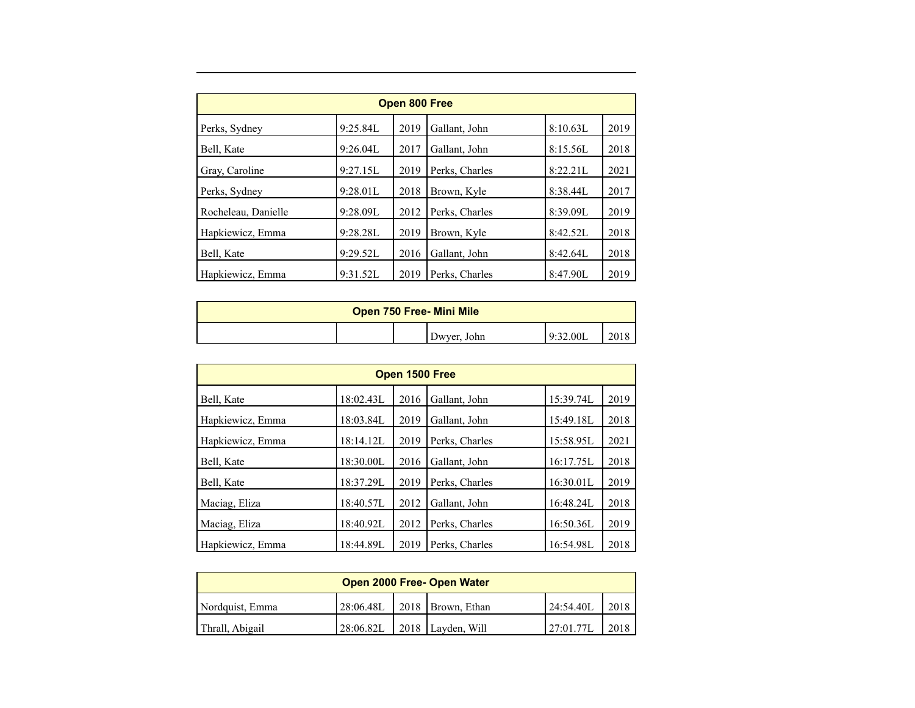| Open 800 Free       |          |      |                |          |      |  |  |  |  |
|---------------------|----------|------|----------------|----------|------|--|--|--|--|
| Perks, Sydney       | 9:25.84L | 2019 | Gallant, John  | 8:10.63L | 2019 |  |  |  |  |
| Bell, Kate          | 9:26.04L | 2017 | Gallant, John  | 8:15.56L | 2018 |  |  |  |  |
| Gray, Caroline      | 9:27.15L | 2019 | Perks, Charles | 8:22.21L | 2021 |  |  |  |  |
| Perks, Sydney       | 9:28.01L | 2018 | Brown, Kyle    | 8:38.44L | 2017 |  |  |  |  |
| Rocheleau, Danielle | 9:28.09L | 2012 | Perks, Charles | 8:39.09L | 2019 |  |  |  |  |
| Hapkiewicz, Emma    | 9:28.28L | 2019 | Brown, Kyle    | 8:42.52L | 2018 |  |  |  |  |
| Bell, Kate          | 9:29.52L | 2016 | Gallant, John  | 8:42.64L | 2018 |  |  |  |  |
| Hapkiewicz, Emma    | 9:31.52L | 2019 | Perks, Charles | 8:47.90L | 2019 |  |  |  |  |

| <b>Open 750 Free-Mini Mile</b> |  |  |             |          |     |  |
|--------------------------------|--|--|-------------|----------|-----|--|
|                                |  |  | Dwyer, John | 9:32.00L | 201 |  |

| Open 1500 Free   |           |      |                |           |      |  |  |  |  |
|------------------|-----------|------|----------------|-----------|------|--|--|--|--|
| Bell, Kate       | 18:02.43L | 2016 | Gallant, John  | 15:39.74L | 2019 |  |  |  |  |
| Hapkiewicz, Emma | 18:03.84L | 2019 | Gallant, John  | 15:49.18L | 2018 |  |  |  |  |
| Hapkiewicz, Emma | 18:14.12L | 2019 | Perks, Charles | 15:58.95L | 2021 |  |  |  |  |
| Bell, Kate       | 18:30.00L | 2016 | Gallant, John  | 16:17.75L | 2018 |  |  |  |  |
| Bell, Kate       | 18:37.29L | 2019 | Perks, Charles | 16:30.01L | 2019 |  |  |  |  |
| Maciag, Eliza    | 18:40.57L | 2012 | Gallant, John  | 16:48.24L | 2018 |  |  |  |  |
| Maciag, Eliza    | 18:40.92L | 2012 | Perks, Charles | 16:50.36L | 2019 |  |  |  |  |
| Hapkiewicz, Emma | 18:44.89L | 2019 | Perks, Charles | 16:54.98L | 2018 |  |  |  |  |

| Open 2000 Free- Open Water |           |  |                           |           |      |  |  |  |
|----------------------------|-----------|--|---------------------------|-----------|------|--|--|--|
| Nordquist, Emma            | 28:06.48L |  | 2018   Brown, Ethan       | 24:54.401 | 2018 |  |  |  |
| Thrall, Abigail            | 28:06.82L |  | $\vert$ 2018 Layden, Will | 27:01.77L | 2018 |  |  |  |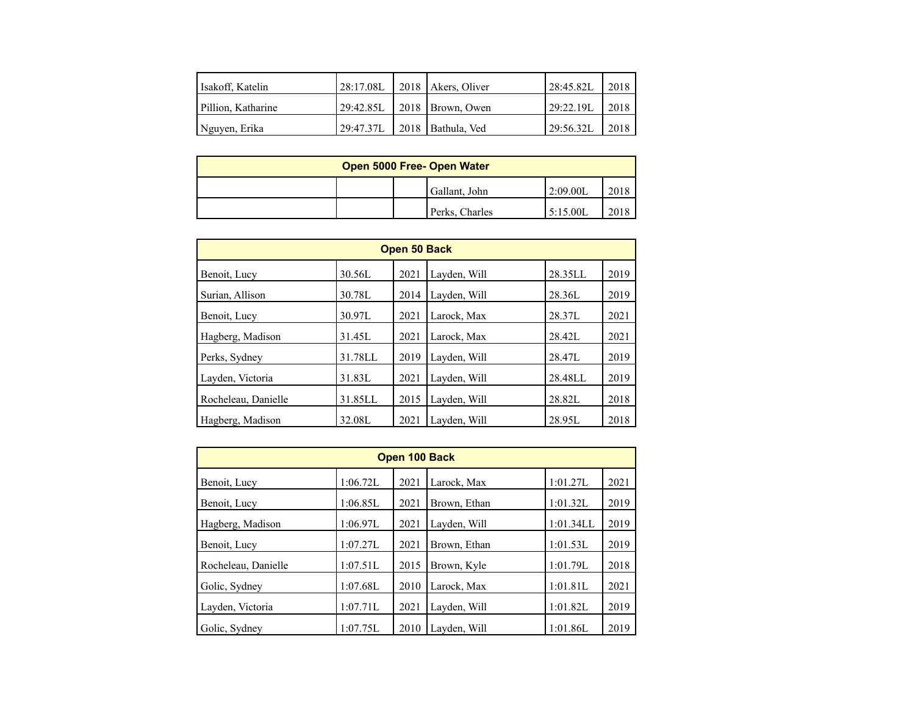| Isakoff, Katelin   |  | $ 28:17.08L $ 2018   Akers, Oliver | 28:45.82L | 2018 |
|--------------------|--|------------------------------------|-----------|------|
| Pillion, Katharine |  | 29:42.85L 2018   Brown, Owen       | 29:22.19L | 2018 |
| Nguyen, Erika      |  | 29:47.37L 2018   Bathula, Ved      | 29:56.32L | 2018 |

| Open 5000 Free- Open Water |  |                |          |      |  |  |  |
|----------------------------|--|----------------|----------|------|--|--|--|
|                            |  | Gallant, John  | 2:09.00L | 2018 |  |  |  |
|                            |  | Perks, Charles | 5:15.00L | 2018 |  |  |  |

| Open 50 Back        |         |      |              |         |      |  |  |  |  |
|---------------------|---------|------|--------------|---------|------|--|--|--|--|
| Benoit, Lucy        | 30.56L  | 2021 | Layden, Will | 28.35LL | 2019 |  |  |  |  |
| Surian, Allison     | 30.78L  | 2014 | Layden, Will | 28.36L  | 2019 |  |  |  |  |
| Benoit, Lucy        | 30.97L  | 2021 | Larock, Max  | 28.37L  | 2021 |  |  |  |  |
| Hagberg, Madison    | 31.45L  | 2021 | Larock, Max  | 28.42L  | 2021 |  |  |  |  |
| Perks, Sydney       | 31.78LL | 2019 | Layden, Will | 28.47L  | 2019 |  |  |  |  |
| Layden, Victoria    | 31.83L  | 2021 | Layden, Will | 28.48LL | 2019 |  |  |  |  |
| Rocheleau, Danielle | 31.85LL | 2015 | Layden, Will | 28.82L  | 2018 |  |  |  |  |
| Hagberg, Madison    | 32.08L  | 2021 | Layden, Will | 28.95L  | 2018 |  |  |  |  |

| Open 100 Back       |          |      |              |           |      |  |  |  |
|---------------------|----------|------|--------------|-----------|------|--|--|--|
| Benoit, Lucy        | 1:06.72L | 2021 | Larock, Max  | 1:01.27L  | 2021 |  |  |  |
| Benoit, Lucy        | 1:06.85L | 2021 | Brown, Ethan | 1:01.32L  | 2019 |  |  |  |
| Hagberg, Madison    | 1:06.97L | 2021 | Layden, Will | 1:01.34LL | 2019 |  |  |  |
| Benoit, Lucy        | 1:07.27L | 2021 | Brown, Ethan | 1:01.53L  | 2019 |  |  |  |
| Rocheleau, Danielle | 1:07.51L | 2015 | Brown, Kyle  | 1:01.79L  | 2018 |  |  |  |
| Golic, Sydney       | 1:07.68L | 2010 | Larock, Max  | 1:01.81L  | 2021 |  |  |  |
| Layden, Victoria    | 1:07.71L | 2021 | Layden, Will | 1:01.82L  | 2019 |  |  |  |
| Golic, Sydney       | 1:07.75L | 2010 | Layden, Will | 1:01.86L  | 2019 |  |  |  |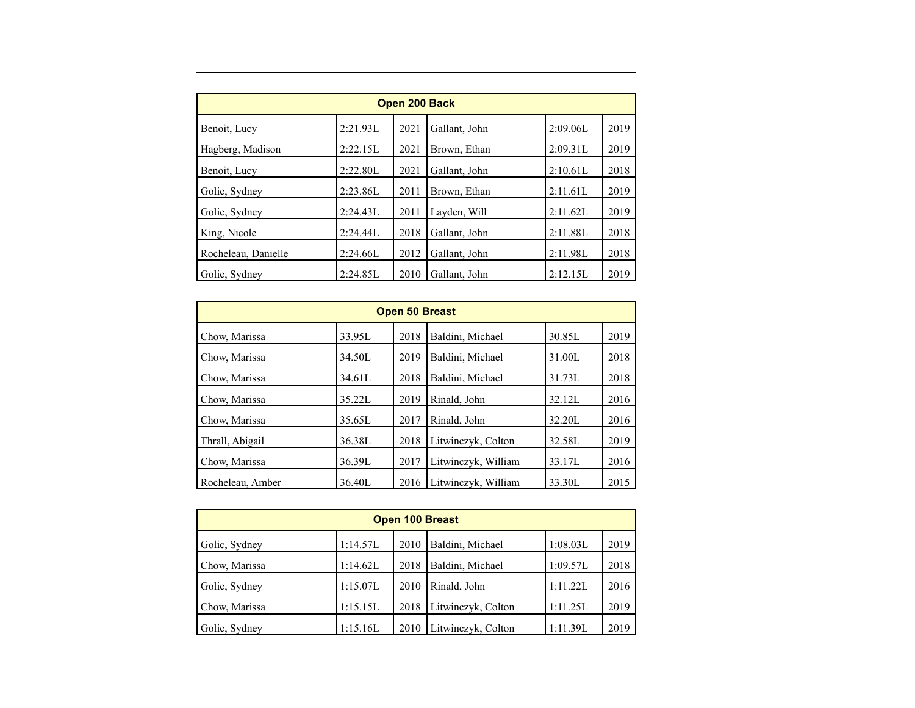| Open 200 Back       |          |      |               |          |      |  |  |  |  |
|---------------------|----------|------|---------------|----------|------|--|--|--|--|
| Benoit, Lucy        | 2:21.93L | 2021 | Gallant, John | 2:09.06L | 2019 |  |  |  |  |
| Hagberg, Madison    | 2:22.15L | 2021 | Brown, Ethan  | 2:09.31L | 2019 |  |  |  |  |
| Benoit, Lucy        | 2:22.80L | 2021 | Gallant, John | 2:10.61L | 2018 |  |  |  |  |
| Golic, Sydney       | 2:23.86L | 2011 | Brown, Ethan  | 2:11.61L | 2019 |  |  |  |  |
| Golic, Sydney       | 2:24.43L | 2011 | Layden, Will  | 2:11.62L | 2019 |  |  |  |  |
| King, Nicole        | 2:24.44L | 2018 | Gallant, John | 2:11.88L | 2018 |  |  |  |  |
| Rocheleau, Danielle | 2:24.66L | 2012 | Gallant, John | 2:11.98L | 2018 |  |  |  |  |
| Golic, Sydney       | 2:24.85L | 2010 | Gallant, John | 2:12.15L | 2019 |  |  |  |  |

| <b>Open 50 Breast</b> |        |      |                     |        |      |  |  |  |
|-----------------------|--------|------|---------------------|--------|------|--|--|--|
| Chow, Marissa         | 33.95L | 2018 | Baldini, Michael    | 30.85L | 2019 |  |  |  |
| Chow, Marissa         | 34.50L | 2019 | Baldini, Michael    | 31.00L | 2018 |  |  |  |
| Chow, Marissa         | 34.61L | 2018 | Baldini, Michael    | 31.73L | 2018 |  |  |  |
| Chow, Marissa         | 35.221 | 2019 | Rinald, John        | 32.12L | 2016 |  |  |  |
| Chow, Marissa         | 35.65L | 2017 | Rinald, John        | 32.20L | 2016 |  |  |  |
| Thrall, Abigail       | 36.38L | 2018 | Litwinczyk, Colton  | 32.58L | 2019 |  |  |  |
| Chow, Marissa         | 36.39L | 2017 | Litwinczyk, William | 33.17L | 2016 |  |  |  |
| Rocheleau, Amber      | 36.40L | 2016 | Litwinczyk, William | 33.30L | 2015 |  |  |  |

| <b>Open 100 Breast</b> |          |      |                    |          |      |  |  |  |  |
|------------------------|----------|------|--------------------|----------|------|--|--|--|--|
| Golic, Sydney          | 1:14.57L | 2010 | Baldini, Michael   | 1:08.03L | 2019 |  |  |  |  |
| Chow, Marissa          | 1:14.62L | 2018 | Baldini, Michael   | 1:09.57L | 2018 |  |  |  |  |
| Golic, Sydney          | 1:15.07L | 2010 | Rinald, John       | 1:11.22L | 2016 |  |  |  |  |
| Chow, Marissa          | 1:15.15L | 2018 | Litwinczyk, Colton | 1:11.25L | 2019 |  |  |  |  |
| Golic, Sydney          | 1:15.16L | 2010 | Litwinczyk, Colton | 1:11.39L | 2019 |  |  |  |  |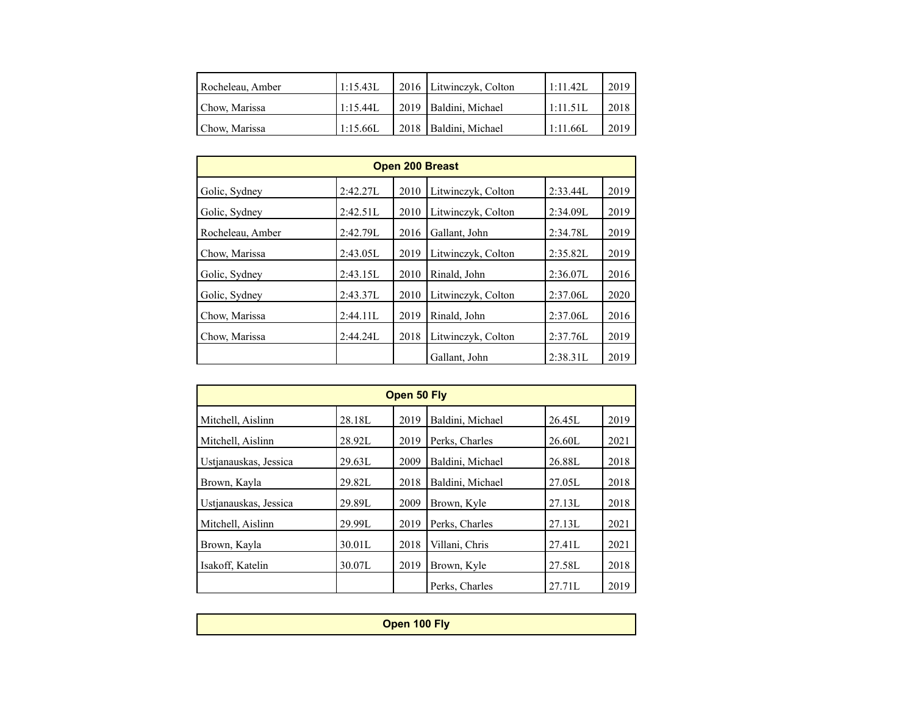| Rocheleau, Amber | '1:15.43L | 2016 Litwinczyk, Colton | $1:11.42$ I | 2019 |
|------------------|-----------|-------------------------|-------------|------|
| Chow, Marissa    | 1:15.44L  | 2019   Baldini, Michael | l 1:11.51L  | 2018 |
| Chow, Marissa    | 1:15.66L  | 2018   Baldini, Michael | 1:11.66L    | 2019 |

| <b>Open 200 Breast</b> |          |      |                    |          |      |  |  |  |  |
|------------------------|----------|------|--------------------|----------|------|--|--|--|--|
| Golic, Sydney          | 2:42.27L | 2010 | Litwinczyk, Colton | 2:33.44L | 2019 |  |  |  |  |
| Golic, Sydney          | 2:42.51L | 2010 | Litwinczyk, Colton | 2:34.09L | 2019 |  |  |  |  |
| Rocheleau, Amber       | 2:42.79L | 2016 | Gallant, John      | 2:34.78L | 2019 |  |  |  |  |
| Chow, Marissa          | 2:43.05L | 2019 | Litwinczyk, Colton | 2:35.82L | 2019 |  |  |  |  |
| Golic, Sydney          | 2:43.15L | 2010 | Rinald, John       | 2:36.07L | 2016 |  |  |  |  |
| Golic, Sydney          | 2:43.37L | 2010 | Litwinczyk, Colton | 2:37.06L | 2020 |  |  |  |  |
| Chow, Marissa          | 2:44.11L | 2019 | Rinald, John       | 2:37.06L | 2016 |  |  |  |  |
| Chow, Marissa          | 2:44.24L | 2018 | Litwinczyk, Colton | 2:37.76L | 2019 |  |  |  |  |
|                        |          |      | Gallant, John      | 2:38.31L | 2019 |  |  |  |  |

| Open 50 Fly           |        |      |                  |        |      |  |  |  |  |
|-----------------------|--------|------|------------------|--------|------|--|--|--|--|
| Mitchell, Aislinn     | 28.18L | 2019 | Baldini, Michael | 26.45L | 2019 |  |  |  |  |
| Mitchell, Aislinn     | 28.92L | 2019 | Perks, Charles   | 26.60L | 2021 |  |  |  |  |
| Ustjanauskas, Jessica | 29.63L | 2009 | Baldini, Michael | 26.88L | 2018 |  |  |  |  |
| Brown, Kayla          | 29.82L | 2018 | Baldini, Michael | 27.05L | 2018 |  |  |  |  |
| Ustianauskas, Jessica | 29.89L | 2009 | Brown, Kyle      | 27.13L | 2018 |  |  |  |  |
| Mitchell, Aislinn     | 29.99L | 2019 | Perks, Charles   | 27.13L | 2021 |  |  |  |  |
| Brown, Kayla          | 30.01L | 2018 | Villani, Chris   | 27.41L | 2021 |  |  |  |  |
| Isakoff, Katelin      | 30.07L | 2019 | Brown, Kyle      | 27.58L | 2018 |  |  |  |  |
|                       |        |      | Perks, Charles   | 27.71L | 2019 |  |  |  |  |

| Open 100 Fly |  |  |  |  |  |  |
|--------------|--|--|--|--|--|--|
|              |  |  |  |  |  |  |
|              |  |  |  |  |  |  |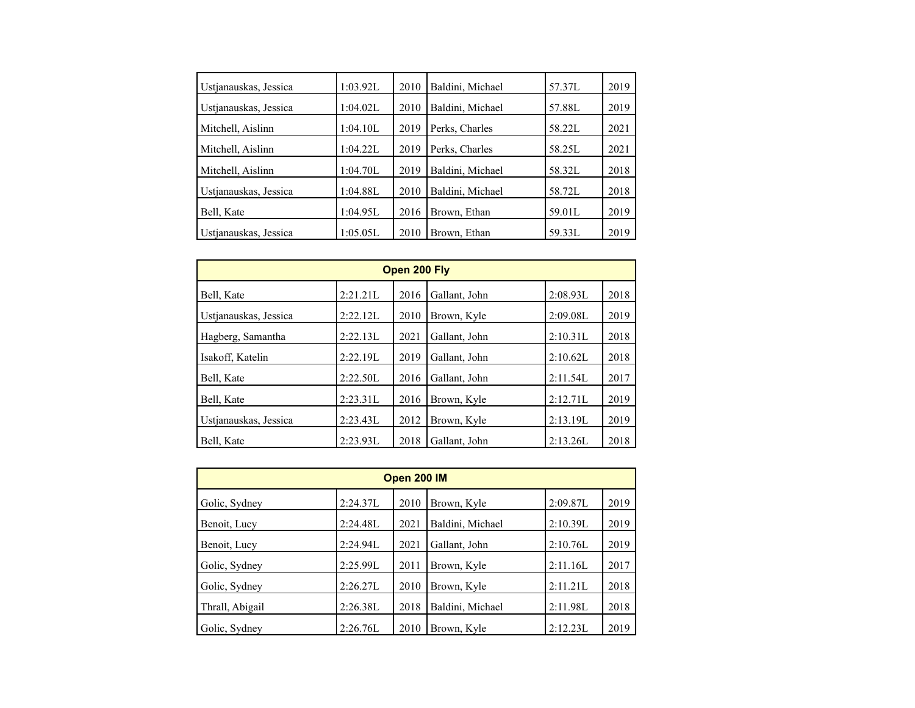| 1:03.92L | 2010                             | Baldini, Michael     | 57.37L                                                               | 2019                       |
|----------|----------------------------------|----------------------|----------------------------------------------------------------------|----------------------------|
| 1:04.02L | 2010                             | Baldini, Michael     | 57.88L                                                               | 2019                       |
| 1:04.10L | 2019                             | Perks, Charles       | 58.22L                                                               | 2021                       |
| 1:04.22L | 2019                             | Perks, Charles       | 58.25L                                                               | 2021                       |
| 1:04.70L | 2019                             |                      | 58.32L                                                               | 2018                       |
|          |                                  |                      |                                                                      | 2018                       |
|          |                                  |                      |                                                                      | 2019                       |
|          |                                  |                      |                                                                      | 2019                       |
|          | 1:04.88L<br>1:04.95L<br>1:05.05L | 2010<br>2016<br>2010 | Baldini, Michael<br>Baldini, Michael<br>Brown, Ethan<br>Brown, Ethan | 58.72L<br>59.01L<br>59.33L |

| Open 200 Fly          |          |      |               |          |      |  |
|-----------------------|----------|------|---------------|----------|------|--|
| Bell, Kate            | 2:21.21L | 2016 | Gallant, John | 2:08.93L | 2018 |  |
| Ustjanauskas, Jessica | 2:22.12L | 2010 | Brown, Kyle   | 2:09.08L | 2019 |  |
| Hagberg, Samantha     | 2:22.13L | 2021 | Gallant, John | 2:10.31L | 2018 |  |
| Isakoff, Katelin      | 2:22.19L | 2019 | Gallant, John | 2:10.62L | 2018 |  |
| Bell, Kate            | 2:22.50L | 2016 | Gallant, John | 2:11.54L | 2017 |  |
| Bell, Kate            | 2:23.31L | 2016 | Brown, Kyle   | 2:12.71L | 2019 |  |
| Ustjanauskas, Jessica | 2:23.43L | 2012 | Brown, Kyle   | 2:13.19L | 2019 |  |
| Bell, Kate            | 2:23.93L | 2018 | Gallant, John | 2:13.26L | 2018 |  |

| Open 200 IM     |          |      |                  |          |      |  |
|-----------------|----------|------|------------------|----------|------|--|
| Golic, Sydney   | 2:24.37L | 2010 | Brown, Kyle      | 2:09.87L | 2019 |  |
| Benoit, Lucy    | 2:24.48L | 2021 | Baldini, Michael | 2:10.39L | 2019 |  |
| Benoit, Lucy    | 2:24.94L | 2021 | Gallant, John    | 2:10.76L | 2019 |  |
| Golic, Sydney   | 2:25.99L | 2011 | Brown, Kyle      | 2:11.16L | 2017 |  |
| Golic, Sydney   | 2:26.27L | 2010 | Brown, Kyle      | 2:11.21L | 2018 |  |
| Thrall, Abigail | 2:26.38L | 2018 | Baldini, Michael | 2:11.98L | 2018 |  |
| Golic, Sydney   | 2:26.76L | 2010 | Brown, Kyle      | 2:12.23L | 2019 |  |